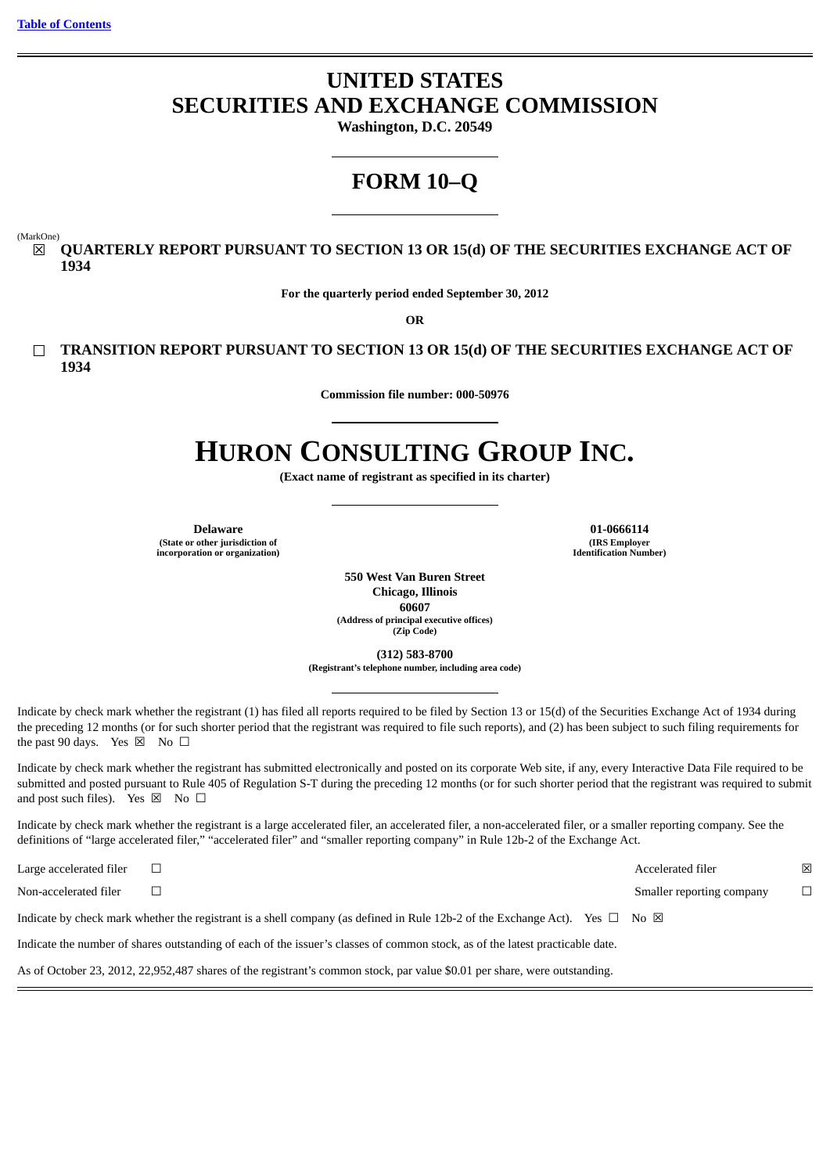# **UNITED STATES SECURITIES AND EXCHANGE COMMISSION**

**Washington, D.C. 20549**

# **FORM 10–Q**

(MarkOne)

☒ **QUARTERLY REPORT PURSUANT TO SECTION 13 OR 15(d) OF THE SECURITIES EXCHANGE ACT OF 1934**

**For the quarterly period ended September 30, 2012**

**OR**

☐ **TRANSITION REPORT PURSUANT TO SECTION 13 OR 15(d) OF THE SECURITIES EXCHANGE ACT OF 1934**

**Commission file number: 000-50976**

# **HURON CONSULTING GROUP INC.**

**(Exact name of registrant as specified in its charter)**

**Delaware 01-0666114 (State or other jurisdiction of incorporation or organization)**

**(IRS Employer Identification Number)**

**550 West Van Buren Street Chicago, Illinois 60607 (Address of principal executive offices) (Zip Code)**

**(312) 583-8700**

**(Registrant's telephone number, including area code)**

Indicate by check mark whether the registrant (1) has filed all reports required to be filed by Section 13 or 15(d) of the Securities Exchange Act of 1934 during the preceding 12 months (or for such shorter period that the registrant was required to file such reports), and (2) has been subject to such filing requirements for the past 90 days. Yes  $\boxtimes$  No  $\Box$ 

Indicate by check mark whether the registrant has submitted electronically and posted on its corporate Web site, if any, every Interactive Data File required to be submitted and posted pursuant to Rule 405 of Regulation S-T during the preceding 12 months (or for such shorter period that the registrant was required to submit and post such files). Yes  $\boxtimes$  No  $\Box$ 

Indicate by check mark whether the registrant is a large accelerated filer, an accelerated filer, a non-accelerated filer, or a smaller reporting company. See the definitions of "large accelerated filer," "accelerated filer" and "smaller reporting company" in Rule 12b-2 of the Exchange Act.

| Large accelerated filer                                                                                                       |                                                                                                                                            | Accelerated filer         | ⊠      |  |  |
|-------------------------------------------------------------------------------------------------------------------------------|--------------------------------------------------------------------------------------------------------------------------------------------|---------------------------|--------|--|--|
| Non-accelerated filer                                                                                                         |                                                                                                                                            | Smaller reporting company | $\Box$ |  |  |
|                                                                                                                               | Indicate by check mark whether the registrant is a shell company (as defined in Rule 12b-2 of the Exchange Act). Yes $\Box$ No $\boxtimes$ |                           |        |  |  |
| Indicate the number of shares outstanding of each of the issuer's classes of common stock, as of the latest practicable date. |                                                                                                                                            |                           |        |  |  |
|                                                                                                                               | As of October 23, 2012, 22,952,487 shares of the registrant's common stock, par value \$0.01 per share, were outstanding.                  |                           |        |  |  |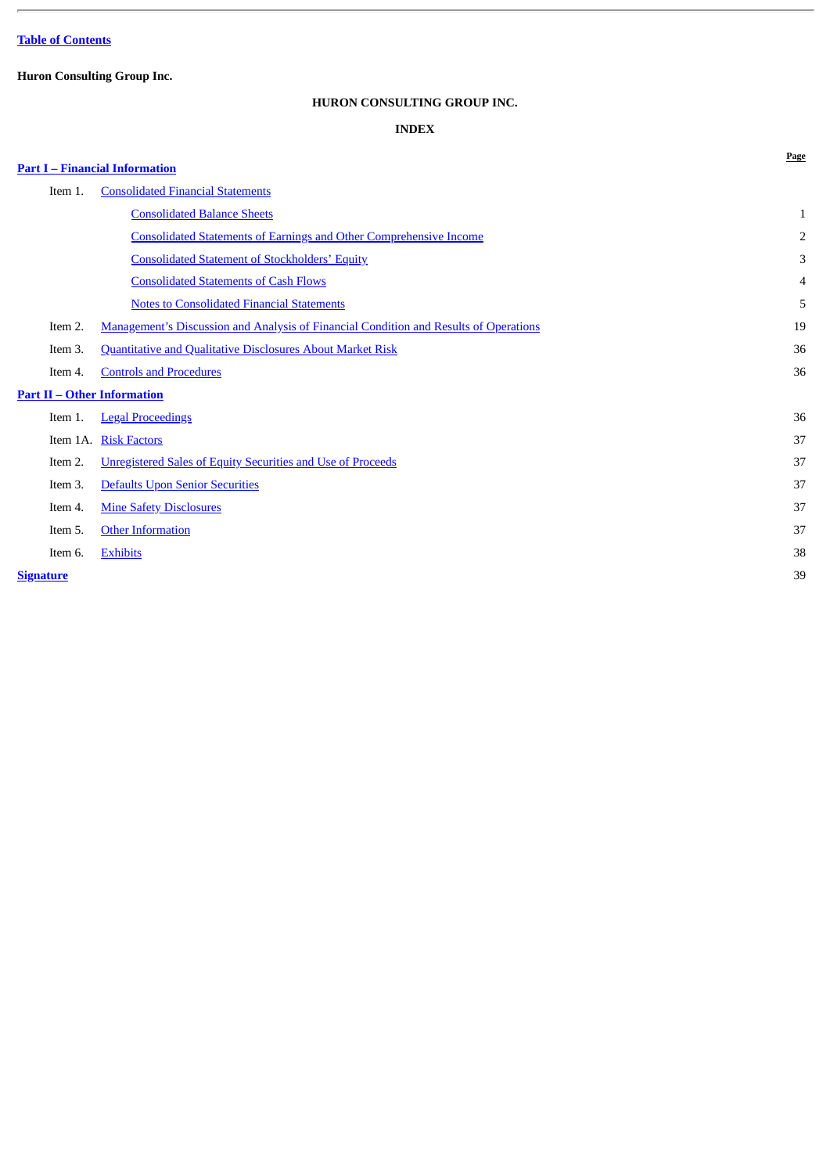**Huron Consulting Group Inc.**

## **HURON CONSULTING GROUP INC.**

## **INDEX**

<span id="page-1-0"></span>**Page**

| <b>Part I – Financial Information</b> |  |
|---------------------------------------|--|
|                                       |  |

| Item 1.                            | <b>Consolidated Financial Statements</b>                                                     |                         |
|------------------------------------|----------------------------------------------------------------------------------------------|-------------------------|
|                                    | <b>Consolidated Balance Sheets</b>                                                           | $\mathbf{1}$            |
|                                    | <b>Consolidated Statements of Earnings and Other Comprehensive Income</b>                    | $\overline{\mathbf{c}}$ |
|                                    | <b>Consolidated Statement of Stockholders' Equity</b>                                        | 3                       |
|                                    | <b>Consolidated Statements of Cash Flows</b>                                                 | 4                       |
|                                    | <b>Notes to Consolidated Financial Statements</b>                                            | 5                       |
| Item 2.                            | <b>Management's Discussion and Analysis of Financial Condition and Results of Operations</b> | 19                      |
| Item 3.                            | <b>Quantitative and Qualitative Disclosures About Market Risk</b>                            | 36                      |
| Item 4.                            | <b>Controls and Procedures</b>                                                               | 36                      |
| <b>Part II – Other Information</b> |                                                                                              |                         |
| Item 1.                            | <b>Legal Proceedings</b>                                                                     | 36                      |
|                                    | Item 1A. Risk Factors                                                                        | 37                      |
| Item 2.                            | <b>Unregistered Sales of Equity Securities and Use of Proceeds</b>                           | 37                      |
| Item 3.                            | Defaults Upon Senior Securities                                                              | 37                      |
| Item 4.                            | <b>Mine Safety Disclosures</b>                                                               | 37                      |
| Item 5.                            | <b>Other Information</b>                                                                     | 37                      |
| Item 6.                            | <b>Exhibits</b>                                                                              | 38                      |
| <u>Signature</u>                   |                                                                                              | 39                      |
|                                    |                                                                                              |                         |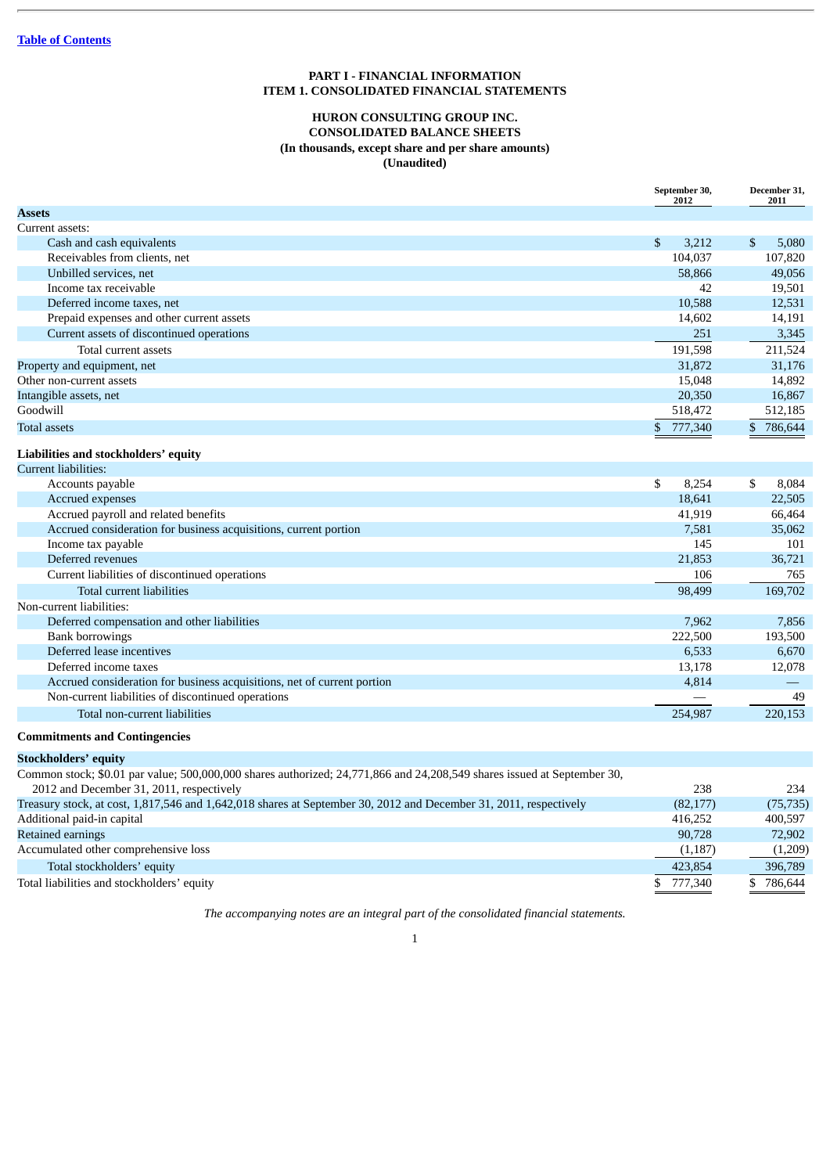## **PART I - FINANCIAL INFORMATION ITEM 1. CONSOLIDATED FINANCIAL STATEMENTS**

## **HURON CONSULTING GROUP INC. CONSOLIDATED BALANCE SHEETS (In thousands, except share and per share amounts) (Unaudited)**

<span id="page-2-2"></span><span id="page-2-1"></span><span id="page-2-0"></span>

|                                                                         | September 30,<br>2012 | December 31.<br>2011  |
|-------------------------------------------------------------------------|-----------------------|-----------------------|
| <b>Assets</b>                                                           |                       |                       |
| Current assets:                                                         |                       |                       |
| Cash and cash equivalents                                               | $\mathbb{S}$<br>3,212 | $\mathbb{S}$<br>5,080 |
| Receivables from clients, net                                           | 104,037               | 107,820               |
| Unbilled services, net                                                  | 58.866                | 49,056                |
| Income tax receivable                                                   | 42                    | 19,501                |
| Deferred income taxes, net                                              | 10,588                | 12,531                |
| Prepaid expenses and other current assets                               | 14,602                | 14,191                |
| Current assets of discontinued operations                               | 251                   | 3,345                 |
| Total current assets                                                    | 191,598               | 211,524               |
| Property and equipment, net                                             | 31,872                | 31,176                |
| Other non-current assets                                                | 15,048                | 14,892                |
| Intangible assets, net                                                  | 20,350                | 16,867                |
| Goodwill                                                                | 518,472               | 512,185               |
| <b>Total assets</b>                                                     | 777,340<br>\$         | \$786,644             |
| Liabilities and stockholders' equity                                    |                       |                       |
| Current liabilities:                                                    |                       |                       |
| Accounts payable                                                        | \$<br>8,254           | \$<br>8,084           |
| Accrued expenses                                                        | 18,641                | 22,505                |
| Accrued payroll and related benefits                                    | 41,919                | 66,464                |
| Accrued consideration for business acquisitions, current portion        | 7,581                 | 35,062                |
| Income tax payable                                                      | 145                   | 101                   |
| Deferred revenues                                                       | 21,853                | 36,721                |
| Current liabilities of discontinued operations                          | 106                   | 765                   |
| Total current liabilities                                               | 98,499                | 169,702               |
| Non-current liabilities:                                                |                       |                       |
| Deferred compensation and other liabilities                             | 7,962                 | 7,856                 |
| <b>Bank borrowings</b>                                                  | 222,500               | 193,500               |
| Deferred lease incentives                                               | 6,533                 | 6,670                 |
| Deferred income taxes                                                   | 13,178                | 12,078                |
| Accrued consideration for business acquisitions, net of current portion | 4,814                 |                       |
| Non-current liabilities of discontinued operations                      |                       | 49                    |
| Total non-current liabilities                                           | 254,987               | 220,153               |
| <b>Commitments and Contingencies</b>                                    |                       |                       |

## **Stockholders' equity**

| 238        | 234       |
|------------|-----------|
| (82, 177)  | (75, 735) |
| 416.252    | 400.597   |
| 90,728     | 72,902    |
| (1,187)    | (1,209)   |
| 423,854    | 396,789   |
| \$ 777,340 | \$786,644 |
|            |           |

*The accompanying notes are an integral part of the consolidated financial statements.*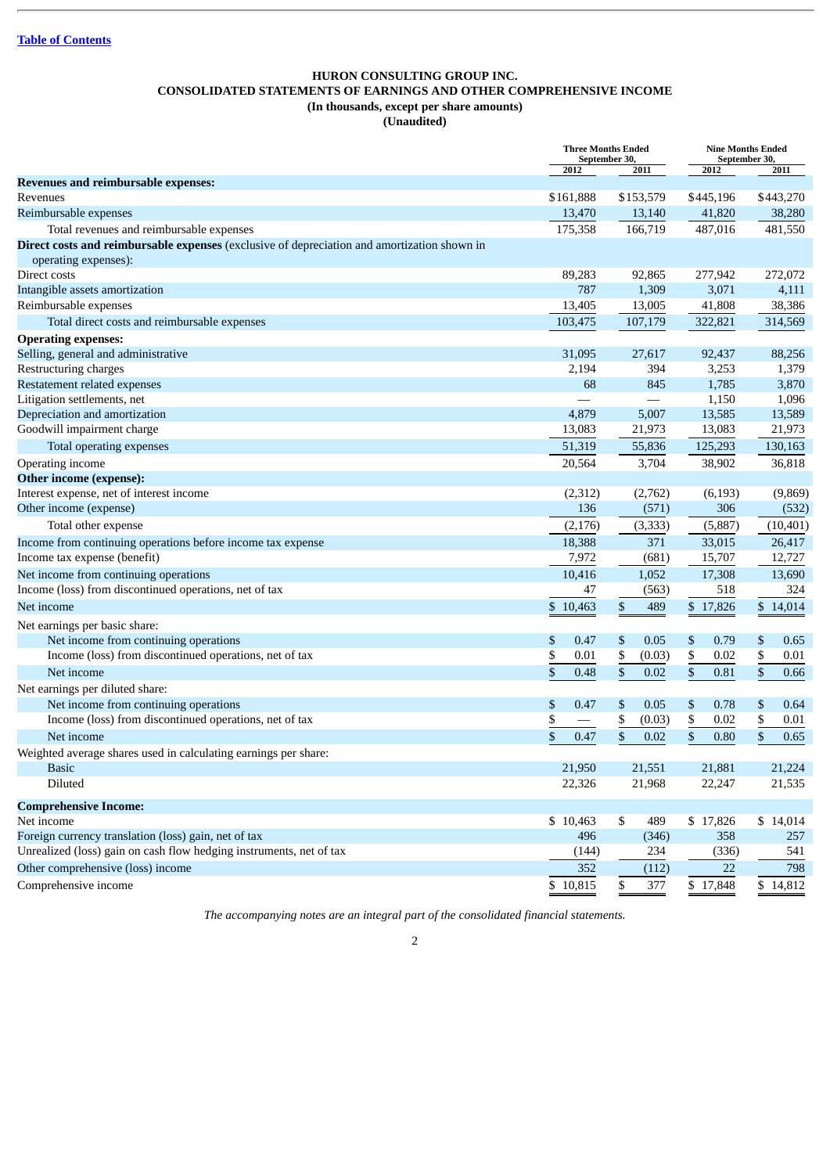## **HURON CONSULTING GROUP INC. CONSOLIDATED STATEMENTS OF EARNINGS AND OTHER COMPREHENSIVE INCOME (In thousands, except per share amounts)**

**(Unaudited)**

<span id="page-3-0"></span>

|                                                                                             | <b>Three Months Ended</b><br>September 30, |              | <b>Nine Months Ended</b><br>September 30, |                         |
|---------------------------------------------------------------------------------------------|--------------------------------------------|--------------|-------------------------------------------|-------------------------|
|                                                                                             | 2012                                       | 2011         | 2012                                      | 2011                    |
| <b>Revenues and reimbursable expenses:</b>                                                  |                                            |              |                                           |                         |
| Revenues                                                                                    | \$161,888                                  | \$153,579    | \$445,196                                 | \$443,270               |
| Reimbursable expenses                                                                       | 13,470                                     | 13,140       | 41,820                                    | 38,280                  |
| Total revenues and reimbursable expenses                                                    | 175,358                                    | 166,719      | 487,016                                   | 481,550                 |
| Direct costs and reimbursable expenses (exclusive of depreciation and amortization shown in |                                            |              |                                           |                         |
| operating expenses):                                                                        |                                            |              |                                           |                         |
| Direct costs                                                                                | 89,283                                     | 92,865       | 277,942                                   | 272,072                 |
| Intangible assets amortization                                                              | 787                                        | 1,309        | 3,071                                     | 4,111                   |
| Reimbursable expenses                                                                       | 13,405                                     | 13,005       | 41,808                                    | 38,386                  |
| Total direct costs and reimbursable expenses                                                | 103,475                                    | 107,179      | 322,821                                   | 314,569                 |
| <b>Operating expenses:</b>                                                                  |                                            |              |                                           |                         |
| Selling, general and administrative                                                         | 31,095                                     | 27,617       | 92,437                                    | 88,256                  |
| Restructuring charges                                                                       | 2,194                                      | 394          | 3,253                                     | 1,379                   |
| Restatement related expenses                                                                | 68                                         | 845          | 1,785                                     | 3,870                   |
| Litigation settlements, net                                                                 |                                            |              | 1,150                                     | 1,096                   |
| Depreciation and amortization                                                               | 4,879                                      | 5,007        | 13,585                                    | 13,589                  |
| Goodwill impairment charge                                                                  | 13,083                                     | 21,973       | 13,083                                    | 21,973                  |
| Total operating expenses                                                                    | 51,319                                     | 55,836       | 125,293                                   | 130,163                 |
| Operating income                                                                            | 20,564                                     | 3,704        | 38,902                                    | 36,818                  |
| Other income (expense):                                                                     |                                            |              |                                           |                         |
| Interest expense, net of interest income                                                    | (2,312)                                    | (2,762)      | (6, 193)                                  | (9,869)                 |
| Other income (expense)                                                                      | 136                                        | (571)        | 306                                       | (532)                   |
| Total other expense                                                                         | (2, 176)                                   | (3, 333)     | (5,887)                                   | (10, 401)               |
| Income from continuing operations before income tax expense                                 | 18,388                                     | 371          | 33,015                                    | 26,417                  |
| Income tax expense (benefit)                                                                | 7,972                                      | (681)        | 15,707                                    | 12,727                  |
|                                                                                             |                                            |              |                                           |                         |
| Net income from continuing operations                                                       | 10,416                                     | 1,052        | 17,308                                    | 13,690                  |
| Income (loss) from discontinued operations, net of tax                                      | 47                                         | (563)        | 518                                       | 324                     |
| Net income                                                                                  | 10,463<br>\$                               | \$<br>489    | \$17,826                                  | \$14,014                |
| Net earnings per basic share:                                                               |                                            |              |                                           |                         |
| Net income from continuing operations                                                       | \$<br>0.47                                 | \$<br>0.05   | \$<br>0.79                                | \$<br>0.65              |
| Income (loss) from discontinued operations, net of tax                                      | \$<br>0.01                                 | \$<br>(0.03) | \$<br>0.02                                | \$<br>0.01              |
| Net income                                                                                  | \$<br>0.48                                 | \$<br>0.02   | \$<br>0.81                                | $\overline{\$}$<br>0.66 |
| Net earnings per diluted share:                                                             |                                            |              |                                           |                         |
| Net income from continuing operations                                                       | \$<br>0.47                                 | \$<br>0.05   | \$<br>0.78                                | \$<br>0.64              |
| Income (loss) from discontinued operations, net of tax                                      | \$                                         | \$<br>(0.03) | \$<br>0.02                                | \$<br>0.01              |
| Net income                                                                                  | \$<br>0.47                                 | \$<br>0.02   | \$<br>0.80                                | \$<br>0.65              |
| Weighted average shares used in calculating earnings per share:                             |                                            |              |                                           |                         |
| <b>Basic</b>                                                                                | 21,950                                     | 21,551       | 21,881                                    | 21,224                  |
| Diluted                                                                                     | 22,326                                     | 21,968       | 22,247                                    | 21,535                  |
|                                                                                             |                                            |              |                                           |                         |
| <b>Comprehensive Income:</b>                                                                |                                            |              |                                           |                         |
| Net income                                                                                  | \$10,463                                   | \$<br>489    | \$17,826                                  | \$14,014                |
| Foreign currency translation (loss) gain, net of tax                                        | 496                                        | (346)        | 358                                       | 257                     |
| Unrealized (loss) gain on cash flow hedging instruments, net of tax                         | (144)                                      | 234          | (336)                                     | 541                     |
| Other comprehensive (loss) income                                                           | 352                                        | (112)        | 22                                        | 798                     |
| Comprehensive income                                                                        | \$10,815                                   | 377<br>\$    | \$17,848                                  | \$14,812                |

*The accompanying notes are an integral part of the consolidated financial statements.*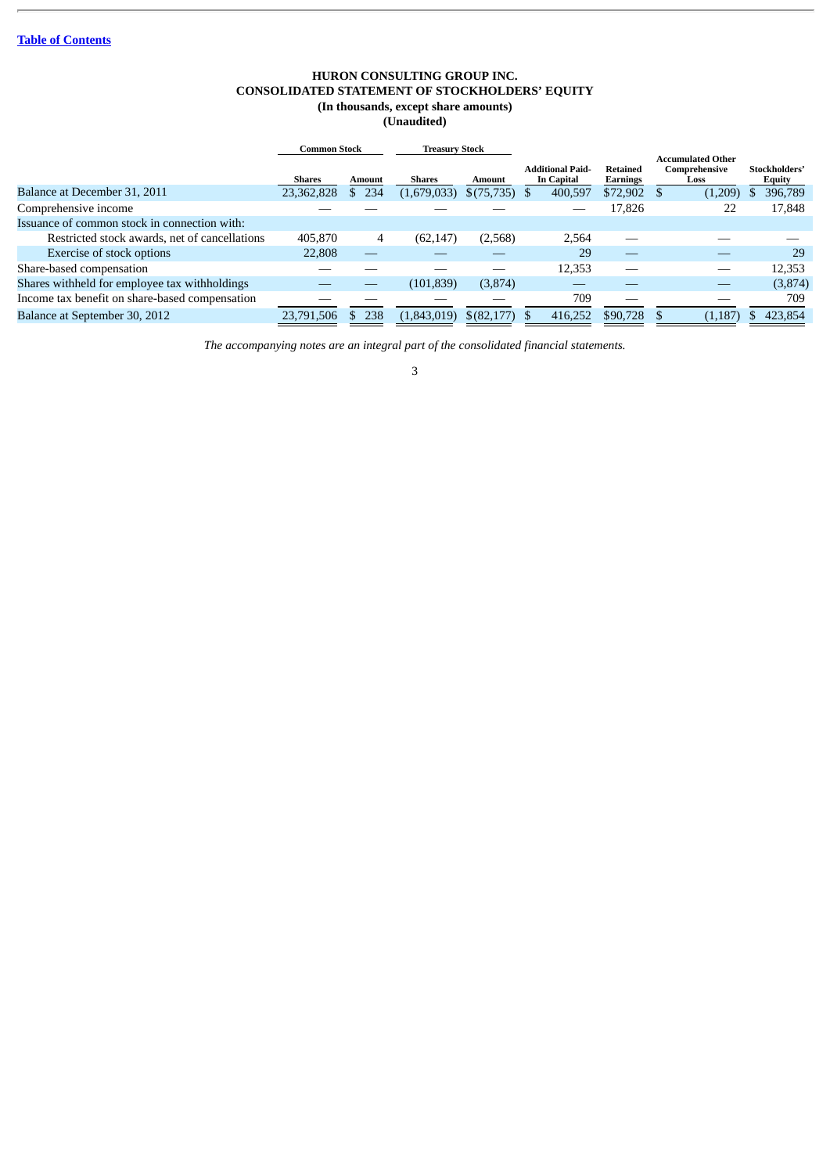## **HURON CONSULTING GROUP INC. CONSOLIDATED STATEMENT OF STOCKHOLDERS' EQUITY (In thousands, except share amounts) (Unaudited)**

<span id="page-4-0"></span>

|                                                | Common Stock<br><b>Treasury Stock</b> |            |               |                |                                              |                             |                                                   |                         |
|------------------------------------------------|---------------------------------------|------------|---------------|----------------|----------------------------------------------|-----------------------------|---------------------------------------------------|-------------------------|
|                                                | <b>Shares</b>                         | Amount     | <b>Shares</b> | Amount         | <b>Additional Paid-</b><br><b>In Capital</b> | Retained<br><b>Earnings</b> | <b>Accumulated Other</b><br>Comprehensive<br>Loss | Stockholders'<br>Equity |
| Balance at December 31, 2011                   | 23,362,828                            | 234<br>S.  | (1,679,033)   | $$(75,735)$ \; | 400,597                                      | \$72,902                    | (1,209)                                           | 396,789<br>S            |
| Comprehensive income                           |                                       |            |               |                |                                              | 17,826                      | 22                                                | 17,848                  |
| Issuance of common stock in connection with:   |                                       |            |               |                |                                              |                             |                                                   |                         |
| Restricted stock awards, net of cancellations  | 405,870                               | 4          | (62, 147)     | (2,568)        | 2,564                                        |                             |                                                   |                         |
| Exercise of stock options                      | 22,808                                |            |               |                | 29                                           |                             |                                                   | 29                      |
| Share-based compensation                       |                                       |            |               |                | 12,353                                       |                             |                                                   | 12,353                  |
| Shares withheld for employee tax withholdings  |                                       |            | (101, 839)    | (3,874)        |                                              |                             |                                                   | (3,874)                 |
| Income tax benefit on share-based compensation |                                       |            |               |                | 709                                          |                             |                                                   | 709                     |
| Balance at September 30, 2012                  | 23,791,506                            | 238<br>\$. | (1,843,019)   | \$(82,177)     | 416.252                                      | \$90,728                    | (1, 187)                                          | 423,854                 |

*The accompanying notes are an integral part of the consolidated financial statements.*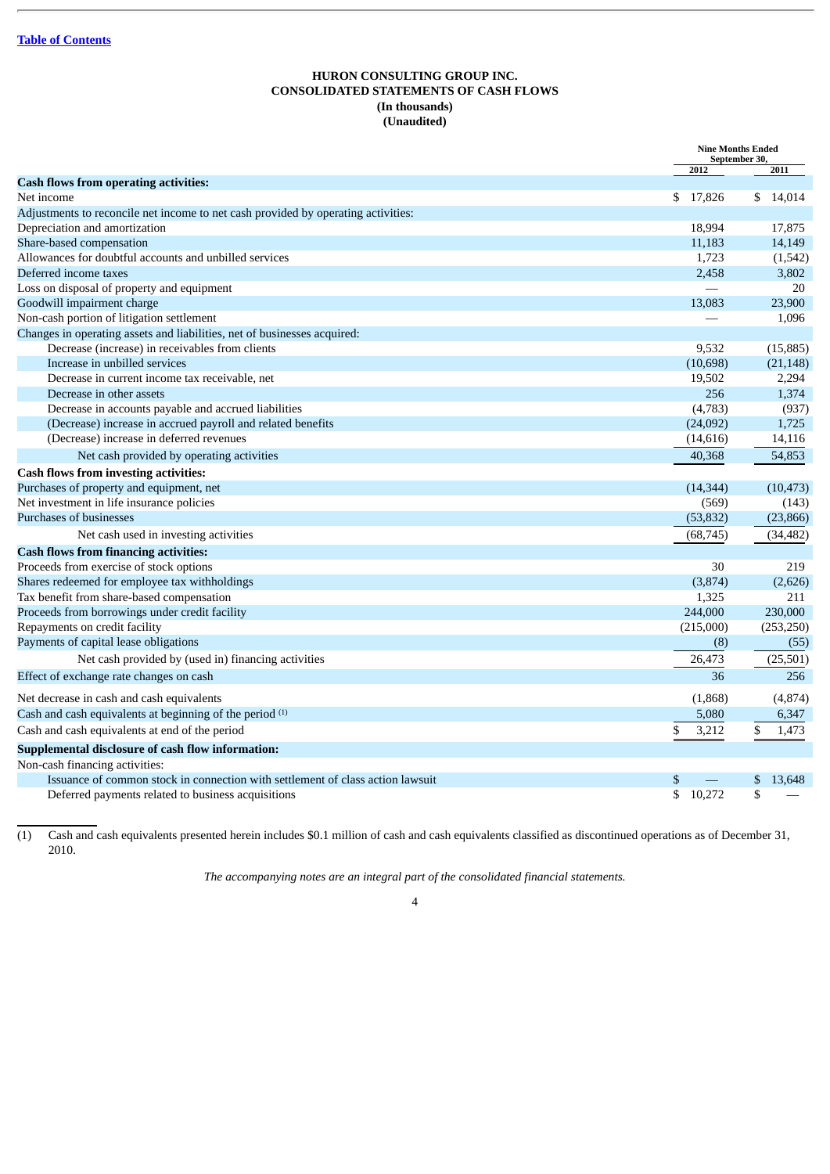## **HURON CONSULTING GROUP INC. CONSOLIDATED STATEMENTS OF CASH FLOWS (In thousands) (Unaudited)**

<span id="page-5-0"></span>

|                                                                                   |              | <b>Nine Months Ended</b><br>September 30 |  |  |  |
|-----------------------------------------------------------------------------------|--------------|------------------------------------------|--|--|--|
|                                                                                   | 2012         | 2011                                     |  |  |  |
| <b>Cash flows from operating activities:</b><br>Net income                        | \$17,826     | \$<br>14,014                             |  |  |  |
| Adjustments to reconcile net income to net cash provided by operating activities: |              |                                          |  |  |  |
| Depreciation and amortization                                                     | 18,994       | 17,875                                   |  |  |  |
| Share-based compensation                                                          | 11,183       | 14,149                                   |  |  |  |
| Allowances for doubtful accounts and unbilled services                            | 1,723        | (1,542)                                  |  |  |  |
| Deferred income taxes                                                             | 2,458        | 3,802                                    |  |  |  |
| Loss on disposal of property and equipment                                        |              | 20                                       |  |  |  |
| Goodwill impairment charge                                                        | 13,083       | 23,900                                   |  |  |  |
| Non-cash portion of litigation settlement                                         |              | 1,096                                    |  |  |  |
| Changes in operating assets and liabilities, net of businesses acquired:          |              |                                          |  |  |  |
| Decrease (increase) in receivables from clients                                   | 9,532        | (15, 885)                                |  |  |  |
| Increase in unbilled services                                                     | (10,698)     | (21, 148)                                |  |  |  |
| Decrease in current income tax receivable, net                                    | 19,502       | 2,294                                    |  |  |  |
| Decrease in other assets                                                          | 256          | 1,374                                    |  |  |  |
| Decrease in accounts payable and accrued liabilities                              | (4,783)      | (937)                                    |  |  |  |
| (Decrease) increase in accrued payroll and related benefits                       | (24,092)     | 1,725                                    |  |  |  |
| (Decrease) increase in deferred revenues                                          | (14, 616)    | 14,116                                   |  |  |  |
| Net cash provided by operating activities                                         | 40,368       | 54,853                                   |  |  |  |
| <b>Cash flows from investing activities:</b>                                      |              |                                          |  |  |  |
| Purchases of property and equipment, net                                          | (14, 344)    | (10, 473)                                |  |  |  |
| Net investment in life insurance policies                                         | (569)        | (143)                                    |  |  |  |
| Purchases of businesses                                                           | (53, 832)    | (23, 866)                                |  |  |  |
|                                                                                   |              |                                          |  |  |  |
| Net cash used in investing activities                                             | (68, 745)    | (34, 482)                                |  |  |  |
| <b>Cash flows from financing activities:</b>                                      |              |                                          |  |  |  |
| Proceeds from exercise of stock options                                           | 30           | 219                                      |  |  |  |
| Shares redeemed for employee tax withholdings                                     | (3,874)      | (2,626)                                  |  |  |  |
| Tax benefit from share-based compensation                                         | 1,325        | 211                                      |  |  |  |
| Proceeds from borrowings under credit facility                                    | 244,000      | 230,000                                  |  |  |  |
| Repayments on credit facility                                                     | (215,000)    | (253, 250)                               |  |  |  |
| Payments of capital lease obligations                                             | (8)          | (55)                                     |  |  |  |
| Net cash provided by (used in) financing activities                               | 26,473       | (25, 501)                                |  |  |  |
| Effect of exchange rate changes on cash                                           | 36           | 256                                      |  |  |  |
| Net decrease in cash and cash equivalents                                         | (1,868)      | (4,874)                                  |  |  |  |
| Cash and cash equivalents at beginning of the period (1)                          | 5,080        | 6,347                                    |  |  |  |
| Cash and cash equivalents at end of the period                                    | \$<br>3,212  | \$<br>1,473                              |  |  |  |
|                                                                                   |              |                                          |  |  |  |
| Supplemental disclosure of cash flow information:                                 |              |                                          |  |  |  |
| Non-cash financing activities:                                                    |              |                                          |  |  |  |
| Issuance of common stock in connection with settlement of class action lawsuit    | \$           | 13,648<br>\$                             |  |  |  |
| Deferred payments related to business acquisitions                                | \$<br>10,272 | \$                                       |  |  |  |

(1) Cash and cash equivalents presented herein includes \$0.1 million of cash and cash equivalents classified as discontinued operations as of December 31, 2010.

*The accompanying notes are an integral part of the consolidated financial statements.*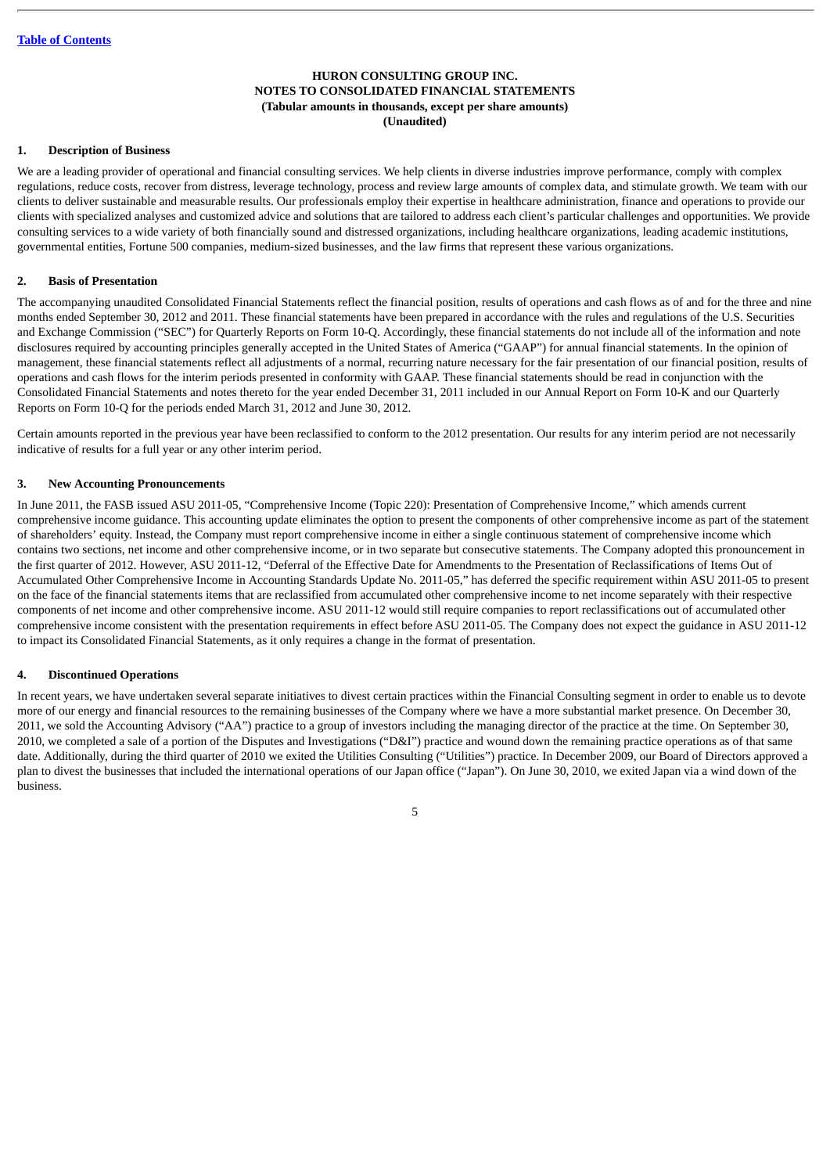#### <span id="page-6-0"></span>**1. Description of Business**

We are a leading provider of operational and financial consulting services. We help clients in diverse industries improve performance, comply with complex regulations, reduce costs, recover from distress, leverage technology, process and review large amounts of complex data, and stimulate growth. We team with our clients to deliver sustainable and measurable results. Our professionals employ their expertise in healthcare administration, finance and operations to provide our clients with specialized analyses and customized advice and solutions that are tailored to address each client's particular challenges and opportunities. We provide consulting services to a wide variety of both financially sound and distressed organizations, including healthcare organizations, leading academic institutions, governmental entities, Fortune 500 companies, medium-sized businesses, and the law firms that represent these various organizations.

#### **2. Basis of Presentation**

The accompanying unaudited Consolidated Financial Statements reflect the financial position, results of operations and cash flows as of and for the three and nine months ended September 30, 2012 and 2011. These financial statements have been prepared in accordance with the rules and regulations of the U.S. Securities and Exchange Commission ("SEC") for Quarterly Reports on Form 10-Q. Accordingly, these financial statements do not include all of the information and note disclosures required by accounting principles generally accepted in the United States of America ("GAAP") for annual financial statements. In the opinion of management, these financial statements reflect all adjustments of a normal, recurring nature necessary for the fair presentation of our financial position, results of operations and cash flows for the interim periods presented in conformity with GAAP. These financial statements should be read in conjunction with the Consolidated Financial Statements and notes thereto for the year ended December 31, 2011 included in our Annual Report on Form 10-K and our Quarterly Reports on Form 10-Q for the periods ended March 31, 2012 and June 30, 2012.

Certain amounts reported in the previous year have been reclassified to conform to the 2012 presentation. Our results for any interim period are not necessarily indicative of results for a full year or any other interim period.

#### **3. New Accounting Pronouncements**

In June 2011, the FASB issued ASU 2011-05, "Comprehensive Income (Topic 220): Presentation of Comprehensive Income," which amends current comprehensive income guidance. This accounting update eliminates the option to present the components of other comprehensive income as part of the statement of shareholders' equity. Instead, the Company must report comprehensive income in either a single continuous statement of comprehensive income which contains two sections, net income and other comprehensive income, or in two separate but consecutive statements. The Company adopted this pronouncement in the first quarter of 2012. However, ASU 2011-12, "Deferral of the Effective Date for Amendments to the Presentation of Reclassifications of Items Out of Accumulated Other Comprehensive Income in Accounting Standards Update No. 2011-05," has deferred the specific requirement within ASU 2011-05 to present on the face of the financial statements items that are reclassified from accumulated other comprehensive income to net income separately with their respective components of net income and other comprehensive income. ASU 2011-12 would still require companies to report reclassifications out of accumulated other comprehensive income consistent with the presentation requirements in effect before ASU 2011-05. The Company does not expect the guidance in ASU 2011-12 to impact its Consolidated Financial Statements, as it only requires a change in the format of presentation.

#### **4. Discontinued Operations**

In recent years, we have undertaken several separate initiatives to divest certain practices within the Financial Consulting segment in order to enable us to devote more of our energy and financial resources to the remaining businesses of the Company where we have a more substantial market presence. On December 30, 2011, we sold the Accounting Advisory ("AA") practice to a group of investors including the managing director of the practice at the time. On September 30, 2010, we completed a sale of a portion of the Disputes and Investigations ("D&I") practice and wound down the remaining practice operations as of that same date. Additionally, during the third quarter of 2010 we exited the Utilities Consulting ("Utilities") practice. In December 2009, our Board of Directors approved a plan to divest the businesses that included the international operations of our Japan office ("Japan"). On June 30, 2010, we exited Japan via a wind down of the business.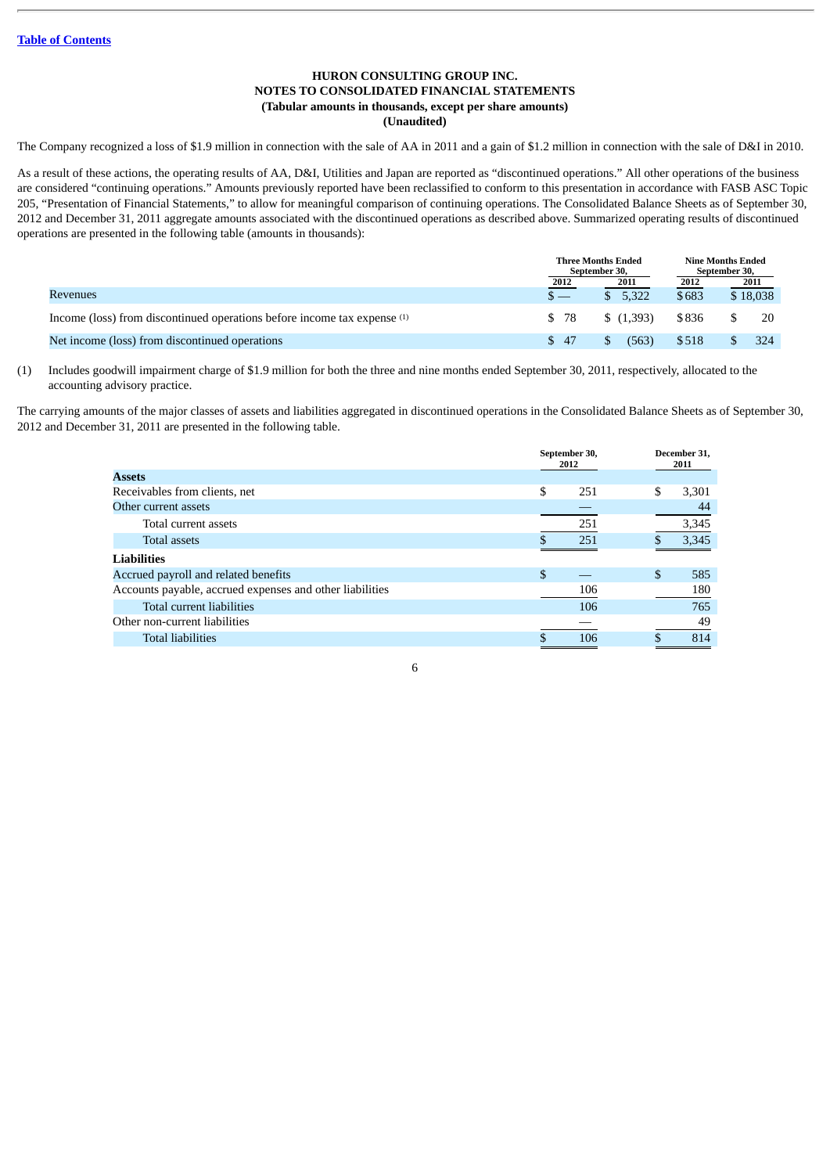The Company recognized a loss of \$1.9 million in connection with the sale of AA in 2011 and a gain of \$1.2 million in connection with the sale of D&I in 2010.

As a result of these actions, the operating results of AA, D&I, Utilities and Japan are reported as "discontinued operations." All other operations of the business are considered "continuing operations." Amounts previously reported have been reclassified to conform to this presentation in accordance with FASB ASC Topic 205, "Presentation of Financial Statements," to allow for meaningful comparison of continuing operations. The Consolidated Balance Sheets as of September 30, 2012 and December 31, 2011 aggregate amounts associated with the discontinued operations as described above. Summarized operating results of discontinued operations are presented in the following table (amounts in thousands):

|                                                                                     | <b>Three Months Ended</b><br>September 30. |         |       | <b>Nine Months Ended</b><br>September 30. |     |
|-------------------------------------------------------------------------------------|--------------------------------------------|---------|-------|-------------------------------------------|-----|
|                                                                                     | 2012                                       | 2011    | 2012  | 2011                                      |     |
| Revenues                                                                            |                                            | 5.322   | \$683 | \$18,038                                  |     |
| Income (loss) from discontinued operations before income tax expense <sup>(1)</sup> | \$ 78                                      | (1,393) | \$836 |                                           | 20  |
| Net income (loss) from discontinued operations                                      | -47<br><sup>S</sup>                        | (563)   | \$518 |                                           | 324 |

(1) Includes goodwill impairment charge of \$1.9 million for both the three and nine months ended September 30, 2011, respectively, allocated to the accounting advisory practice.

The carrying amounts of the major classes of assets and liabilities aggregated in discontinued operations in the Consolidated Balance Sheets as of September 30, 2012 and December 31, 2011 are presented in the following table.

|                                                          | September 30,<br>2012 |     | December 31.<br>2011 |  |
|----------------------------------------------------------|-----------------------|-----|----------------------|--|
| <b>Assets</b>                                            |                       |     |                      |  |
| Receivables from clients, net                            | \$                    | 251 | \$<br>3,301          |  |
| Other current assets                                     |                       |     | 44                   |  |
| Total current assets                                     |                       | 251 | 3,345                |  |
| Total assets                                             |                       | 251 | 3,345                |  |
| Liabilities                                              |                       |     |                      |  |
| Accrued payroll and related benefits                     | \$                    |     | \$<br>585            |  |
| Accounts payable, accrued expenses and other liabilities |                       | 106 | 180                  |  |
| Total current liabilities                                |                       | 106 | 765                  |  |
| Other non-current liabilities                            |                       |     | 49                   |  |
| <b>Total liabilities</b>                                 |                       | 106 | 814                  |  |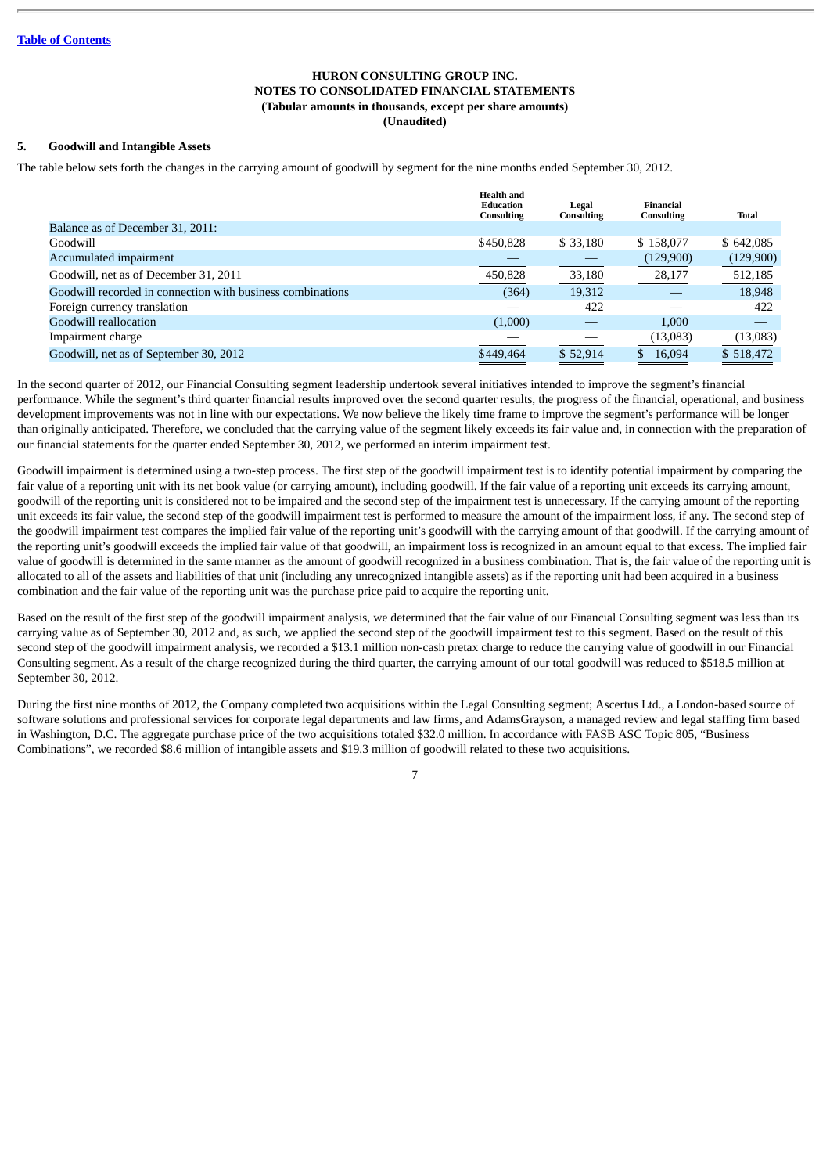## **5. Goodwill and Intangible Assets**

The table below sets forth the changes in the carrying amount of goodwill by segment for the nine months ended September 30, 2012.

|                                                            | <b>Health and</b><br><b>Education</b><br>Consulting | Legal<br><b>Consulting</b> | Financial<br><b>Consulting</b> | Total     |
|------------------------------------------------------------|-----------------------------------------------------|----------------------------|--------------------------------|-----------|
| Balance as of December 31, 2011:                           |                                                     |                            |                                |           |
| Goodwill                                                   | \$450,828                                           | \$33,180                   | \$158,077                      | \$642,085 |
| Accumulated impairment                                     |                                                     |                            | (129,900)                      | (129,900) |
| Goodwill, net as of December 31, 2011                      | 450,828                                             | 33,180                     | 28,177                         | 512,185   |
| Goodwill recorded in connection with business combinations | (364)                                               | 19,312                     |                                | 18,948    |
| Foreign currency translation                               |                                                     | 422                        |                                | 422       |
| Goodwill reallocation                                      | (1,000)                                             |                            | 1.000                          |           |
| Impairment charge                                          |                                                     |                            | (13,083)                       | (13,083)  |
| Goodwill, net as of September 30, 2012                     | \$449,464                                           | \$52,914                   | 16,094<br>5                    | \$518,472 |

In the second quarter of 2012, our Financial Consulting segment leadership undertook several initiatives intended to improve the segment's financial performance. While the segment's third quarter financial results improved over the second quarter results, the progress of the financial, operational, and business development improvements was not in line with our expectations. We now believe the likely time frame to improve the segment's performance will be longer than originally anticipated. Therefore, we concluded that the carrying value of the segment likely exceeds its fair value and, in connection with the preparation of our financial statements for the quarter ended September 30, 2012, we performed an interim impairment test.

Goodwill impairment is determined using a two-step process. The first step of the goodwill impairment test is to identify potential impairment by comparing the fair value of a reporting unit with its net book value (or carrying amount), including goodwill. If the fair value of a reporting unit exceeds its carrying amount, goodwill of the reporting unit is considered not to be impaired and the second step of the impairment test is unnecessary. If the carrying amount of the reporting unit exceeds its fair value, the second step of the goodwill impairment test is performed to measure the amount of the impairment loss, if any. The second step of the goodwill impairment test compares the implied fair value of the reporting unit's goodwill with the carrying amount of that goodwill. If the carrying amount of the reporting unit's goodwill exceeds the implied fair value of that goodwill, an impairment loss is recognized in an amount equal to that excess. The implied fair value of goodwill is determined in the same manner as the amount of goodwill recognized in a business combination. That is, the fair value of the reporting unit is allocated to all of the assets and liabilities of that unit (including any unrecognized intangible assets) as if the reporting unit had been acquired in a business combination and the fair value of the reporting unit was the purchase price paid to acquire the reporting unit.

Based on the result of the first step of the goodwill impairment analysis, we determined that the fair value of our Financial Consulting segment was less than its carrying value as of September 30, 2012 and, as such, we applied the second step of the goodwill impairment test to this segment. Based on the result of this second step of the goodwill impairment analysis, we recorded a \$13.1 million non-cash pretax charge to reduce the carrying value of goodwill in our Financial Consulting segment. As a result of the charge recognized during the third quarter, the carrying amount of our total goodwill was reduced to \$518.5 million at September 30, 2012.

During the first nine months of 2012, the Company completed two acquisitions within the Legal Consulting segment; Ascertus Ltd., a London-based source of software solutions and professional services for corporate legal departments and law firms, and AdamsGrayson, a managed review and legal staffing firm based in Washington, D.C. The aggregate purchase price of the two acquisitions totaled \$32.0 million. In accordance with FASB ASC Topic 805, "Business Combinations", we recorded \$8.6 million of intangible assets and \$19.3 million of goodwill related to these two acquisitions.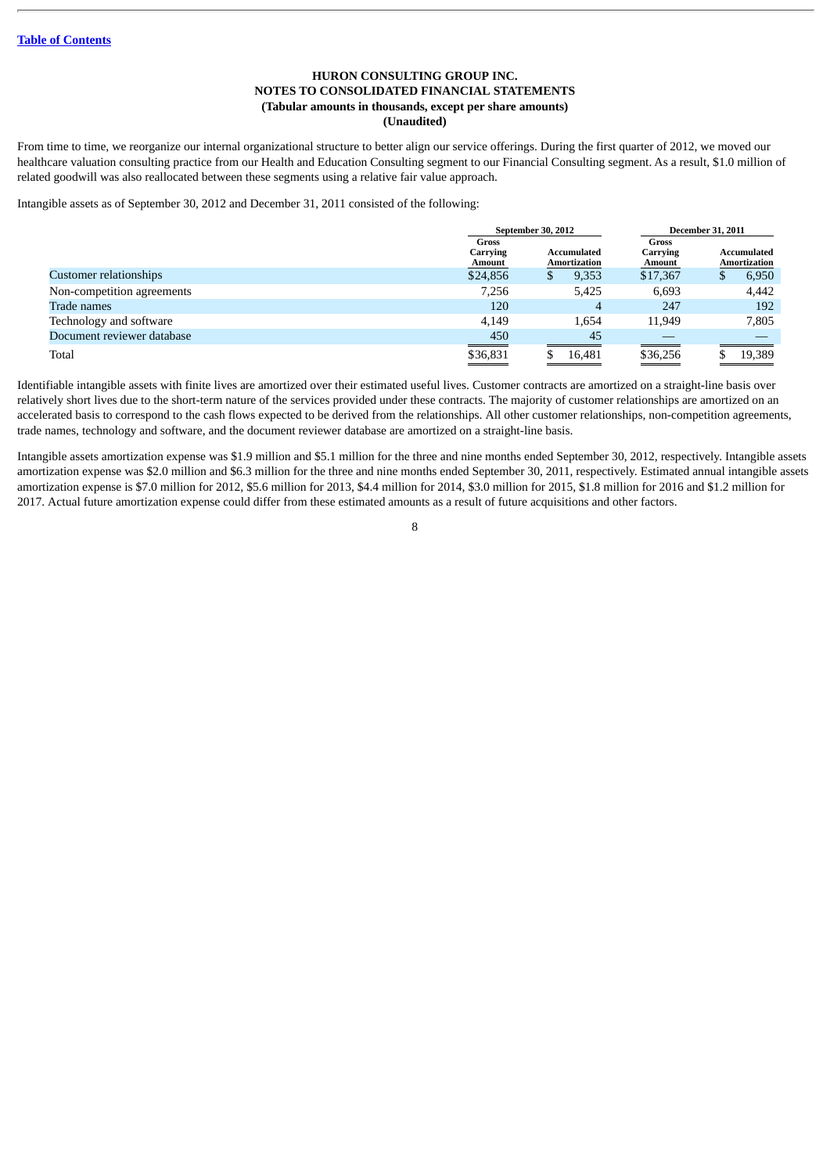From time to time, we reorganize our internal organizational structure to better align our service offerings. During the first quarter of 2012, we moved our healthcare valuation consulting practice from our Health and Education Consulting segment to our Financial Consulting segment. As a result, \$1.0 million of related goodwill was also reallocated between these segments using a relative fair value approach.

Intangible assets as of September 30, 2012 and December 31, 2011 consisted of the following:

|                            | September 30, 2012                 |                                    | <b>December 31, 2011</b>    |                                           |  |
|----------------------------|------------------------------------|------------------------------------|-----------------------------|-------------------------------------------|--|
|                            | <b>Gross</b><br>Carrying<br>Amount | <b>Accumulated</b><br>Amortization | Gross<br>Carrying<br>Amount | <b>Accumulated</b><br><b>Amortization</b> |  |
| Customer relationships     | \$24,856                           | 9,353                              | \$17,367                    | 6,950<br>D                                |  |
| Non-competition agreements | 7.256                              | 5,425                              | 6,693                       | 4,442                                     |  |
| Trade names                | 120                                | $\overline{4}$                     | 247                         | 192                                       |  |
| Technology and software    | 4.149                              | 1,654                              | 11.949                      | 7,805                                     |  |
| Document reviewer database | 450                                | 45                                 |                             |                                           |  |
| Total                      | \$36,831                           | 16.481                             | \$36,256                    | 19,389                                    |  |

Identifiable intangible assets with finite lives are amortized over their estimated useful lives. Customer contracts are amortized on a straight-line basis over relatively short lives due to the short-term nature of the services provided under these contracts. The majority of customer relationships are amortized on an accelerated basis to correspond to the cash flows expected to be derived from the relationships. All other customer relationships, non-competition agreements, trade names, technology and software, and the document reviewer database are amortized on a straight-line basis.

Intangible assets amortization expense was \$1.9 million and \$5.1 million for the three and nine months ended September 30, 2012, respectively. Intangible assets amortization expense was \$2.0 million and \$6.3 million for the three and nine months ended September 30, 2011, respectively. Estimated annual intangible assets amortization expense is \$7.0 million for 2012, \$5.6 million for 2013, \$4.4 million for 2014, \$3.0 million for 2015, \$1.8 million for 2016 and \$1.2 million for 2017. Actual future amortization expense could differ from these estimated amounts as a result of future acquisitions and other factors.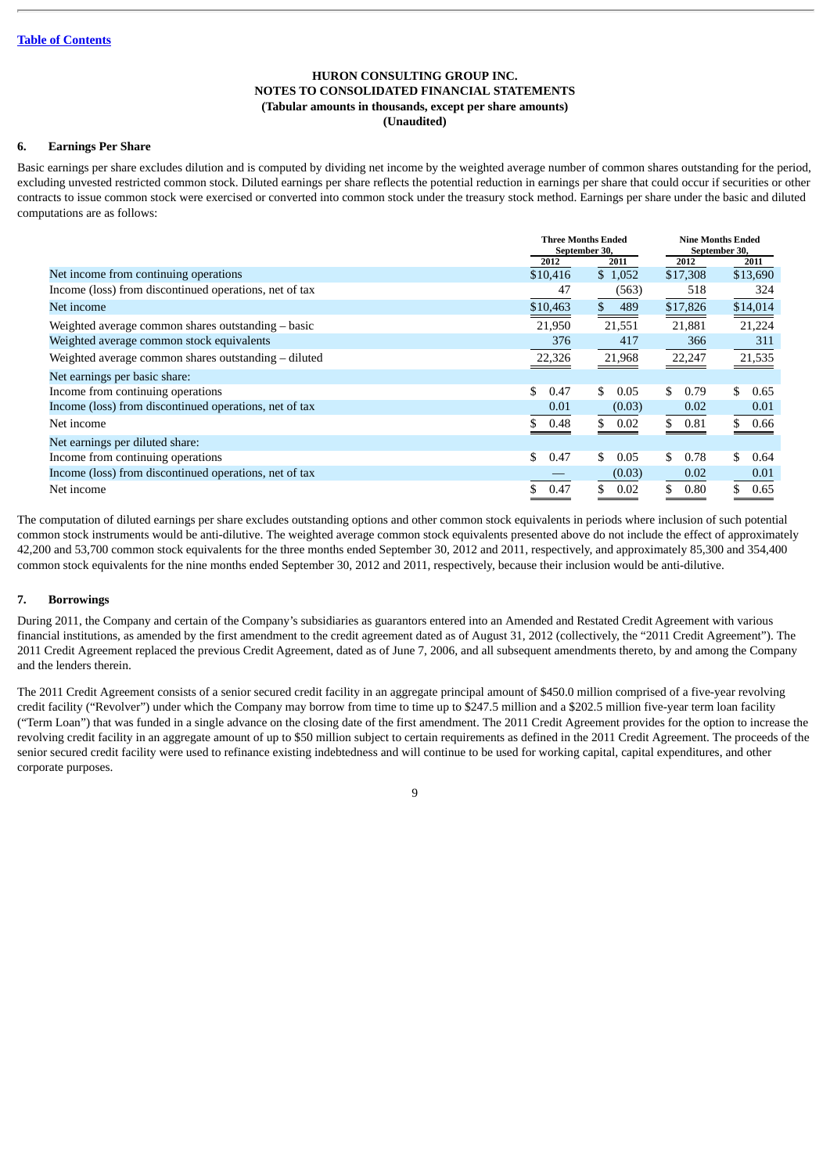## **6. Earnings Per Share**

Basic earnings per share excludes dilution and is computed by dividing net income by the weighted average number of common shares outstanding for the period, excluding unvested restricted common stock. Diluted earnings per share reflects the potential reduction in earnings per share that could occur if securities or other contracts to issue common stock were exercised or converted into common stock under the treasury stock method. Earnings per share under the basic and diluted computations are as follows:

|                                                        |            | <b>Three Months Ended</b><br>September 30, | <b>Nine Months Ended</b> | September 30, |
|--------------------------------------------------------|------------|--------------------------------------------|--------------------------|---------------|
|                                                        | 2012       | 2011                                       | 2012                     | 2011          |
| Net income from continuing operations                  | \$10,416   | \$1,052                                    | \$17,308                 | \$13,690      |
| Income (loss) from discontinued operations, net of tax | 47         | (563)                                      | 518                      | 324           |
| Net income                                             | \$10,463   | $\mathbb{S}$<br>489                        | \$17,826                 | \$14,014      |
| Weighted average common shares outstanding – basic     | 21,950     | 21,551                                     | 21,881                   | 21,224        |
| Weighted average common stock equivalents              | 376        | 417                                        | 366                      | 311           |
| Weighted average common shares outstanding - diluted   | 22,326     | 21,968                                     | 22,247                   | 21,535        |
| Net earnings per basic share:                          |            |                                            |                          |               |
| Income from continuing operations                      | \$<br>0.47 | \$.<br>0.05                                | \$<br>0.79               | \$<br>0.65    |
| Income (loss) from discontinued operations, net of tax | 0.01       | (0.03)                                     | 0.02                     | 0.01          |
| Net income                                             | 0.48       | \$0.02                                     | 0.81<br>S.               | 0.66<br>S.    |
| Net earnings per diluted share:                        |            |                                            |                          |               |
| Income from continuing operations                      | \$<br>0.47 | \$<br>0.05                                 | \$<br>0.78               | \$.<br>0.64   |
| Income (loss) from discontinued operations, net of tax |            | (0.03)                                     | 0.02                     | 0.01          |
| Net income                                             | \$<br>0.47 | \$<br>0.02                                 | 0.80<br>S.               | 0.65<br>S.    |

The computation of diluted earnings per share excludes outstanding options and other common stock equivalents in periods where inclusion of such potential common stock instruments would be anti-dilutive. The weighted average common stock equivalents presented above do not include the effect of approximately 42,200 and 53,700 common stock equivalents for the three months ended September 30, 2012 and 2011, respectively, and approximately 85,300 and 354,400 common stock equivalents for the nine months ended September 30, 2012 and 2011, respectively, because their inclusion would be anti-dilutive.

#### **7. Borrowings**

During 2011, the Company and certain of the Company's subsidiaries as guarantors entered into an Amended and Restated Credit Agreement with various financial institutions, as amended by the first amendment to the credit agreement dated as of August 31, 2012 (collectively, the "2011 Credit Agreement"). The 2011 Credit Agreement replaced the previous Credit Agreement, dated as of June 7, 2006, and all subsequent amendments thereto, by and among the Company and the lenders therein.

The 2011 Credit Agreement consists of a senior secured credit facility in an aggregate principal amount of \$450.0 million comprised of a five-year revolving credit facility ("Revolver") under which the Company may borrow from time to time up to \$247.5 million and a \$202.5 million five-year term loan facility ("Term Loan") that was funded in a single advance on the closing date of the first amendment. The 2011 Credit Agreement provides for the option to increase the revolving credit facility in an aggregate amount of up to \$50 million subject to certain requirements as defined in the 2011 Credit Agreement. The proceeds of the senior secured credit facility were used to refinance existing indebtedness and will continue to be used for working capital, capital expenditures, and other corporate purposes.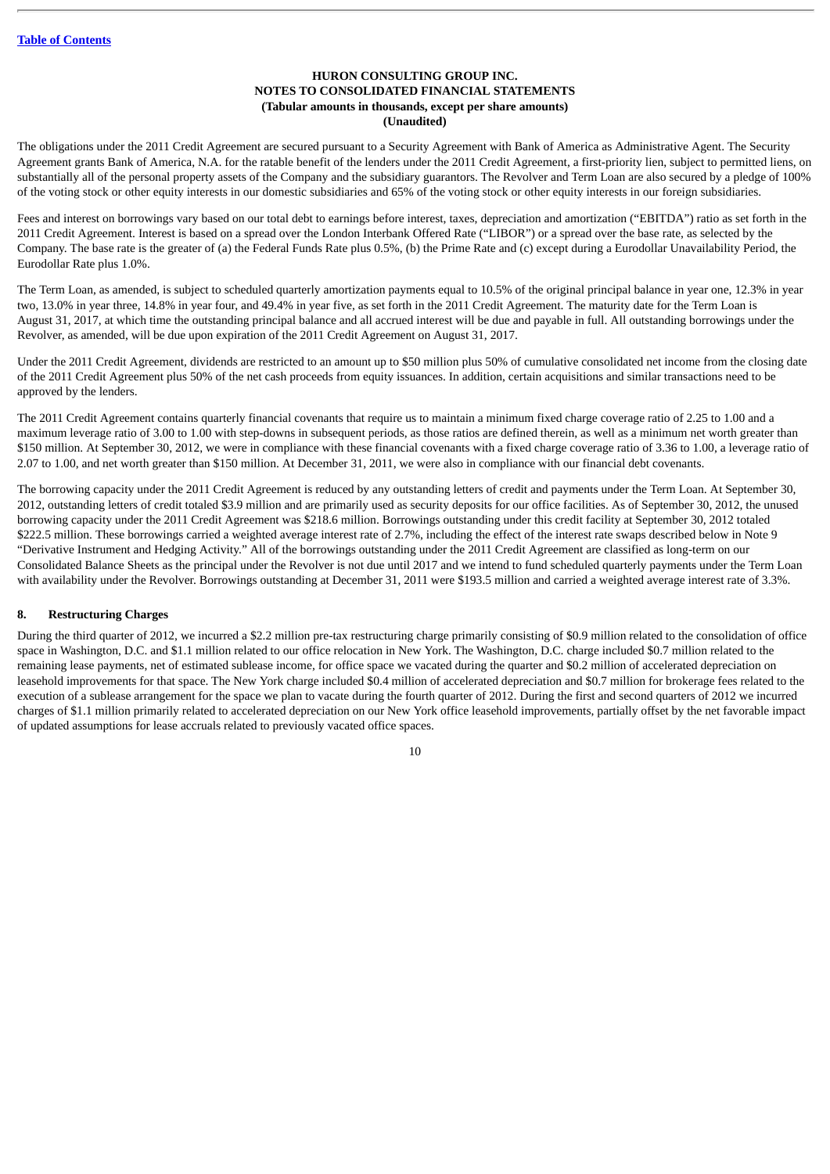The obligations under the 2011 Credit Agreement are secured pursuant to a Security Agreement with Bank of America as Administrative Agent. The Security Agreement grants Bank of America, N.A. for the ratable benefit of the lenders under the 2011 Credit Agreement, a first-priority lien, subject to permitted liens, on substantially all of the personal property assets of the Company and the subsidiary guarantors. The Revolver and Term Loan are also secured by a pledge of 100% of the voting stock or other equity interests in our domestic subsidiaries and 65% of the voting stock or other equity interests in our foreign subsidiaries.

Fees and interest on borrowings vary based on our total debt to earnings before interest, taxes, depreciation and amortization ("EBITDA") ratio as set forth in the 2011 Credit Agreement. Interest is based on a spread over the London Interbank Offered Rate ("LIBOR") or a spread over the base rate, as selected by the Company. The base rate is the greater of (a) the Federal Funds Rate plus 0.5%, (b) the Prime Rate and (c) except during a Eurodollar Unavailability Period, the Eurodollar Rate plus 1.0%.

The Term Loan, as amended, is subject to scheduled quarterly amortization payments equal to 10.5% of the original principal balance in year one, 12.3% in year two, 13.0% in year three, 14.8% in year four, and 49.4% in year five, as set forth in the 2011 Credit Agreement. The maturity date for the Term Loan is August 31, 2017, at which time the outstanding principal balance and all accrued interest will be due and payable in full. All outstanding borrowings under the Revolver, as amended, will be due upon expiration of the 2011 Credit Agreement on August 31, 2017.

Under the 2011 Credit Agreement, dividends are restricted to an amount up to \$50 million plus 50% of cumulative consolidated net income from the closing date of the 2011 Credit Agreement plus 50% of the net cash proceeds from equity issuances. In addition, certain acquisitions and similar transactions need to be approved by the lenders.

The 2011 Credit Agreement contains quarterly financial covenants that require us to maintain a minimum fixed charge coverage ratio of 2.25 to 1.00 and a maximum leverage ratio of 3.00 to 1.00 with step-downs in subsequent periods, as those ratios are defined therein, as well as a minimum net worth greater than \$150 million. At September 30, 2012, we were in compliance with these financial covenants with a fixed charge coverage ratio of 3.36 to 1.00, a leverage ratio of 2.07 to 1.00, and net worth greater than \$150 million. At December 31, 2011, we were also in compliance with our financial debt covenants.

The borrowing capacity under the 2011 Credit Agreement is reduced by any outstanding letters of credit and payments under the Term Loan. At September 30, 2012, outstanding letters of credit totaled \$3.9 million and are primarily used as security deposits for our office facilities. As of September 30, 2012, the unused borrowing capacity under the 2011 Credit Agreement was \$218.6 million. Borrowings outstanding under this credit facility at September 30, 2012 totaled \$222.5 million. These borrowings carried a weighted average interest rate of 2.7%, including the effect of the interest rate swaps described below in Note 9 "Derivative Instrument and Hedging Activity." All of the borrowings outstanding under the 2011 Credit Agreement are classified as long-term on our Consolidated Balance Sheets as the principal under the Revolver is not due until 2017 and we intend to fund scheduled quarterly payments under the Term Loan with availability under the Revolver. Borrowings outstanding at December 31, 2011 were \$193.5 million and carried a weighted average interest rate of 3.3%.

## **8. Restructuring Charges**

During the third quarter of 2012, we incurred a \$2.2 million pre-tax restructuring charge primarily consisting of \$0.9 million related to the consolidation of office space in Washington, D.C. and \$1.1 million related to our office relocation in New York. The Washington, D.C. charge included \$0.7 million related to the remaining lease payments, net of estimated sublease income, for office space we vacated during the quarter and \$0.2 million of accelerated depreciation on leasehold improvements for that space. The New York charge included \$0.4 million of accelerated depreciation and \$0.7 million for brokerage fees related to the execution of a sublease arrangement for the space we plan to vacate during the fourth quarter of 2012. During the first and second quarters of 2012 we incurred charges of \$1.1 million primarily related to accelerated depreciation on our New York office leasehold improvements, partially offset by the net favorable impact of updated assumptions for lease accruals related to previously vacated office spaces.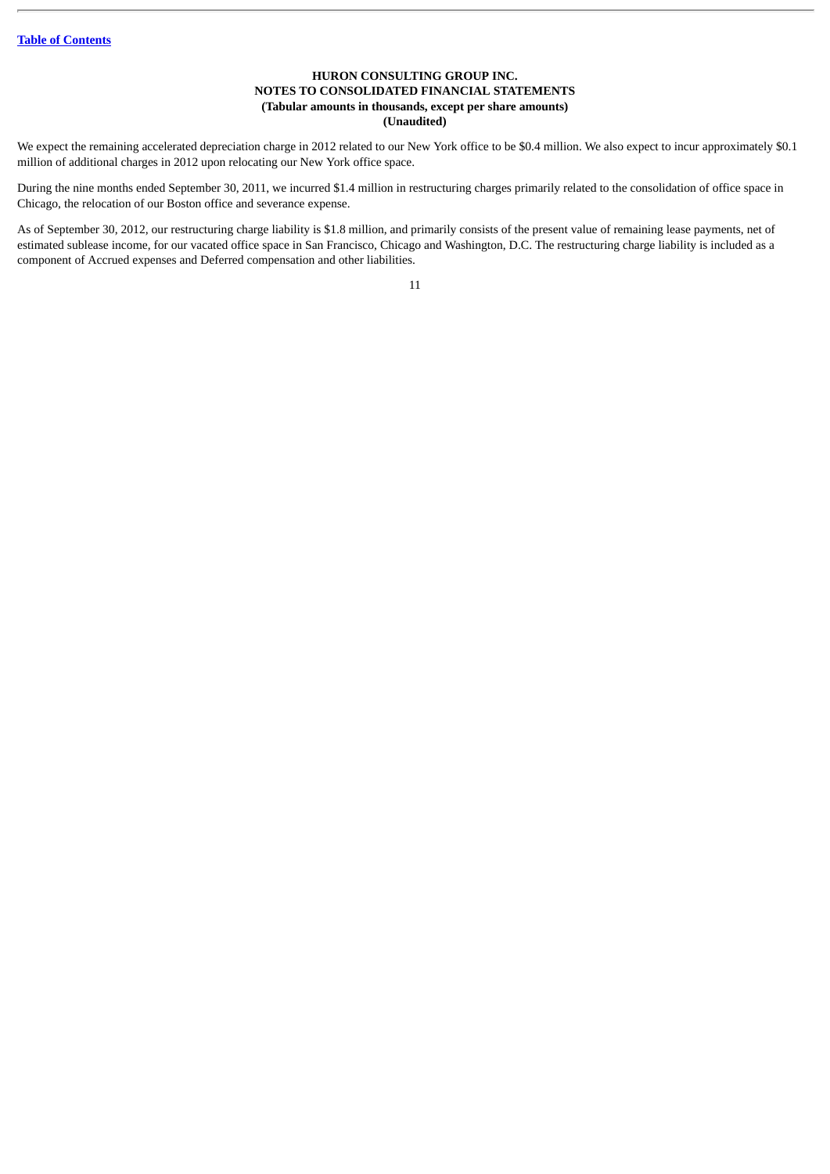We expect the remaining accelerated depreciation charge in 2012 related to our New York office to be \$0.4 million. We also expect to incur approximately \$0.1 million of additional charges in 2012 upon relocating our New York office space.

During the nine months ended September 30, 2011, we incurred \$1.4 million in restructuring charges primarily related to the consolidation of office space in Chicago, the relocation of our Boston office and severance expense.

As of September 30, 2012, our restructuring charge liability is \$1.8 million, and primarily consists of the present value of remaining lease payments, net of estimated sublease income, for our vacated office space in San Francisco, Chicago and Washington, D.C. The restructuring charge liability is included as a component of Accrued expenses and Deferred compensation and other liabilities.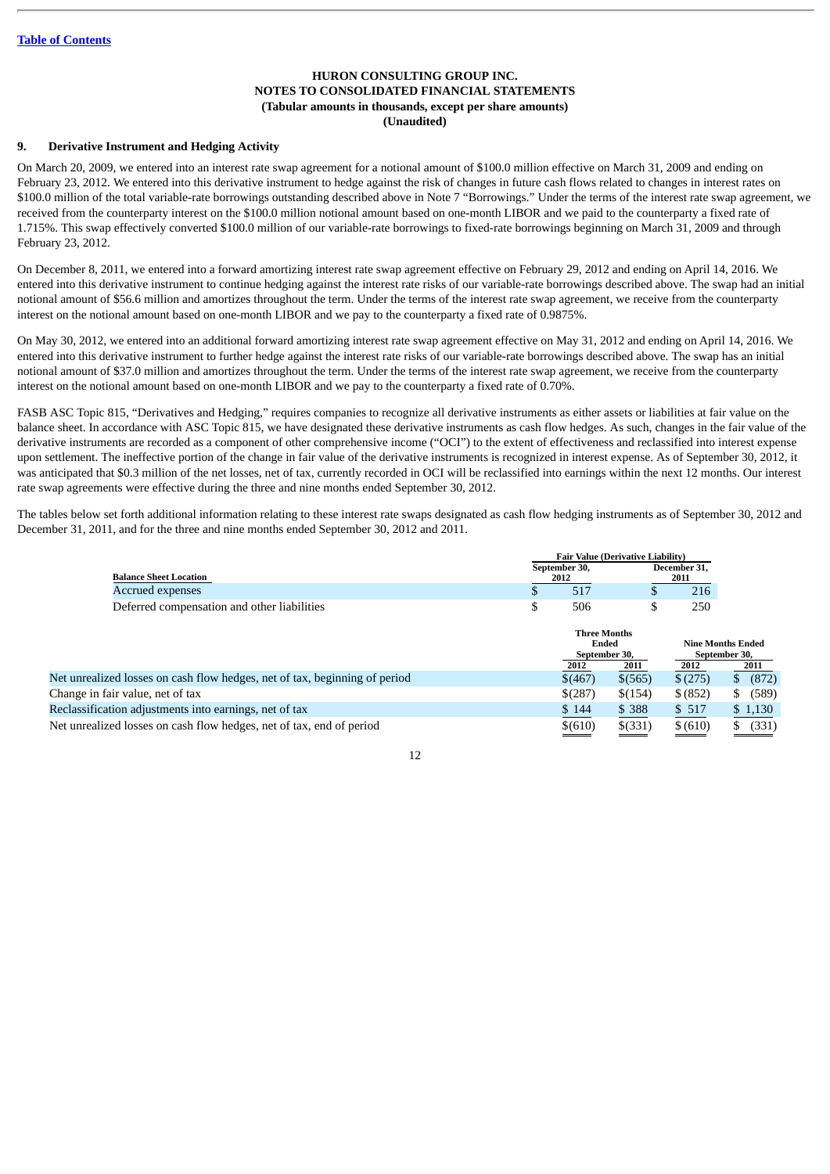#### **9. Derivative Instrument and Hedging Activity**

On March 20, 2009, we entered into an interest rate swap agreement for a notional amount of \$100.0 million effective on March 31, 2009 and ending on February 23, 2012. We entered into this derivative instrument to hedge against the risk of changes in future cash flows related to changes in interest rates on \$100.0 million of the total variable-rate borrowings outstanding described above in Note 7 "Borrowings." Under the terms of the interest rate swap agreement, we received from the counterparty interest on the \$100.0 million notional amount based on one-month LIBOR and we paid to the counterparty a fixed rate of 1.715%. This swap effectively converted \$100.0 million of our variable-rate borrowings to fixed-rate borrowings beginning on March 31, 2009 and through February 23, 2012.

On December 8, 2011, we entered into a forward amortizing interest rate swap agreement effective on February 29, 2012 and ending on April 14, 2016. We entered into this derivative instrument to continue hedging against the interest rate risks of our variable-rate borrowings described above. The swap had an initial notional amount of \$56.6 million and amortizes throughout the term. Under the terms of the interest rate swap agreement, we receive from the counterparty interest on the notional amount based on one-month LIBOR and we pay to the counterparty a fixed rate of 0.9875%.

On May 30, 2012, we entered into an additional forward amortizing interest rate swap agreement effective on May 31, 2012 and ending on April 14, 2016. We entered into this derivative instrument to further hedge against the interest rate risks of our variable-rate borrowings described above. The swap has an initial notional amount of \$37.0 million and amortizes throughout the term. Under the terms of the interest rate swap agreement, we receive from the counterparty interest on the notional amount based on one-month LIBOR and we pay to the counterparty a fixed rate of 0.70%.

FASB ASC Topic 815, "Derivatives and Hedging," requires companies to recognize all derivative instruments as either assets or liabilities at fair value on the balance sheet. In accordance with ASC Topic 815, we have designated these derivative instruments as cash flow hedges. As such, changes in the fair value of the derivative instruments are recorded as a component of other comprehensive income ("OCI") to the extent of effectiveness and reclassified into interest expense upon settlement. The ineffective portion of the change in fair value of the derivative instruments is recognized in interest expense. As of September 30, 2012, it was anticipated that \$0.3 million of the net losses, net of tax, currently recorded in OCI will be reclassified into earnings within the next 12 months. Our interest rate swap agreements were effective during the three and nine months ended September 30, 2012.

The tables below set forth additional information relating to these interest rate swaps designated as cash flow hedging instruments as of September 30, 2012 and December 31, 2011, and for the three and nine months ended September 30, 2012 and 2011.

|                                             |               | <b>Fair Value (Derivative Liability)</b> |              |  |  |  |  |
|---------------------------------------------|---------------|------------------------------------------|--------------|--|--|--|--|
|                                             | September 30. |                                          | December 31. |  |  |  |  |
| <b>Balance Sheet Location</b>               | 2012          | 2011                                     |              |  |  |  |  |
| Accrued expenses                            |               |                                          | 216          |  |  |  |  |
| Deferred compensation and other liabilities | 506           |                                          | 250          |  |  |  |  |

|                                                                            | <b>Three Months</b><br>Ended<br>September 30, |           |          | <b>Nine Months Ended</b><br>September 30, |
|----------------------------------------------------------------------------|-----------------------------------------------|-----------|----------|-------------------------------------------|
|                                                                            | 2012                                          | 2011      | 2012     | 2011                                      |
| Net unrealized losses on cash flow hedges, net of tax, beginning of period | \$(467)                                       | \$(565)   | \$(275)  | (872)<br>S.                               |
| Change in fair value, net of tax                                           | $$^{(287)}$                                   | \$(154)   | \$ (852) | (589)<br>S.                               |
| Reclassification adjustments into earnings, net of tax                     | \$144                                         | \$ 388    | \$517    | \$1,130                                   |
| Net unrealized losses on cash flow hedges, net of tax, end of period       | \$(610)                                       | $$$ (331) | \$ (610) | (331)<br>S.                               |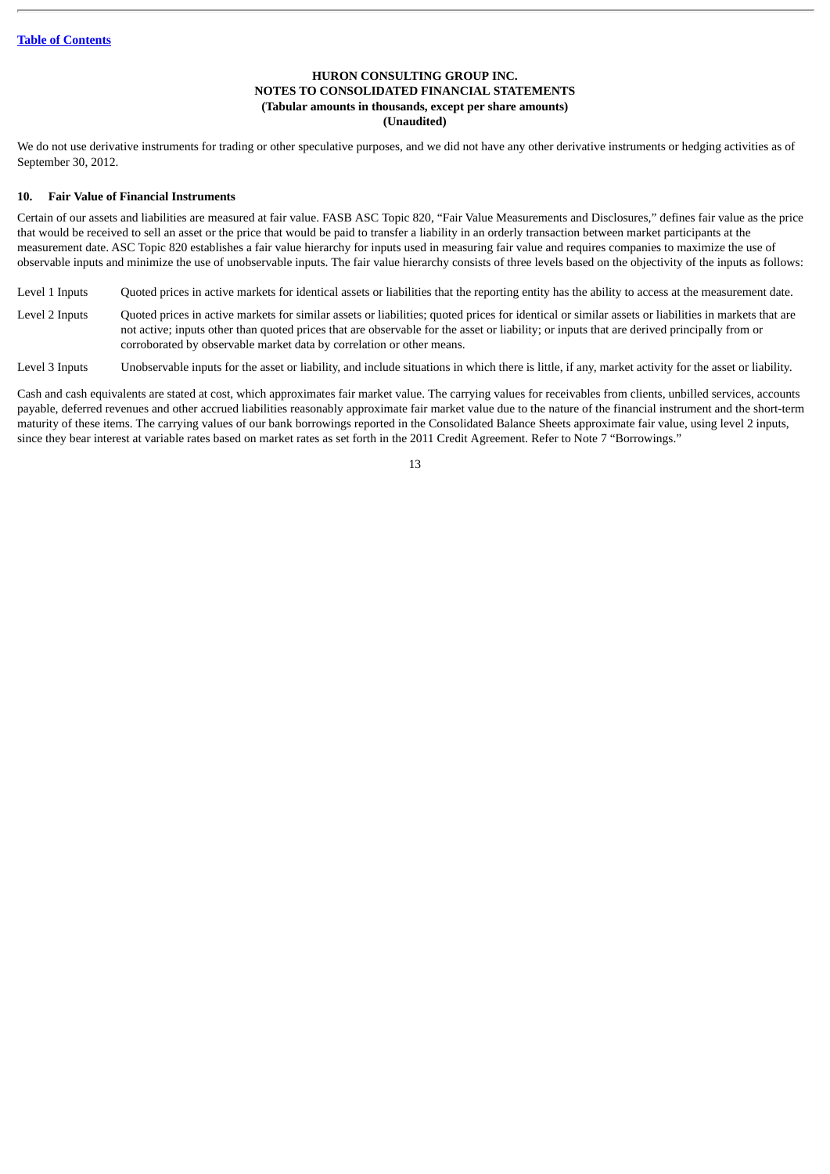We do not use derivative instruments for trading or other speculative purposes, and we did not have any other derivative instruments or hedging activities as of September 30, 2012.

#### **10. Fair Value of Financial Instruments**

Certain of our assets and liabilities are measured at fair value. FASB ASC Topic 820, "Fair Value Measurements and Disclosures," defines fair value as the price that would be received to sell an asset or the price that would be paid to transfer a liability in an orderly transaction between market participants at the measurement date. ASC Topic 820 establishes a fair value hierarchy for inputs used in measuring fair value and requires companies to maximize the use of observable inputs and minimize the use of unobservable inputs. The fair value hierarchy consists of three levels based on the objectivity of the inputs as follows:

Level 1 Inputs Quoted prices in active markets for identical assets or liabilities that the reporting entity has the ability to access at the measurement date.

Level 2 Inputs Quoted prices in active markets for similar assets or liabilities; quoted prices for identical or similar assets or liabilities in markets that are not active; inputs other than quoted prices that are observable for the asset or liability; or inputs that are derived principally from or corroborated by observable market data by correlation or other means.

Level 3 Inputs Unobservable inputs for the asset or liability, and include situations in which there is little, if any, market activity for the asset or liability.

Cash and cash equivalents are stated at cost, which approximates fair market value. The carrying values for receivables from clients, unbilled services, accounts payable, deferred revenues and other accrued liabilities reasonably approximate fair market value due to the nature of the financial instrument and the short-term maturity of these items. The carrying values of our bank borrowings reported in the Consolidated Balance Sheets approximate fair value, using level 2 inputs, since they bear interest at variable rates based on market rates as set forth in the 2011 Credit Agreement. Refer to Note 7 "Borrowings."

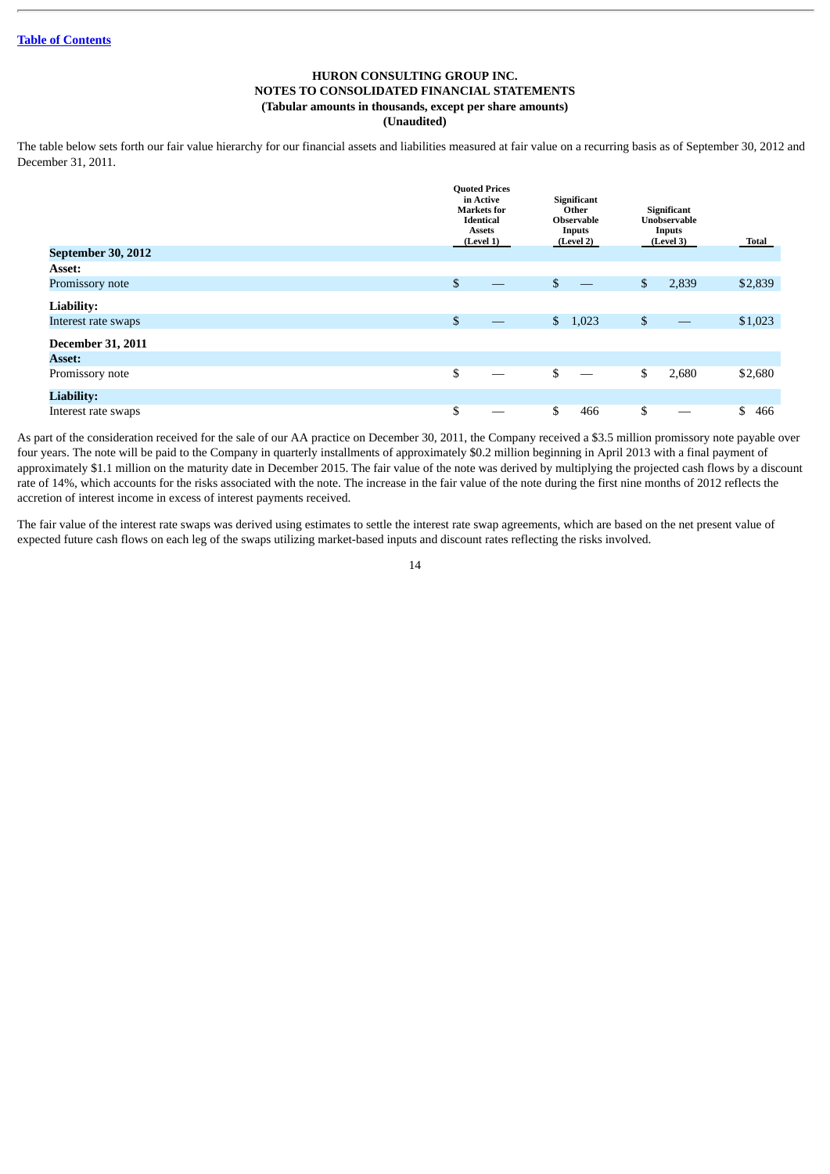The table below sets forth our fair value hierarchy for our financial assets and liabilities measured at fair value on a recurring basis as of September 30, 2012 and December 31, 2011.

|                                           | <b>Quoted Prices</b><br>in Active<br><b>Markets</b> for<br><b>Identical</b><br><b>Assets</b><br>(Level 1) | Significant<br>Other<br><b>Observable</b><br>Inputs<br>(Level 2) | <b>Significant</b><br>Unobservable<br><b>Inputs</b><br>(Level 3) | Total     |
|-------------------------------------------|-----------------------------------------------------------------------------------------------------------|------------------------------------------------------------------|------------------------------------------------------------------|-----------|
| September 30, 2012                        |                                                                                                           |                                                                  |                                                                  |           |
| Asset:                                    |                                                                                                           |                                                                  |                                                                  |           |
| Promissory note                           | \$                                                                                                        | $\mathbb{S}$                                                     | $\mathbb{S}$<br>2,839                                            | \$2,839   |
| Liability:                                |                                                                                                           |                                                                  |                                                                  |           |
| Interest rate swaps                       | \$<br>$\overline{\phantom{m}}$                                                                            | \$1,023                                                          | $\mathfrak{S}$                                                   | \$1,023   |
| <b>December 31, 2011</b><br><b>Asset:</b> |                                                                                                           |                                                                  |                                                                  |           |
|                                           |                                                                                                           |                                                                  |                                                                  |           |
| Promissory note                           | \$                                                                                                        | \$                                                               | \$<br>2,680                                                      | \$2,680   |
| <b>Liability:</b>                         |                                                                                                           |                                                                  |                                                                  |           |
| Interest rate swaps                       | \$                                                                                                        | \$<br>466                                                        | \$                                                               | \$<br>466 |

As part of the consideration received for the sale of our AA practice on December 30, 2011, the Company received a \$3.5 million promissory note payable over four years. The note will be paid to the Company in quarterly installments of approximately \$0.2 million beginning in April 2013 with a final payment of approximately \$1.1 million on the maturity date in December 2015. The fair value of the note was derived by multiplying the projected cash flows by a discount rate of 14%, which accounts for the risks associated with the note. The increase in the fair value of the note during the first nine months of 2012 reflects the accretion of interest income in excess of interest payments received.

The fair value of the interest rate swaps was derived using estimates to settle the interest rate swap agreements, which are based on the net present value of expected future cash flows on each leg of the swaps utilizing market-based inputs and discount rates reflecting the risks involved.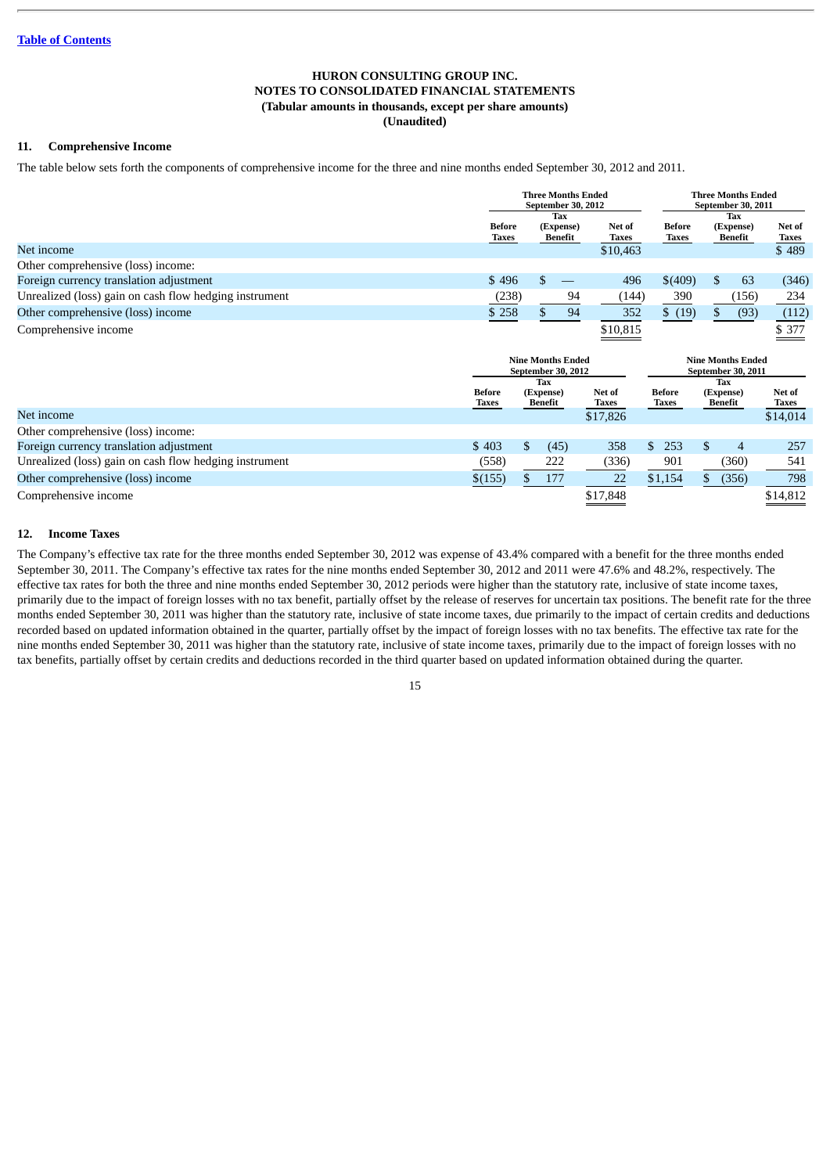## **11. Comprehensive Income**

The table below sets forth the components of comprehensive income for the three and nine months ended September 30, 2012 and 2011.

|                                                        |                        | <b>Three Months Ended</b><br>September 30, 2012<br>Tax |         |           |                 | <b>Three Months Ended</b><br>September 30, 2011<br>Tax |  |                          |                 |
|--------------------------------------------------------|------------------------|--------------------------------------------------------|---------|-----------|-----------------|--------------------------------------------------------|--|--------------------------|-----------------|
|                                                        | <b>Before</b><br>Taxes |                                                        | Benefit | (Expense) | Net of<br>Taxes | <b>Before</b><br>Taxes                                 |  | (Expense)<br>Benefit     | Net of<br>Taxes |
| Net income                                             |                        |                                                        |         |           | \$10,463        |                                                        |  |                          | \$489           |
| Other comprehensive (loss) income:                     |                        |                                                        |         |           |                 |                                                        |  |                          |                 |
| Foreign currency translation adjustment                | \$496                  |                                                        |         |           | 496             | \$(409)                                                |  | 63                       | (346)           |
| Unrealized (loss) gain on cash flow hedging instrument | (238)                  |                                                        |         | 94        | (144)           | 390                                                    |  | (156)                    | 234             |
| Other comprehensive (loss) income                      | \$258                  |                                                        |         | 94        | 352             | \$ (19)                                                |  | (93)                     | (112)           |
| Comprehensive income                                   |                        |                                                        |         |           | \$10,815        |                                                        |  |                          | \$ 377          |
|                                                        |                        | <b>Nine Months Ended</b>                               |         |           |                 |                                                        |  | <b>Nine Months Ended</b> |                 |

|                                                        | September 30, 2012            |  |                             |                                      | September 30, 2011     |    |                             |                     |
|--------------------------------------------------------|-------------------------------|--|-----------------------------|--------------------------------------|------------------------|----|-----------------------------|---------------------|
|                                                        | <b>Before</b><br><b>Taxes</b> |  | Tax<br>(Expense)<br>Benefit | Net of<br>Taxes                      | <b>Before</b><br>Taxes |    | Tax<br>(Expense)<br>Benefit | Net of<br>Taxes     |
| Net income                                             |                               |  |                             | \$17,826                             |                        |    |                             | \$14,014            |
| Other comprehensive (loss) income:                     |                               |  |                             |                                      |                        |    |                             |                     |
| Foreign currency translation adjustment                | \$403                         |  | (45)                        | 358                                  | 253                    |    | $\overline{4}$              | 257                 |
| Unrealized (loss) gain on cash flow hedging instrument | (558)                         |  | 222                         | (336)                                | 901                    |    | (360)                       | 541                 |
| Other comprehensive (loss) income                      | \$(155)                       |  | 177                         | 22                                   | \$1,154                | ٦h | (356)                       | 798                 |
| Comprehensive income                                   |                               |  |                             | \$17,848<br>$\overline{\phantom{a}}$ |                        |    |                             | \$14,812<br>_______ |

#### **12. Income Taxes**

The Company's effective tax rate for the three months ended September 30, 2012 was expense of 43.4% compared with a benefit for the three months ended September 30, 2011. The Company's effective tax rates for the nine months ended September 30, 2012 and 2011 were 47.6% and 48.2%, respectively. The effective tax rates for both the three and nine months ended September 30, 2012 periods were higher than the statutory rate, inclusive of state income taxes, primarily due to the impact of foreign losses with no tax benefit, partially offset by the release of reserves for uncertain tax positions. The benefit rate for the three months ended September 30, 2011 was higher than the statutory rate, inclusive of state income taxes, due primarily to the impact of certain credits and deductions recorded based on updated information obtained in the quarter, partially offset by the impact of foreign losses with no tax benefits. The effective tax rate for the nine months ended September 30, 2011 was higher than the statutory rate, inclusive of state income taxes, primarily due to the impact of foreign losses with no tax benefits, partially offset by certain credits and deductions recorded in the third quarter based on updated information obtained during the quarter.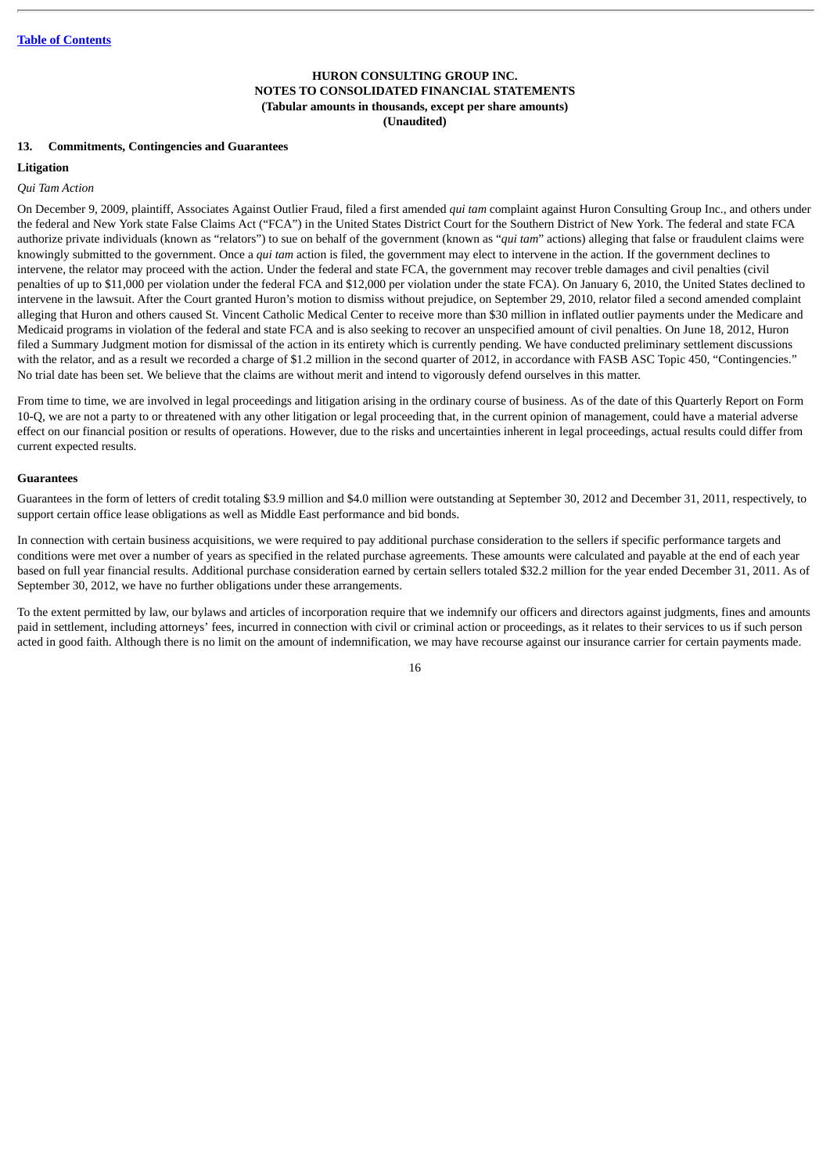#### **13. Commitments, Contingencies and Guarantees**

#### **Litigation**

#### *Qui Tam Action*

On December 9, 2009, plaintiff, Associates Against Outlier Fraud, filed a first amended *qui tam* complaint against Huron Consulting Group Inc., and others under the federal and New York state False Claims Act ("FCA") in the United States District Court for the Southern District of New York. The federal and state FCA authorize private individuals (known as "relators") to sue on behalf of the government (known as "*qui tam*" actions) alleging that false or fraudulent claims were knowingly submitted to the government. Once a *qui tam* action is filed, the government may elect to intervene in the action. If the government declines to intervene, the relator may proceed with the action. Under the federal and state FCA, the government may recover treble damages and civil penalties (civil penalties of up to \$11,000 per violation under the federal FCA and \$12,000 per violation under the state FCA). On January 6, 2010, the United States declined to intervene in the lawsuit. After the Court granted Huron's motion to dismiss without prejudice, on September 29, 2010, relator filed a second amended complaint alleging that Huron and others caused St. Vincent Catholic Medical Center to receive more than \$30 million in inflated outlier payments under the Medicare and Medicaid programs in violation of the federal and state FCA and is also seeking to recover an unspecified amount of civil penalties. On June 18, 2012, Huron filed a Summary Judgment motion for dismissal of the action in its entirety which is currently pending. We have conducted preliminary settlement discussions with the relator, and as a result we recorded a charge of \$1.2 million in the second quarter of 2012, in accordance with FASB ASC Topic 450, "Contingencies." No trial date has been set. We believe that the claims are without merit and intend to vigorously defend ourselves in this matter.

From time to time, we are involved in legal proceedings and litigation arising in the ordinary course of business. As of the date of this Quarterly Report on Form 10-Q, we are not a party to or threatened with any other litigation or legal proceeding that, in the current opinion of management, could have a material adverse effect on our financial position or results of operations. However, due to the risks and uncertainties inherent in legal proceedings, actual results could differ from current expected results.

#### **Guarantees**

Guarantees in the form of letters of credit totaling \$3.9 million and \$4.0 million were outstanding at September 30, 2012 and December 31, 2011, respectively, to support certain office lease obligations as well as Middle East performance and bid bonds.

In connection with certain business acquisitions, we were required to pay additional purchase consideration to the sellers if specific performance targets and conditions were met over a number of years as specified in the related purchase agreements. These amounts were calculated and payable at the end of each year based on full year financial results. Additional purchase consideration earned by certain sellers totaled \$32.2 million for the year ended December 31, 2011. As of September 30, 2012, we have no further obligations under these arrangements.

To the extent permitted by law, our bylaws and articles of incorporation require that we indemnify our officers and directors against judgments, fines and amounts paid in settlement, including attorneys' fees, incurred in connection with civil or criminal action or proceedings, as it relates to their services to us if such person acted in good faith. Although there is no limit on the amount of indemnification, we may have recourse against our insurance carrier for certain payments made.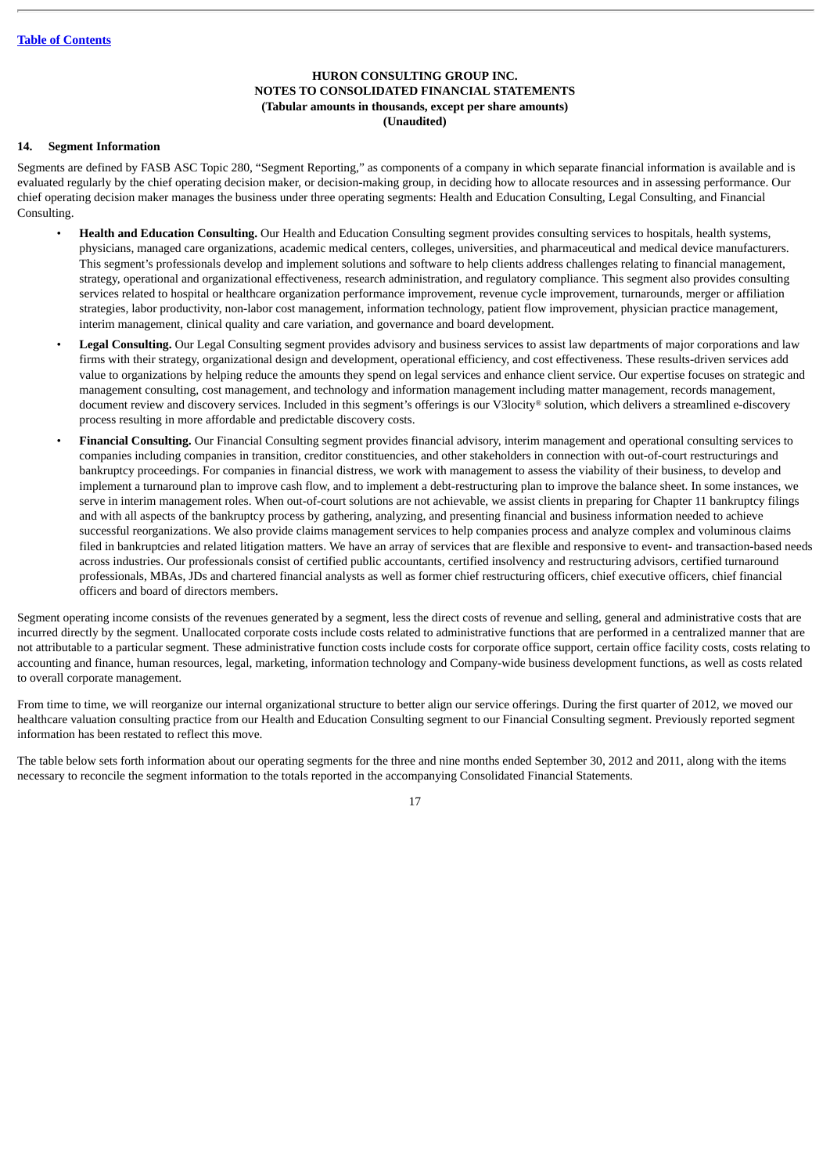#### **14. Segment Information**

Segments are defined by FASB ASC Topic 280, "Segment Reporting," as components of a company in which separate financial information is available and is evaluated regularly by the chief operating decision maker, or decision-making group, in deciding how to allocate resources and in assessing performance. Our chief operating decision maker manages the business under three operating segments: Health and Education Consulting, Legal Consulting, and Financial Consulting.

- **Health and Education Consulting.** Our Health and Education Consulting segment provides consulting services to hospitals, health systems, physicians, managed care organizations, academic medical centers, colleges, universities, and pharmaceutical and medical device manufacturers. This segment's professionals develop and implement solutions and software to help clients address challenges relating to financial management, strategy, operational and organizational effectiveness, research administration, and regulatory compliance. This segment also provides consulting services related to hospital or healthcare organization performance improvement, revenue cycle improvement, turnarounds, merger or affiliation strategies, labor productivity, non-labor cost management, information technology, patient flow improvement, physician practice management, interim management, clinical quality and care variation, and governance and board development.
- **Legal Consulting.** Our Legal Consulting segment provides advisory and business services to assist law departments of major corporations and law firms with their strategy, organizational design and development, operational efficiency, and cost effectiveness. These results-driven services add value to organizations by helping reduce the amounts they spend on legal services and enhance client service. Our expertise focuses on strategic and management consulting, cost management, and technology and information management including matter management, records management, document review and discovery services. Included in this segment's offerings is our V3locity® solution, which delivers a streamlined e-discovery process resulting in more affordable and predictable discovery costs.
- **Financial Consulting.** Our Financial Consulting segment provides financial advisory, interim management and operational consulting services to companies including companies in transition, creditor constituencies, and other stakeholders in connection with out-of-court restructurings and bankruptcy proceedings. For companies in financial distress, we work with management to assess the viability of their business, to develop and implement a turnaround plan to improve cash flow, and to implement a debt-restructuring plan to improve the balance sheet. In some instances, we serve in interim management roles. When out-of-court solutions are not achievable, we assist clients in preparing for Chapter 11 bankruptcy filings and with all aspects of the bankruptcy process by gathering, analyzing, and presenting financial and business information needed to achieve successful reorganizations. We also provide claims management services to help companies process and analyze complex and voluminous claims filed in bankruptcies and related litigation matters. We have an array of services that are flexible and responsive to event- and transaction-based needs across industries. Our professionals consist of certified public accountants, certified insolvency and restructuring advisors, certified turnaround professionals, MBAs, JDs and chartered financial analysts as well as former chief restructuring officers, chief executive officers, chief financial officers and board of directors members.

Segment operating income consists of the revenues generated by a segment, less the direct costs of revenue and selling, general and administrative costs that are incurred directly by the segment. Unallocated corporate costs include costs related to administrative functions that are performed in a centralized manner that are not attributable to a particular segment. These administrative function costs include costs for corporate office support, certain office facility costs, costs relating to accounting and finance, human resources, legal, marketing, information technology and Company-wide business development functions, as well as costs related to overall corporate management.

From time to time, we will reorganize our internal organizational structure to better align our service offerings. During the first quarter of 2012, we moved our healthcare valuation consulting practice from our Health and Education Consulting segment to our Financial Consulting segment. Previously reported segment information has been restated to reflect this move.

The table below sets forth information about our operating segments for the three and nine months ended September 30, 2012 and 2011, along with the items necessary to reconcile the segment information to the totals reported in the accompanying Consolidated Financial Statements.

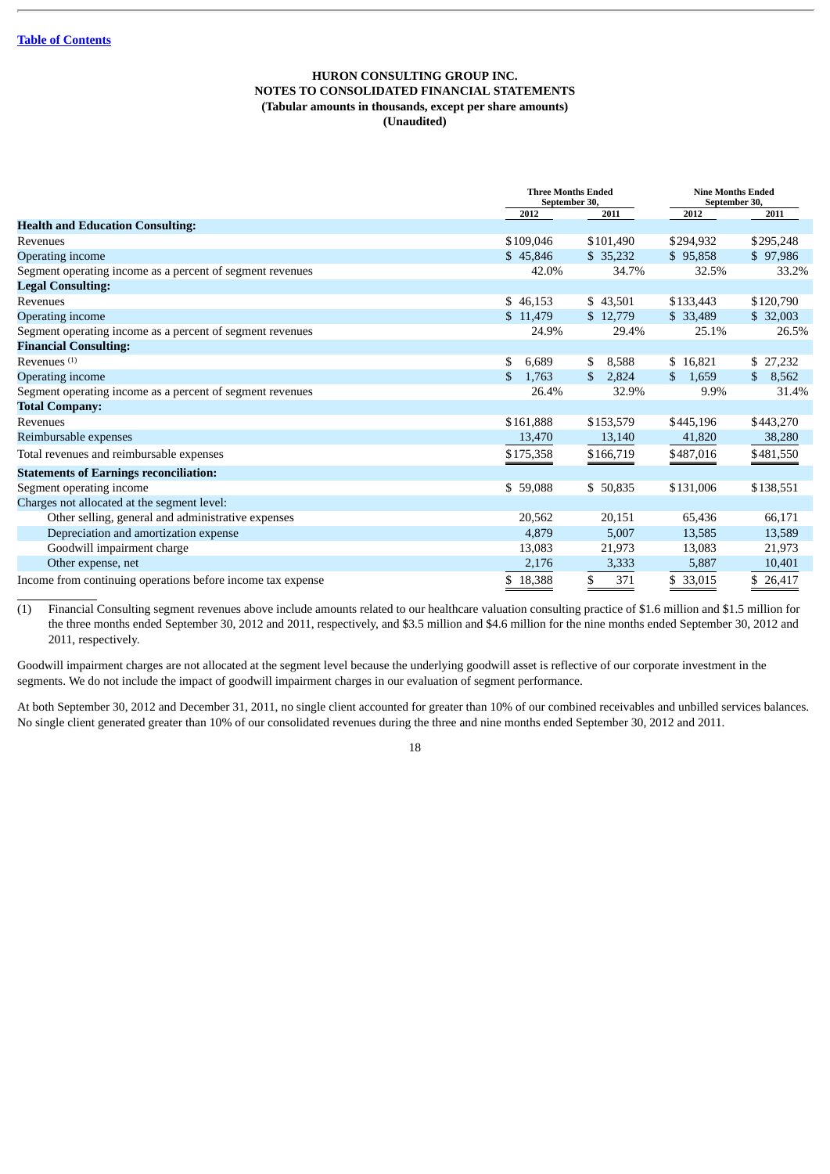|                                                             | <b>Three Months Ended</b><br>September 30, |             | <b>Nine Months Ended</b><br>September 30, |             |
|-------------------------------------------------------------|--------------------------------------------|-------------|-------------------------------------------|-------------|
|                                                             | 2012                                       | 2011        | 2012                                      | 2011        |
| <b>Health and Education Consulting:</b>                     |                                            |             |                                           |             |
| Revenues                                                    | \$109,046                                  | \$101,490   | \$294,932                                 | \$295,248   |
| Operating income                                            | \$45,846                                   | \$ 35,232   | \$95,858                                  | \$97,986    |
| Segment operating income as a percent of segment revenues   | 42.0%                                      | 34.7%       | 32.5%                                     | 33.2%       |
| <b>Legal Consulting:</b>                                    |                                            |             |                                           |             |
| Revenues                                                    | \$46,153                                   | \$43,501    | \$133,443                                 | \$120,790   |
| Operating income                                            | \$11,479                                   | \$12,779    | \$ 33,489                                 | \$32,003    |
| Segment operating income as a percent of segment revenues   | 24.9%                                      | 29.4%       | 25.1%                                     | 26.5%       |
| <b>Financial Consulting:</b>                                |                                            |             |                                           |             |
| Revenues <sup>(1)</sup>                                     | \$<br>6,689                                | 8,588<br>\$ | \$16,821                                  | \$27,232    |
| Operating income                                            | \$<br>1,763                                | 2,824<br>S. | 1,659<br>S.                               | 8,562<br>\$ |
| Segment operating income as a percent of segment revenues   | 26.4%                                      | 32.9%       | 9.9%                                      | 31.4%       |
| <b>Total Company:</b>                                       |                                            |             |                                           |             |
| Revenues                                                    | \$161,888                                  | \$153,579   | \$445,196                                 | \$443,270   |
| Reimbursable expenses                                       | 13,470                                     | 13,140      | 41,820                                    | 38,280      |
| Total revenues and reimbursable expenses                    | \$175,358                                  | \$166,719   | \$487,016                                 | \$481,550   |
| <b>Statements of Earnings reconciliation:</b>               |                                            |             |                                           |             |
| Segment operating income                                    | \$59,088                                   | \$50,835    | \$131,006                                 | \$138,551   |
| Charges not allocated at the segment level:                 |                                            |             |                                           |             |
| Other selling, general and administrative expenses          | 20,562                                     | 20,151      | 65,436                                    | 66,171      |
| Depreciation and amortization expense                       | 4,879                                      | 5,007       | 13,585                                    | 13,589      |
| Goodwill impairment charge                                  | 13,083                                     | 21,973      | 13,083                                    | 21,973      |
| Other expense, net                                          | 2,176                                      | 3,333       | 5,887                                     | 10,401      |
| Income from continuing operations before income tax expense | \$<br>18,388                               | \$<br>371   | \$ 33,015                                 | \$26,417    |

(1) Financial Consulting segment revenues above include amounts related to our healthcare valuation consulting practice of \$1.6 million and \$1.5 million for the three months ended September 30, 2012 and 2011, respectively, and \$3.5 million and \$4.6 million for the nine months ended September 30, 2012 and 2011, respectively.

Goodwill impairment charges are not allocated at the segment level because the underlying goodwill asset is reflective of our corporate investment in the segments. We do not include the impact of goodwill impairment charges in our evaluation of segment performance.

At both September 30, 2012 and December 31, 2011, no single client accounted for greater than 10% of our combined receivables and unbilled services balances. No single client generated greater than 10% of our consolidated revenues during the three and nine months ended September 30, 2012 and 2011.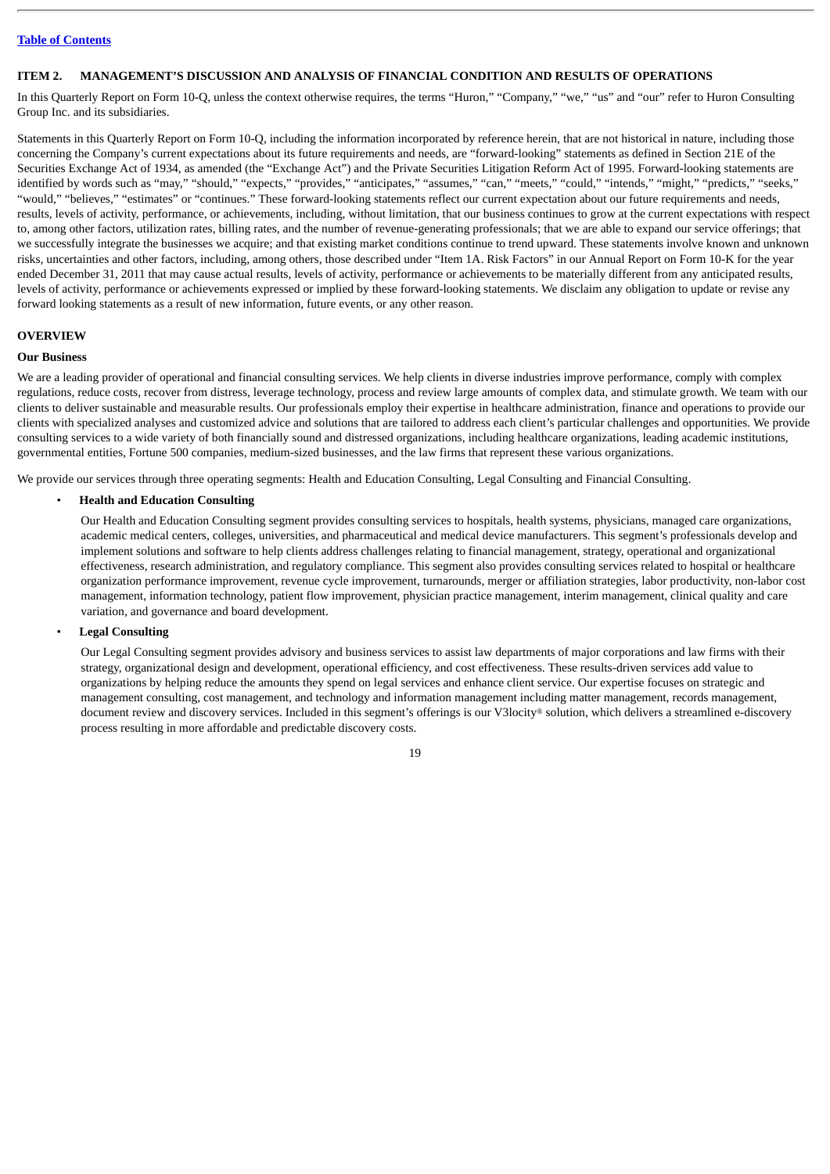#### <span id="page-20-0"></span>**ITEM 2. MANAGEMENT'S DISCUSSION AND ANALYSIS OF FINANCIAL CONDITION AND RESULTS OF OPERATIONS**

In this Quarterly Report on Form 10-Q, unless the context otherwise requires, the terms "Huron," "Company," "we," "us" and "our" refer to Huron Consulting Group Inc. and its subsidiaries.

Statements in this Quarterly Report on Form 10-Q, including the information incorporated by reference herein, that are not historical in nature, including those concerning the Company's current expectations about its future requirements and needs, are "forward-looking" statements as defined in Section 21E of the Securities Exchange Act of 1934, as amended (the "Exchange Act") and the Private Securities Litigation Reform Act of 1995. Forward-looking statements are identified by words such as "may," "should," "expects," "provides," "anticipates," "assumes," "can," "meets," "could," "intends," "might," "predicts," "seeks," "would," "believes," "estimates" or "continues." These forward-looking statements reflect our current expectation about our future requirements and needs, results, levels of activity, performance, or achievements, including, without limitation, that our business continues to grow at the current expectations with respect to, among other factors, utilization rates, billing rates, and the number of revenue-generating professionals; that we are able to expand our service offerings; that we successfully integrate the businesses we acquire; and that existing market conditions continue to trend upward. These statements involve known and unknown risks, uncertainties and other factors, including, among others, those described under "Item 1A. Risk Factors" in our Annual Report on Form 10-K for the year ended December 31, 2011 that may cause actual results, levels of activity, performance or achievements to be materially different from any anticipated results, levels of activity, performance or achievements expressed or implied by these forward-looking statements. We disclaim any obligation to update or revise any forward looking statements as a result of new information, future events, or any other reason.

#### **OVERVIEW**

## **Our Business**

We are a leading provider of operational and financial consulting services. We help clients in diverse industries improve performance, comply with complex regulations, reduce costs, recover from distress, leverage technology, process and review large amounts of complex data, and stimulate growth. We team with our clients to deliver sustainable and measurable results. Our professionals employ their expertise in healthcare administration, finance and operations to provide our clients with specialized analyses and customized advice and solutions that are tailored to address each client's particular challenges and opportunities. We provide consulting services to a wide variety of both financially sound and distressed organizations, including healthcare organizations, leading academic institutions, governmental entities, Fortune 500 companies, medium-sized businesses, and the law firms that represent these various organizations.

We provide our services through three operating segments: Health and Education Consulting, Legal Consulting and Financial Consulting.

#### • **Health and Education Consulting**

Our Health and Education Consulting segment provides consulting services to hospitals, health systems, physicians, managed care organizations, academic medical centers, colleges, universities, and pharmaceutical and medical device manufacturers. This segment's professionals develop and implement solutions and software to help clients address challenges relating to financial management, strategy, operational and organizational effectiveness, research administration, and regulatory compliance. This segment also provides consulting services related to hospital or healthcare organization performance improvement, revenue cycle improvement, turnarounds, merger or affiliation strategies, labor productivity, non-labor cost management, information technology, patient flow improvement, physician practice management, interim management, clinical quality and care variation, and governance and board development.

## • **Legal Consulting**

Our Legal Consulting segment provides advisory and business services to assist law departments of major corporations and law firms with their strategy, organizational design and development, operational efficiency, and cost effectiveness. These results-driven services add value to organizations by helping reduce the amounts they spend on legal services and enhance client service. Our expertise focuses on strategic and management consulting, cost management, and technology and information management including matter management, records management, document review and discovery services. Included in this segment's offerings is our V3locity® solution, which delivers a streamlined e-discovery process resulting in more affordable and predictable discovery costs.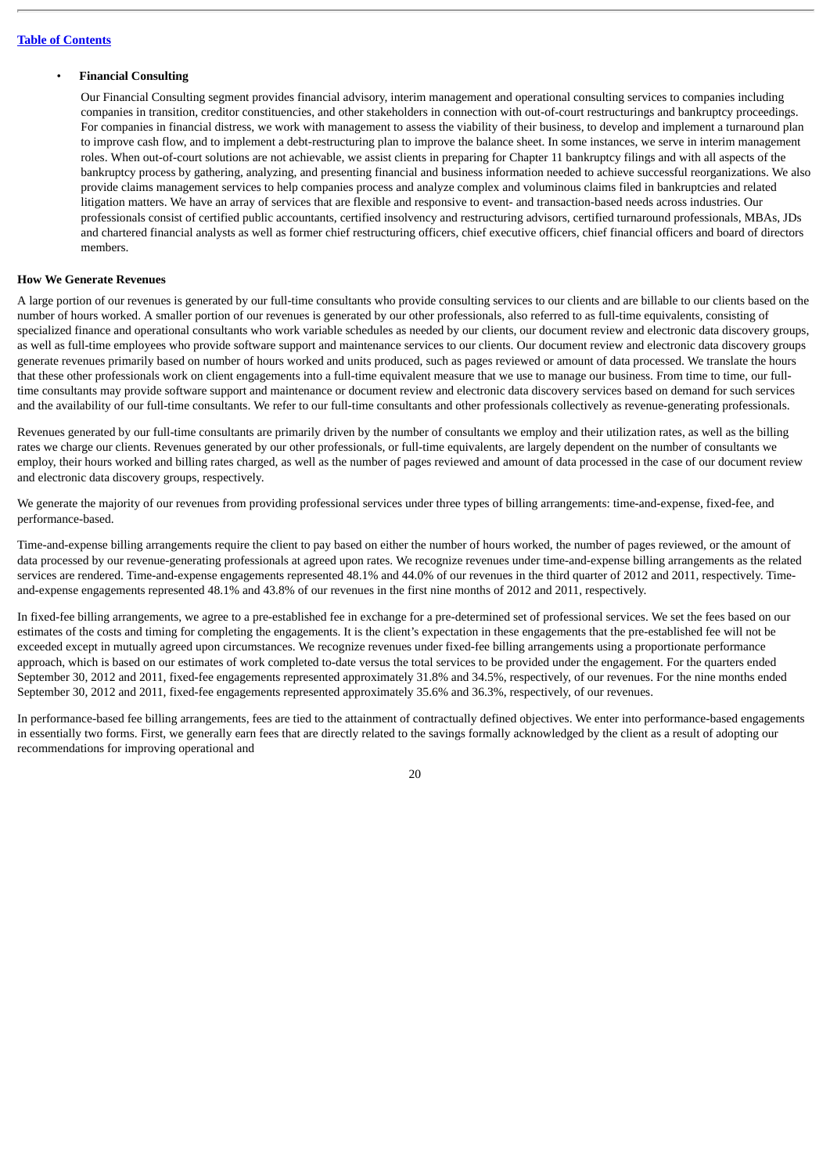#### • **Financial Consulting**

Our Financial Consulting segment provides financial advisory, interim management and operational consulting services to companies including companies in transition, creditor constituencies, and other stakeholders in connection with out-of-court restructurings and bankruptcy proceedings. For companies in financial distress, we work with management to assess the viability of their business, to develop and implement a turnaround plan to improve cash flow, and to implement a debt-restructuring plan to improve the balance sheet. In some instances, we serve in interim management roles. When out-of-court solutions are not achievable, we assist clients in preparing for Chapter 11 bankruptcy filings and with all aspects of the bankruptcy process by gathering, analyzing, and presenting financial and business information needed to achieve successful reorganizations. We also provide claims management services to help companies process and analyze complex and voluminous claims filed in bankruptcies and related litigation matters. We have an array of services that are flexible and responsive to event- and transaction-based needs across industries. Our professionals consist of certified public accountants, certified insolvency and restructuring advisors, certified turnaround professionals, MBAs, JDs and chartered financial analysts as well as former chief restructuring officers, chief executive officers, chief financial officers and board of directors members.

#### **How We Generate Revenues**

A large portion of our revenues is generated by our full-time consultants who provide consulting services to our clients and are billable to our clients based on the number of hours worked. A smaller portion of our revenues is generated by our other professionals, also referred to as full-time equivalents, consisting of specialized finance and operational consultants who work variable schedules as needed by our clients, our document review and electronic data discovery groups, as well as full-time employees who provide software support and maintenance services to our clients. Our document review and electronic data discovery groups generate revenues primarily based on number of hours worked and units produced, such as pages reviewed or amount of data processed. We translate the hours that these other professionals work on client engagements into a full-time equivalent measure that we use to manage our business. From time to time, our fulltime consultants may provide software support and maintenance or document review and electronic data discovery services based on demand for such services and the availability of our full-time consultants. We refer to our full-time consultants and other professionals collectively as revenue-generating professionals.

Revenues generated by our full-time consultants are primarily driven by the number of consultants we employ and their utilization rates, as well as the billing rates we charge our clients. Revenues generated by our other professionals, or full-time equivalents, are largely dependent on the number of consultants we employ, their hours worked and billing rates charged, as well as the number of pages reviewed and amount of data processed in the case of our document review and electronic data discovery groups, respectively.

We generate the majority of our revenues from providing professional services under three types of billing arrangements: time-and-expense, fixed-fee, and performance-based.

Time-and-expense billing arrangements require the client to pay based on either the number of hours worked, the number of pages reviewed, or the amount of data processed by our revenue-generating professionals at agreed upon rates. We recognize revenues under time-and-expense billing arrangements as the related services are rendered. Time-and-expense engagements represented 48.1% and 44.0% of our revenues in the third quarter of 2012 and 2011, respectively. Timeand-expense engagements represented 48.1% and 43.8% of our revenues in the first nine months of 2012 and 2011, respectively.

In fixed-fee billing arrangements, we agree to a pre-established fee in exchange for a pre-determined set of professional services. We set the fees based on our estimates of the costs and timing for completing the engagements. It is the client's expectation in these engagements that the pre-established fee will not be exceeded except in mutually agreed upon circumstances. We recognize revenues under fixed-fee billing arrangements using a proportionate performance approach, which is based on our estimates of work completed to-date versus the total services to be provided under the engagement. For the quarters ended September 30, 2012 and 2011, fixed-fee engagements represented approximately 31.8% and 34.5%, respectively, of our revenues. For the nine months ended September 30, 2012 and 2011, fixed-fee engagements represented approximately 35.6% and 36.3%, respectively, of our revenues.

In performance-based fee billing arrangements, fees are tied to the attainment of contractually defined objectives. We enter into performance-based engagements in essentially two forms. First, we generally earn fees that are directly related to the savings formally acknowledged by the client as a result of adopting our recommendations for improving operational and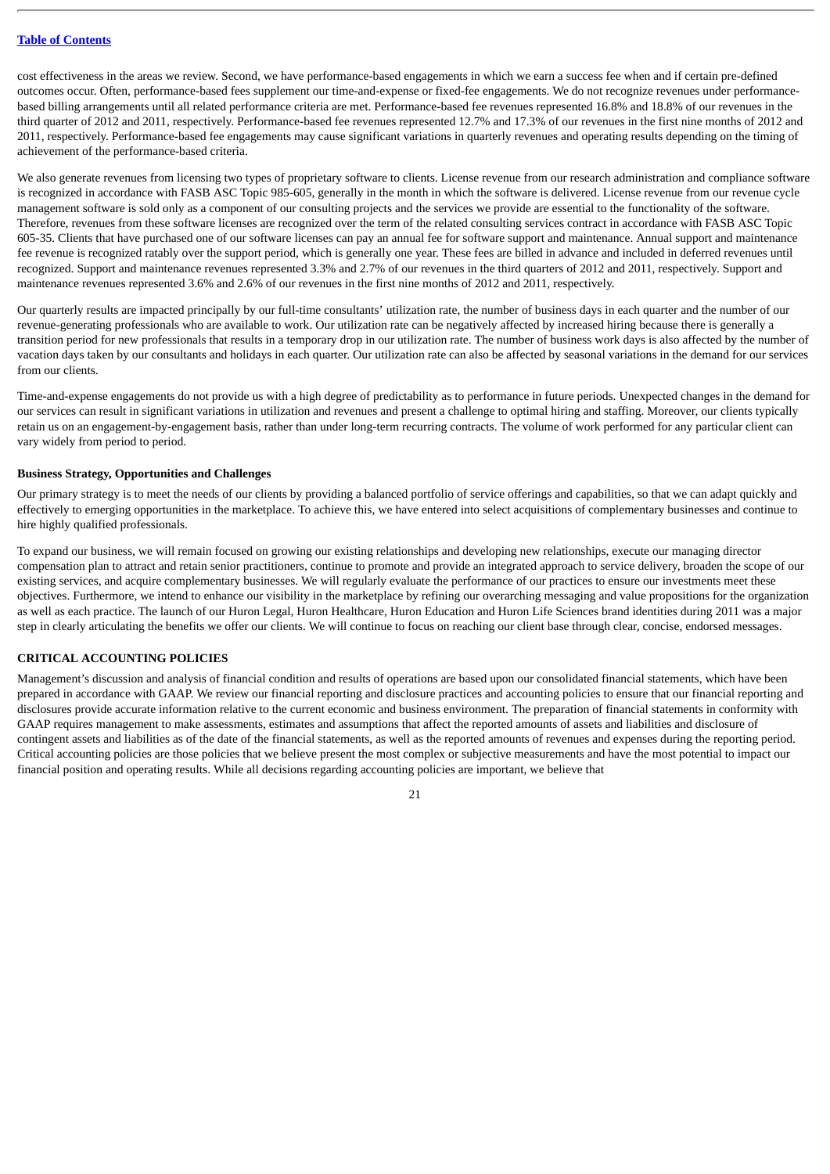cost effectiveness in the areas we review. Second, we have performance-based engagements in which we earn a success fee when and if certain pre-defined outcomes occur. Often, performance-based fees supplement our time-and-expense or fixed-fee engagements. We do not recognize revenues under performancebased billing arrangements until all related performance criteria are met. Performance-based fee revenues represented 16.8% and 18.8% of our revenues in the third quarter of 2012 and 2011, respectively. Performance-based fee revenues represented 12.7% and 17.3% of our revenues in the first nine months of 2012 and 2011, respectively. Performance-based fee engagements may cause significant variations in quarterly revenues and operating results depending on the timing of achievement of the performance-based criteria.

We also generate revenues from licensing two types of proprietary software to clients. License revenue from our research administration and compliance software is recognized in accordance with FASB ASC Topic 985-605, generally in the month in which the software is delivered. License revenue from our revenue cycle management software is sold only as a component of our consulting projects and the services we provide are essential to the functionality of the software. Therefore, revenues from these software licenses are recognized over the term of the related consulting services contract in accordance with FASB ASC Topic 605-35. Clients that have purchased one of our software licenses can pay an annual fee for software support and maintenance. Annual support and maintenance fee revenue is recognized ratably over the support period, which is generally one year. These fees are billed in advance and included in deferred revenues until recognized. Support and maintenance revenues represented 3.3% and 2.7% of our revenues in the third quarters of 2012 and 2011, respectively. Support and maintenance revenues represented 3.6% and 2.6% of our revenues in the first nine months of 2012 and 2011, respectively.

Our quarterly results are impacted principally by our full-time consultants' utilization rate, the number of business days in each quarter and the number of our revenue-generating professionals who are available to work. Our utilization rate can be negatively affected by increased hiring because there is generally a transition period for new professionals that results in a temporary drop in our utilization rate. The number of business work days is also affected by the number of vacation days taken by our consultants and holidays in each quarter. Our utilization rate can also be affected by seasonal variations in the demand for our services from our clients.

Time-and-expense engagements do not provide us with a high degree of predictability as to performance in future periods. Unexpected changes in the demand for our services can result in significant variations in utilization and revenues and present a challenge to optimal hiring and staffing. Moreover, our clients typically retain us on an engagement-by-engagement basis, rather than under long-term recurring contracts. The volume of work performed for any particular client can vary widely from period to period.

#### **Business Strategy, Opportunities and Challenges**

Our primary strategy is to meet the needs of our clients by providing a balanced portfolio of service offerings and capabilities, so that we can adapt quickly and effectively to emerging opportunities in the marketplace. To achieve this, we have entered into select acquisitions of complementary businesses and continue to hire highly qualified professionals.

To expand our business, we will remain focused on growing our existing relationships and developing new relationships, execute our managing director compensation plan to attract and retain senior practitioners, continue to promote and provide an integrated approach to service delivery, broaden the scope of our existing services, and acquire complementary businesses. We will regularly evaluate the performance of our practices to ensure our investments meet these objectives. Furthermore, we intend to enhance our visibility in the marketplace by refining our overarching messaging and value propositions for the organization as well as each practice. The launch of our Huron Legal, Huron Healthcare, Huron Education and Huron Life Sciences brand identities during 2011 was a major step in clearly articulating the benefits we offer our clients. We will continue to focus on reaching our client base through clear, concise, endorsed messages.

## **CRITICAL ACCOUNTING POLICIES**

Management's discussion and analysis of financial condition and results of operations are based upon our consolidated financial statements, which have been prepared in accordance with GAAP. We review our financial reporting and disclosure practices and accounting policies to ensure that our financial reporting and disclosures provide accurate information relative to the current economic and business environment. The preparation of financial statements in conformity with GAAP requires management to make assessments, estimates and assumptions that affect the reported amounts of assets and liabilities and disclosure of contingent assets and liabilities as of the date of the financial statements, as well as the reported amounts of revenues and expenses during the reporting period. Critical accounting policies are those policies that we believe present the most complex or subjective measurements and have the most potential to impact our financial position and operating results. While all decisions regarding accounting policies are important, we believe that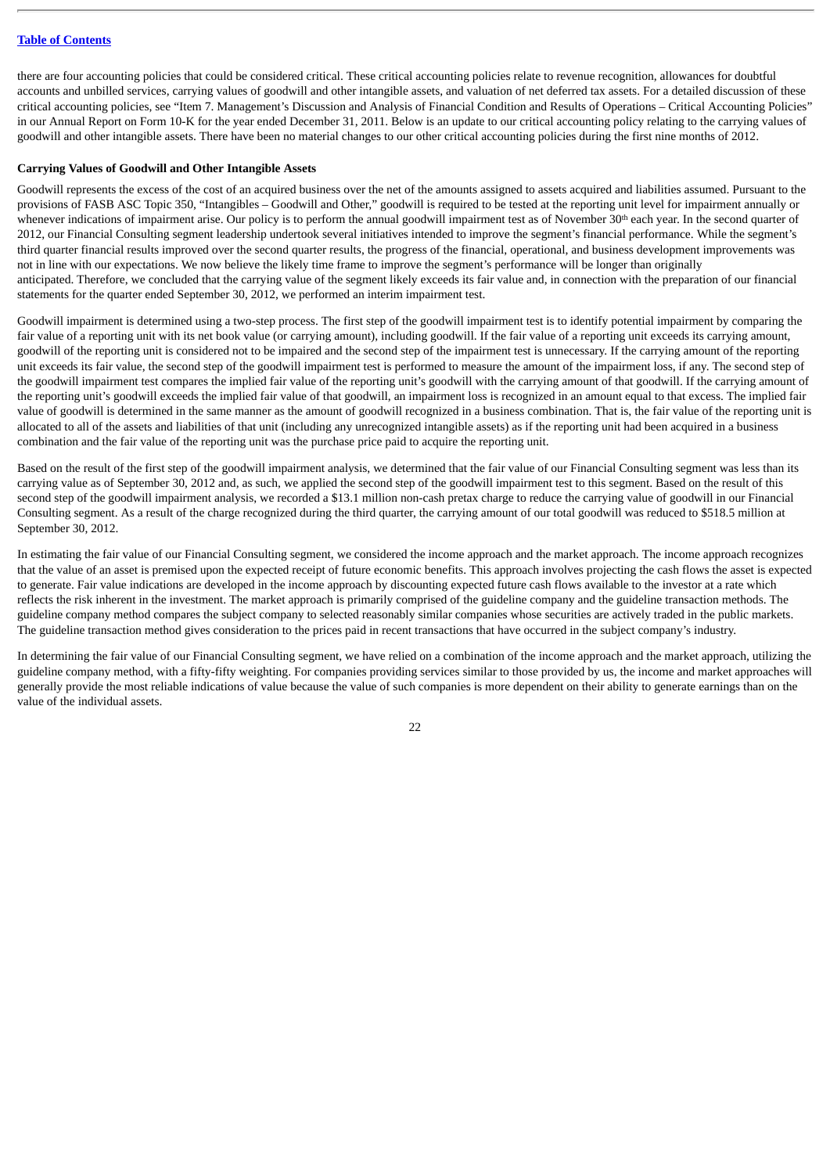there are four accounting policies that could be considered critical. These critical accounting policies relate to revenue recognition, allowances for doubtful accounts and unbilled services, carrying values of goodwill and other intangible assets, and valuation of net deferred tax assets. For a detailed discussion of these critical accounting policies, see "Item 7. Management's Discussion and Analysis of Financial Condition and Results of Operations – Critical Accounting Policies" in our Annual Report on Form 10-K for the year ended December 31, 2011. Below is an update to our critical accounting policy relating to the carrying values of goodwill and other intangible assets. There have been no material changes to our other critical accounting policies during the first nine months of 2012.

#### **Carrying Values of Goodwill and Other Intangible Assets**

Goodwill represents the excess of the cost of an acquired business over the net of the amounts assigned to assets acquired and liabilities assumed. Pursuant to the provisions of FASB ASC Topic 350, "Intangibles – Goodwill and Other," goodwill is required to be tested at the reporting unit level for impairment annually or whenever indications of impairment arise. Our policy is to perform the annual goodwill impairment test as of November  $30<sup>th</sup>$  each year. In the second quarter of 2012, our Financial Consulting segment leadership undertook several initiatives intended to improve the segment's financial performance. While the segment's third quarter financial results improved over the second quarter results, the progress of the financial, operational, and business development improvements was not in line with our expectations. We now believe the likely time frame to improve the segment's performance will be longer than originally anticipated. Therefore, we concluded that the carrying value of the segment likely exceeds its fair value and, in connection with the preparation of our financial statements for the quarter ended September 30, 2012, we performed an interim impairment test.

Goodwill impairment is determined using a two-step process. The first step of the goodwill impairment test is to identify potential impairment by comparing the fair value of a reporting unit with its net book value (or carrying amount), including goodwill. If the fair value of a reporting unit exceeds its carrying amount, goodwill of the reporting unit is considered not to be impaired and the second step of the impairment test is unnecessary. If the carrying amount of the reporting unit exceeds its fair value, the second step of the goodwill impairment test is performed to measure the amount of the impairment loss, if any. The second step of the goodwill impairment test compares the implied fair value of the reporting unit's goodwill with the carrying amount of that goodwill. If the carrying amount of the reporting unit's goodwill exceeds the implied fair value of that goodwill, an impairment loss is recognized in an amount equal to that excess. The implied fair value of goodwill is determined in the same manner as the amount of goodwill recognized in a business combination. That is, the fair value of the reporting unit is allocated to all of the assets and liabilities of that unit (including any unrecognized intangible assets) as if the reporting unit had been acquired in a business combination and the fair value of the reporting unit was the purchase price paid to acquire the reporting unit.

Based on the result of the first step of the goodwill impairment analysis, we determined that the fair value of our Financial Consulting segment was less than its carrying value as of September 30, 2012 and, as such, we applied the second step of the goodwill impairment test to this segment. Based on the result of this second step of the goodwill impairment analysis, we recorded a \$13.1 million non-cash pretax charge to reduce the carrying value of goodwill in our Financial Consulting segment. As a result of the charge recognized during the third quarter, the carrying amount of our total goodwill was reduced to \$518.5 million at September 30, 2012.

In estimating the fair value of our Financial Consulting segment, we considered the income approach and the market approach. The income approach recognizes that the value of an asset is premised upon the expected receipt of future economic benefits. This approach involves projecting the cash flows the asset is expected to generate. Fair value indications are developed in the income approach by discounting expected future cash flows available to the investor at a rate which reflects the risk inherent in the investment. The market approach is primarily comprised of the guideline company and the guideline transaction methods. The guideline company method compares the subject company to selected reasonably similar companies whose securities are actively traded in the public markets. The guideline transaction method gives consideration to the prices paid in recent transactions that have occurred in the subject company's industry.

In determining the fair value of our Financial Consulting segment, we have relied on a combination of the income approach and the market approach, utilizing the guideline company method, with a fifty-fifty weighting. For companies providing services similar to those provided by us, the income and market approaches will generally provide the most reliable indications of value because the value of such companies is more dependent on their ability to generate earnings than on the value of the individual assets.

 $\overline{22}$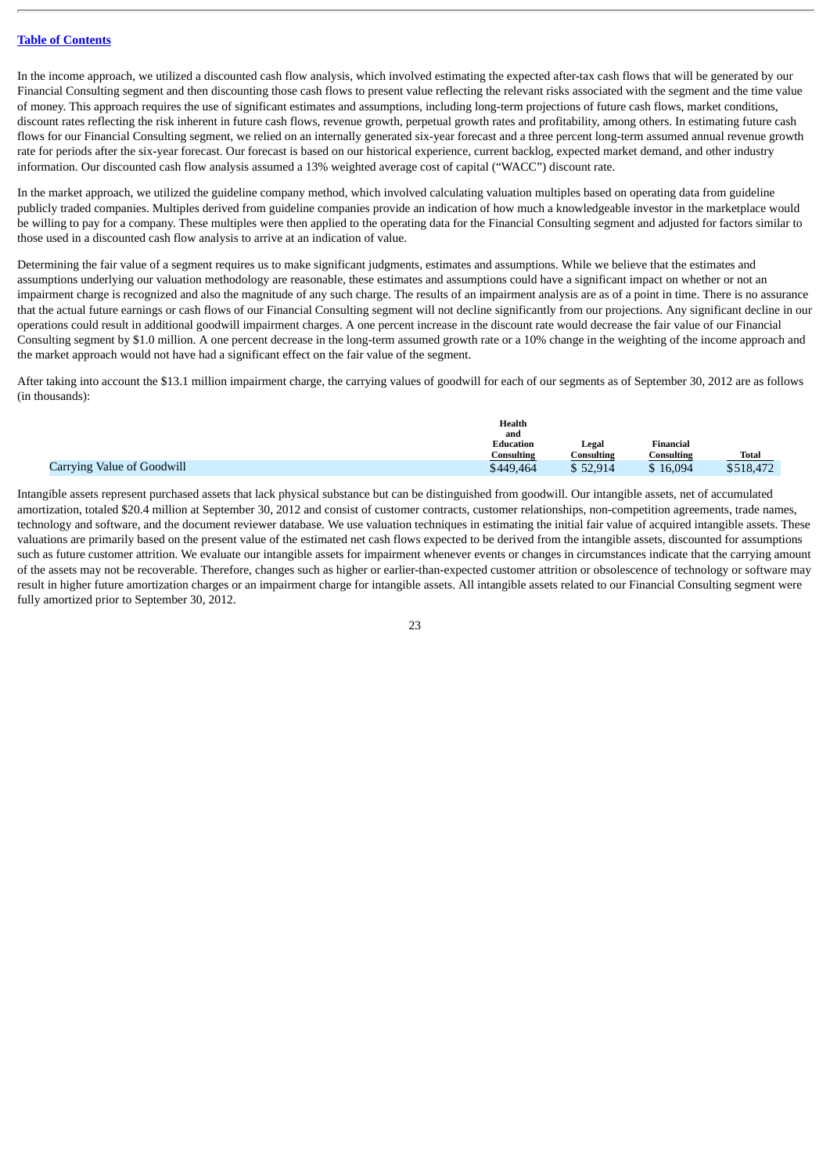In the income approach, we utilized a discounted cash flow analysis, which involved estimating the expected after-tax cash flows that will be generated by our Financial Consulting segment and then discounting those cash flows to present value reflecting the relevant risks associated with the segment and the time value of money. This approach requires the use of significant estimates and assumptions, including long-term projections of future cash flows, market conditions, discount rates reflecting the risk inherent in future cash flows, revenue growth, perpetual growth rates and profitability, among others. In estimating future cash flows for our Financial Consulting segment, we relied on an internally generated six-year forecast and a three percent long-term assumed annual revenue growth rate for periods after the six-year forecast. Our forecast is based on our historical experience, current backlog, expected market demand, and other industry information. Our discounted cash flow analysis assumed a 13% weighted average cost of capital ("WACC") discount rate.

In the market approach, we utilized the guideline company method, which involved calculating valuation multiples based on operating data from guideline publicly traded companies. Multiples derived from guideline companies provide an indication of how much a knowledgeable investor in the marketplace would be willing to pay for a company. These multiples were then applied to the operating data for the Financial Consulting segment and adjusted for factors similar to those used in a discounted cash flow analysis to arrive at an indication of value.

Determining the fair value of a segment requires us to make significant judgments, estimates and assumptions. While we believe that the estimates and assumptions underlying our valuation methodology are reasonable, these estimates and assumptions could have a significant impact on whether or not an impairment charge is recognized and also the magnitude of any such charge. The results of an impairment analysis are as of a point in time. There is no assurance that the actual future earnings or cash flows of our Financial Consulting segment will not decline significantly from our projections. Any significant decline in our operations could result in additional goodwill impairment charges. A one percent increase in the discount rate would decrease the fair value of our Financial Consulting segment by \$1.0 million. A one percent decrease in the long-term assumed growth rate or a 10% change in the weighting of the income approach and the market approach would not have had a significant effect on the fair value of the segment.

After taking into account the \$13.1 million impairment charge, the carrying values of goodwill for each of our segments as of September 30, 2012 are as follows (in thousands):

|                            | Health     |            |            |           |
|----------------------------|------------|------------|------------|-----------|
|                            | and        |            |            |           |
|                            | Education  | Legal      | Financial  |           |
|                            | Consulting | Consulting | Consulting | Total     |
| Carrying Value of Goodwill | \$449,464  | \$52.914   | \$16.094   | \$518,472 |

Intangible assets represent purchased assets that lack physical substance but can be distinguished from goodwill. Our intangible assets, net of accumulated amortization, totaled \$20.4 million at September 30, 2012 and consist of customer contracts, customer relationships, non-competition agreements, trade names, technology and software, and the document reviewer database. We use valuation techniques in estimating the initial fair value of acquired intangible assets. These valuations are primarily based on the present value of the estimated net cash flows expected to be derived from the intangible assets, discounted for assumptions such as future customer attrition. We evaluate our intangible assets for impairment whenever events or changes in circumstances indicate that the carrying amount of the assets may not be recoverable. Therefore, changes such as higher or earlier-than-expected customer attrition or obsolescence of technology or software may result in higher future amortization charges or an impairment charge for intangible assets. All intangible assets related to our Financial Consulting segment were fully amortized prior to September 30, 2012.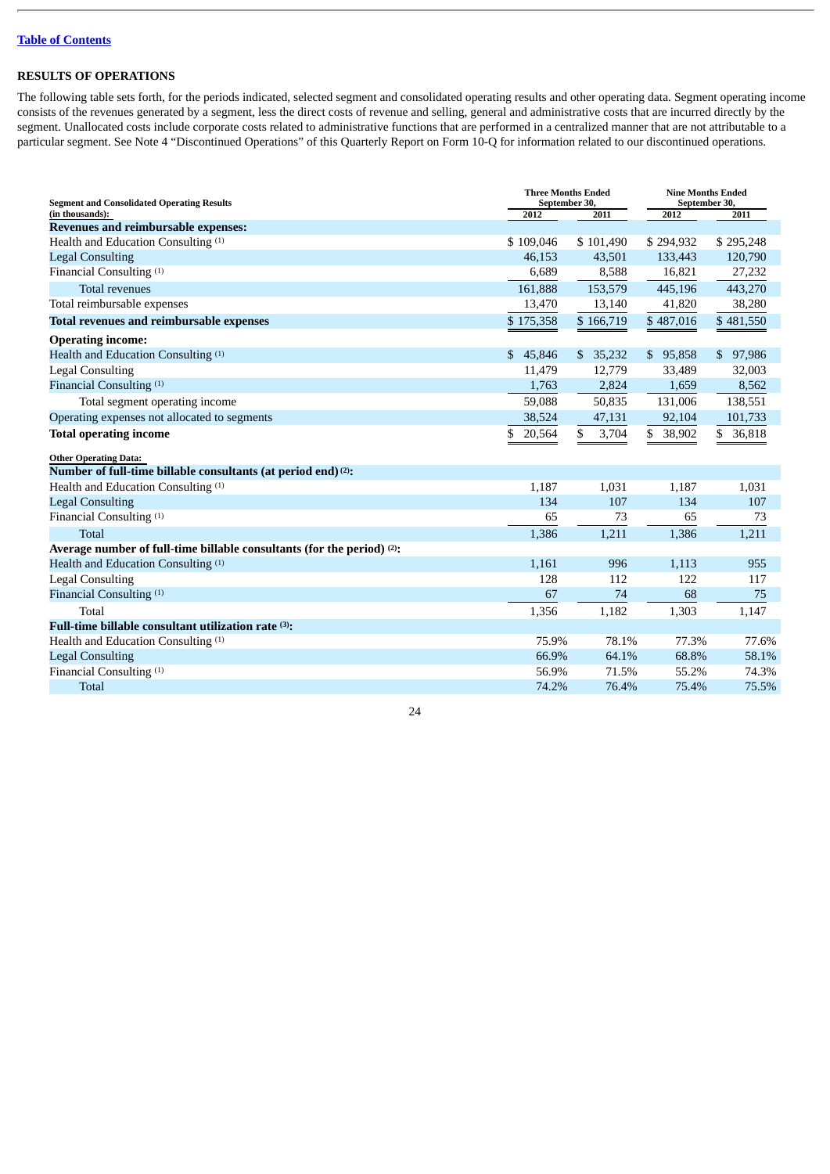## **RESULTS OF OPERATIONS**

The following table sets forth, for the periods indicated, selected segment and consolidated operating results and other operating data. Segment operating income consists of the revenues generated by a segment, less the direct costs of revenue and selling, general and administrative costs that are incurred directly by the segment. Unallocated costs include corporate costs related to administrative functions that are performed in a centralized manner that are not attributable to a particular segment. See Note 4 "Discontinued Operations" of this Quarterly Report on Form 10-Q for information related to our discontinued operations.

| <b>Segment and Consolidated Operating Results</b>                      | <b>Three Months Ended</b><br>September 30. |             | <b>Nine Months Ended</b><br>September 30, |           |
|------------------------------------------------------------------------|--------------------------------------------|-------------|-------------------------------------------|-----------|
| (in thousands):                                                        | 2012                                       | 2011        | 2012                                      | 2011      |
| <b>Revenues and reimbursable expenses:</b>                             |                                            |             |                                           |           |
| Health and Education Consulting (1)                                    | \$109,046                                  | \$101,490   | \$294,932                                 | \$295,248 |
| <b>Legal Consulting</b>                                                | 46.153                                     | 43,501      | 133,443                                   | 120,790   |
| Financial Consulting (1)                                               | 6,689                                      | 8,588       | 16,821                                    | 27,232    |
| <b>Total revenues</b>                                                  | 161,888                                    | 153,579     | 445,196                                   | 443,270   |
| Total reimbursable expenses                                            | 13,470                                     | 13,140      | 41,820                                    | 38,280    |
| <b>Total revenues and reimbursable expenses</b>                        | \$175,358                                  | \$166,719   | \$487,016                                 | \$481,550 |
| <b>Operating income:</b>                                               |                                            |             |                                           |           |
| Health and Education Consulting (1)                                    | 45,846<br>\$                               | \$35,232    | \$95,858                                  | \$97,986  |
| Legal Consulting                                                       | 11,479                                     | 12,779      | 33,489                                    | 32,003    |
| Financial Consulting <sup>(1)</sup>                                    | 1,763                                      | 2,824       | 1,659                                     | 8,562     |
| Total segment operating income                                         | 59.088                                     | 50,835      | 131,006                                   | 138,551   |
| Operating expenses not allocated to segments                           | 38,524                                     | 47,131      | 92,104                                    | 101,733   |
| <b>Total operating income</b>                                          | 20,564<br>\$                               | \$<br>3,704 | \$ 38,902                                 | \$ 36,818 |
| <b>Other Operating Data:</b>                                           |                                            |             |                                           |           |
| Number of full-time billable consultants (at period end) (2):          |                                            |             |                                           |           |
| Health and Education Consulting (1)                                    | 1,187                                      | 1,031       | 1,187                                     | 1,031     |
| <b>Legal Consulting</b>                                                | 134                                        | 107         | 134                                       | 107       |
| Financial Consulting <sup>(1)</sup>                                    | 65                                         | 73          | 65                                        | 73        |
| <b>Total</b>                                                           | 1,386                                      | 1,211       | 1,386                                     | 1,211     |
| Average number of full-time billable consultants (for the period) (2): |                                            |             |                                           |           |
| Health and Education Consulting (1)                                    | 1,161                                      | 996         | 1,113                                     | 955       |
| <b>Legal Consulting</b>                                                | 128                                        | 112         | 122                                       | 117       |
| Financial Consulting <sup>(1)</sup>                                    | 67                                         | 74          | 68                                        | 75        |
| Total                                                                  | 1,356                                      | 1,182       | 1,303                                     | 1,147     |
| Full-time billable consultant utilization rate (3):                    |                                            |             |                                           |           |
| Health and Education Consulting (1)                                    | 75.9%                                      | 78.1%       | 77.3%                                     | 77.6%     |
| <b>Legal Consulting</b>                                                | 66.9%                                      | 64.1%       | 68.8%                                     | 58.1%     |
| Financial Consulting <sup>(1)</sup>                                    | 56.9%                                      | 71.5%       | 55.2%                                     | 74.3%     |
| <b>Total</b>                                                           | 74.2%                                      | 76.4%       | 75.4%                                     | 75.5%     |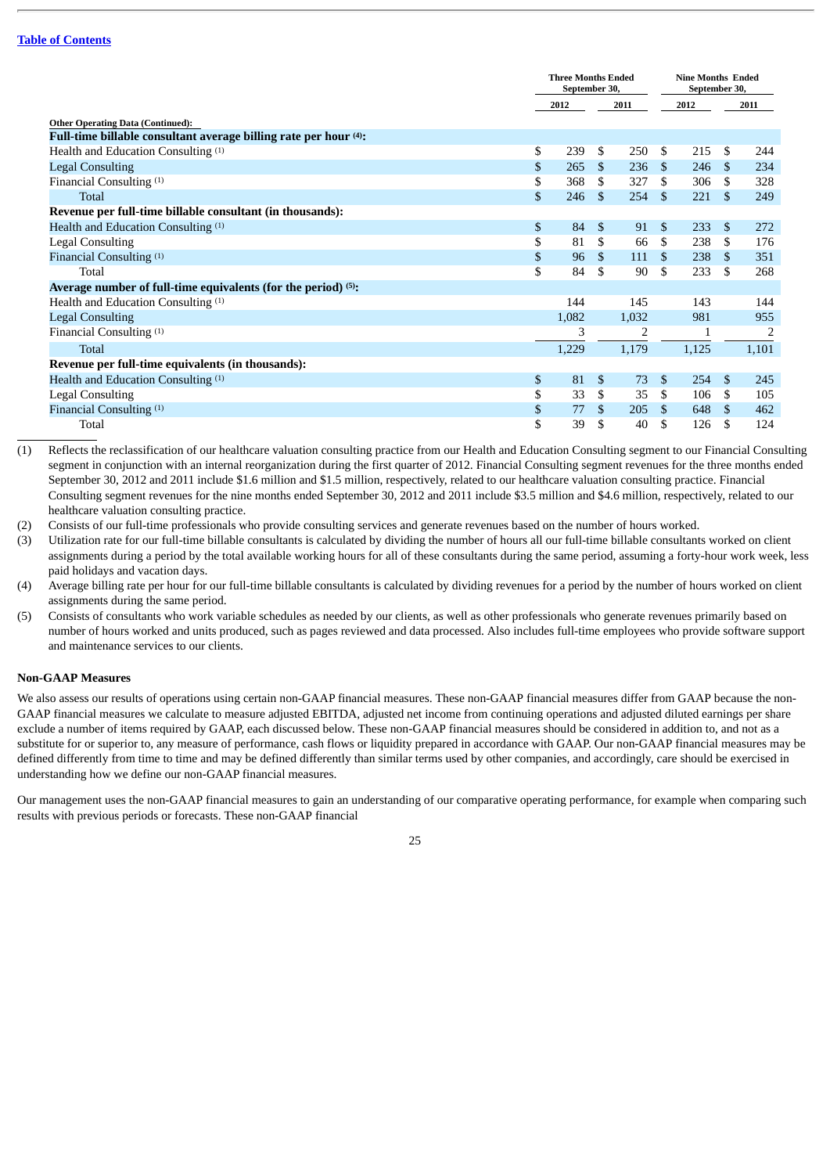|                                                                  | <b>Three Months Ended</b><br>September 30, |                |       |              | <b>Nine Months Ended</b><br>September 30, |     |       |
|------------------------------------------------------------------|--------------------------------------------|----------------|-------|--------------|-------------------------------------------|-----|-------|
|                                                                  | 2012<br>2011                               |                | 2012  |              | 2011                                      |     |       |
| <b>Other Operating Data (Continued):</b>                         |                                            |                |       |              |                                           |     |       |
| Full-time billable consultant average billing rate per hour (4): |                                            |                |       |              |                                           |     |       |
| Health and Education Consulting (1)                              | \$<br>239                                  | \$             | 250   | \$           | 215                                       | \$  | 244   |
| <b>Legal Consulting</b>                                          | \$<br>265                                  | S.             | 236   | \$           | 246                                       | \$  | 234   |
| Financial Consulting (1)                                         | \$<br>368                                  | S              | 327   | \$           | 306                                       | \$. | 328   |
| Total                                                            | \$<br>246                                  | \$             | 254   | S            | 221                                       | \$  | 249   |
| Revenue per full-time billable consultant (in thousands):        |                                            |                |       |              |                                           |     |       |
| Health and Education Consulting (1)                              | \$<br>84                                   | \$             | 91    | \$           | 233                                       | \$  | 272   |
| <b>Legal Consulting</b>                                          | \$<br>81                                   | \$             | 66    | \$           | 238                                       | \$  | 176   |
| Financial Consulting (1)                                         | \$<br>96                                   | \$             | 111   | $\mathbf{s}$ | 238                                       | \$. | 351   |
| Total                                                            | \$<br>84                                   | \$             | 90    | \$           | 233                                       | \$  | 268   |
| Average number of full-time equivalents (for the period) (5):    |                                            |                |       |              |                                           |     |       |
| Health and Education Consulting (1)                              | 144                                        |                | 145   |              | 143                                       |     | 144   |
| <b>Legal Consulting</b>                                          | 1,082                                      |                | 1,032 |              | 981                                       |     | 955   |
| Financial Consulting (1)                                         | 3                                          |                | 2     |              |                                           |     | 2     |
| Total                                                            | 1,229                                      |                | 1,179 |              | 1,125                                     |     | 1,101 |
| Revenue per full-time equivalents (in thousands):                |                                            |                |       |              |                                           |     |       |
| Health and Education Consulting (1)                              | \$<br>81                                   | $\mathfrak{L}$ | 73    | \$           | 254                                       | \$  | 245   |
| <b>Legal Consulting</b>                                          | \$<br>33                                   | \$             | 35    | S            | 106                                       | \$. | 105   |
| Financial Consulting (1)                                         | \$<br>77                                   | \$             | 205   | \$           | 648                                       | \$  | 462   |
| Total                                                            | \$<br>39                                   | \$             | 40    | \$           | 126                                       | \$  | 124   |

(1) Reflects the reclassification of our healthcare valuation consulting practice from our Health and Education Consulting segment to our Financial Consulting segment in conjunction with an internal reorganization during the first quarter of 2012. Financial Consulting segment revenues for the three months ended September 30, 2012 and 2011 include \$1.6 million and \$1.5 million, respectively, related to our healthcare valuation consulting practice. Financial Consulting segment revenues for the nine months ended September 30, 2012 and 2011 include \$3.5 million and \$4.6 million, respectively, related to our healthcare valuation consulting practice.

(2) Consists of our full-time professionals who provide consulting services and generate revenues based on the number of hours worked.

(3) Utilization rate for our full-time billable consultants is calculated by dividing the number of hours all our full-time billable consultants worked on client assignments during a period by the total available working hours for all of these consultants during the same period, assuming a forty-hour work week, less paid holidays and vacation days.

(4) Average billing rate per hour for our full-time billable consultants is calculated by dividing revenues for a period by the number of hours worked on client assignments during the same period.

(5) Consists of consultants who work variable schedules as needed by our clients, as well as other professionals who generate revenues primarily based on number of hours worked and units produced, such as pages reviewed and data processed. Also includes full-time employees who provide software support and maintenance services to our clients.

## **Non-GAAP Measures**

We also assess our results of operations using certain non-GAAP financial measures. These non-GAAP financial measures differ from GAAP because the non-GAAP financial measures we calculate to measure adjusted EBITDA, adjusted net income from continuing operations and adjusted diluted earnings per share exclude a number of items required by GAAP, each discussed below. These non-GAAP financial measures should be considered in addition to, and not as a substitute for or superior to, any measure of performance, cash flows or liquidity prepared in accordance with GAAP. Our non-GAAP financial measures may be defined differently from time to time and may be defined differently than similar terms used by other companies, and accordingly, care should be exercised in understanding how we define our non-GAAP financial measures.

Our management uses the non-GAAP financial measures to gain an understanding of our comparative operating performance, for example when comparing such results with previous periods or forecasts. These non-GAAP financial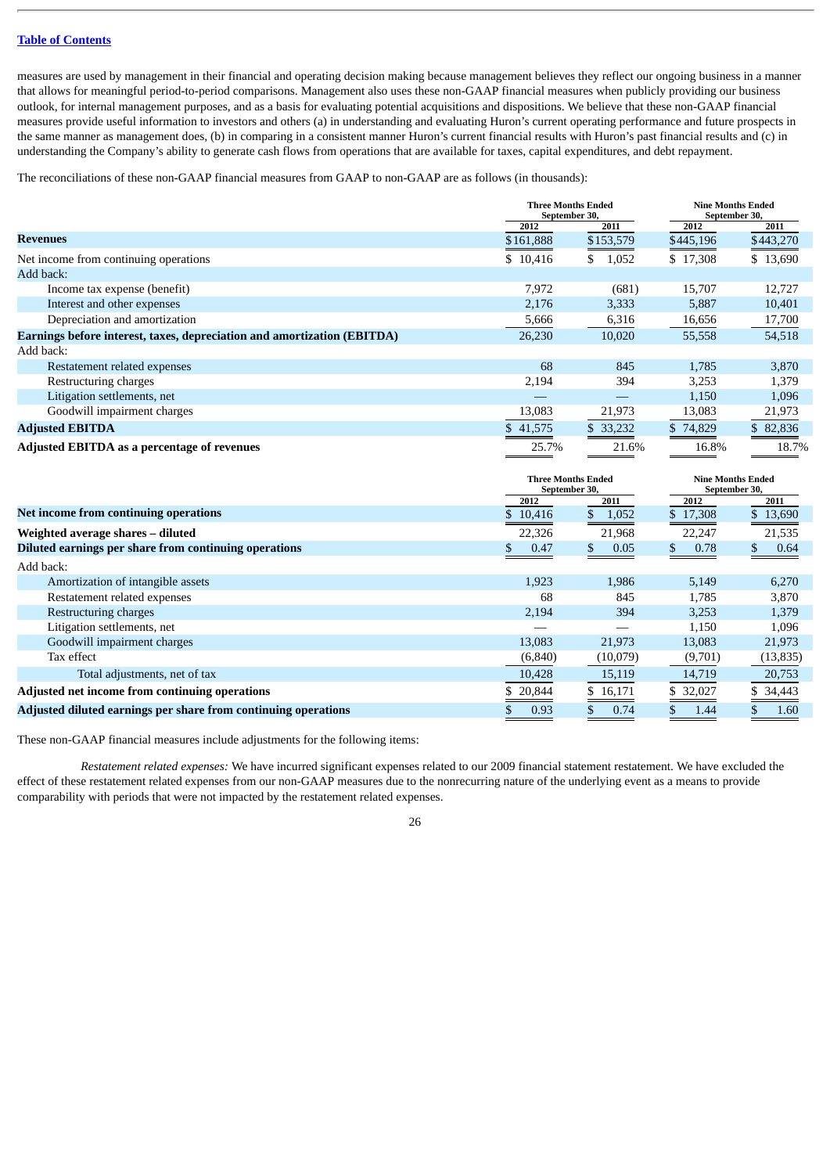measures are used by management in their financial and operating decision making because management believes they reflect our ongoing business in a manner that allows for meaningful period-to-period comparisons. Management also uses these non-GAAP financial measures when publicly providing our business outlook, for internal management purposes, and as a basis for evaluating potential acquisitions and dispositions. We believe that these non-GAAP financial measures provide useful information to investors and others (a) in understanding and evaluating Huron's current operating performance and future prospects in the same manner as management does, (b) in comparing in a consistent manner Huron's current financial results with Huron's past financial results and (c) in understanding the Company's ability to generate cash flows from operations that are available for taxes, capital expenditures, and debt repayment.

The reconciliations of these non-GAAP financial measures from GAAP to non-GAAP are as follows (in thousands):

|                                                                         | <b>Three Months Ended</b><br>September 30, |             | <b>Nine Months Ended</b><br>September 30, |           |
|-------------------------------------------------------------------------|--------------------------------------------|-------------|-------------------------------------------|-----------|
|                                                                         | 2012                                       | 2011        | 2012                                      | 2011      |
| <b>Revenues</b>                                                         | \$161,888                                  | \$153,579   | \$445,196                                 | \$443,270 |
| Net income from continuing operations                                   | \$10,416                                   | 1,052<br>S. | \$17,308                                  | \$13,690  |
| Add back:                                                               |                                            |             |                                           |           |
| Income tax expense (benefit)                                            | 7,972                                      | (681)       | 15,707                                    | 12,727    |
| Interest and other expenses                                             | 2,176                                      | 3,333       | 5,887                                     | 10,401    |
| Depreciation and amortization                                           | 5,666                                      | 6,316       | 16,656                                    | 17,700    |
| Earnings before interest, taxes, depreciation and amortization (EBITDA) | 26,230                                     | 10,020      | 55,558                                    | 54,518    |
| Add back:                                                               |                                            |             |                                           |           |
| Restatement related expenses                                            | 68                                         | 845         | 1.785                                     | 3,870     |
| Restructuring charges                                                   | 2,194                                      | 394         | 3,253                                     | 1,379     |
| Litigation settlements, net                                             |                                            |             | 1,150                                     | 1,096     |
| Goodwill impairment charges                                             | 13,083                                     | 21,973      | 13,083                                    | 21,973    |
| <b>Adjusted EBITDA</b>                                                  | \$41,575                                   | \$ 33,232   | 74,829                                    | \$82,836  |
| Adjusted EBITDA as a percentage of revenues                             | 25.7%                                      | 21.6%       | 16.8%                                     | 18.7%     |

|                                                                | <b>Three Months Ended</b><br>September 30, |              | <b>Nine Months Ended</b><br>September 30, |           |
|----------------------------------------------------------------|--------------------------------------------|--------------|-------------------------------------------|-----------|
|                                                                | 2012                                       | 2011         | 2012                                      | 2011      |
| Net income from continuing operations                          | \$10,416                                   | \$.<br>1,052 | \$17,308                                  | \$13,690  |
| Weighted average shares - diluted                              | 22,326                                     | 21,968       | 22,247                                    | 21,535    |
| Diluted earnings per share from continuing operations          | 0.47<br>S                                  | 0.05<br>S.   | 0.78<br>S.                                | 0.64      |
| Add back:                                                      |                                            |              |                                           |           |
| Amortization of intangible assets                              | 1,923                                      | 1,986        | 5,149                                     | 6,270     |
| Restatement related expenses                                   | 68                                         | 845          | 1,785                                     | 3,870     |
| Restructuring charges                                          | 2,194                                      | 394          | 3,253                                     | 1,379     |
| Litigation settlements, net                                    |                                            |              | 1,150                                     | 1,096     |
| Goodwill impairment charges                                    | 13,083                                     | 21,973       | 13,083                                    | 21,973    |
| Tax effect                                                     | (6, 840)                                   | (10,079)     | (9,701)                                   | (13, 835) |
| Total adjustments, net of tax                                  | 10,428                                     | 15,119       | 14,719                                    | 20,753    |
| Adjusted net income from continuing operations                 | 20,844                                     | \$16,171     | \$32,027                                  | \$34,443  |
| Adjusted diluted earnings per share from continuing operations | 0.93                                       | 0.74         | 1.44                                      | 1.60      |

These non-GAAP financial measures include adjustments for the following items:

*Restatement related expenses:* We have incurred significant expenses related to our 2009 financial statement restatement. We have excluded the effect of these restatement related expenses from our non-GAAP measures due to the nonrecurring nature of the underlying event as a means to provide comparability with periods that were not impacted by the restatement related expenses.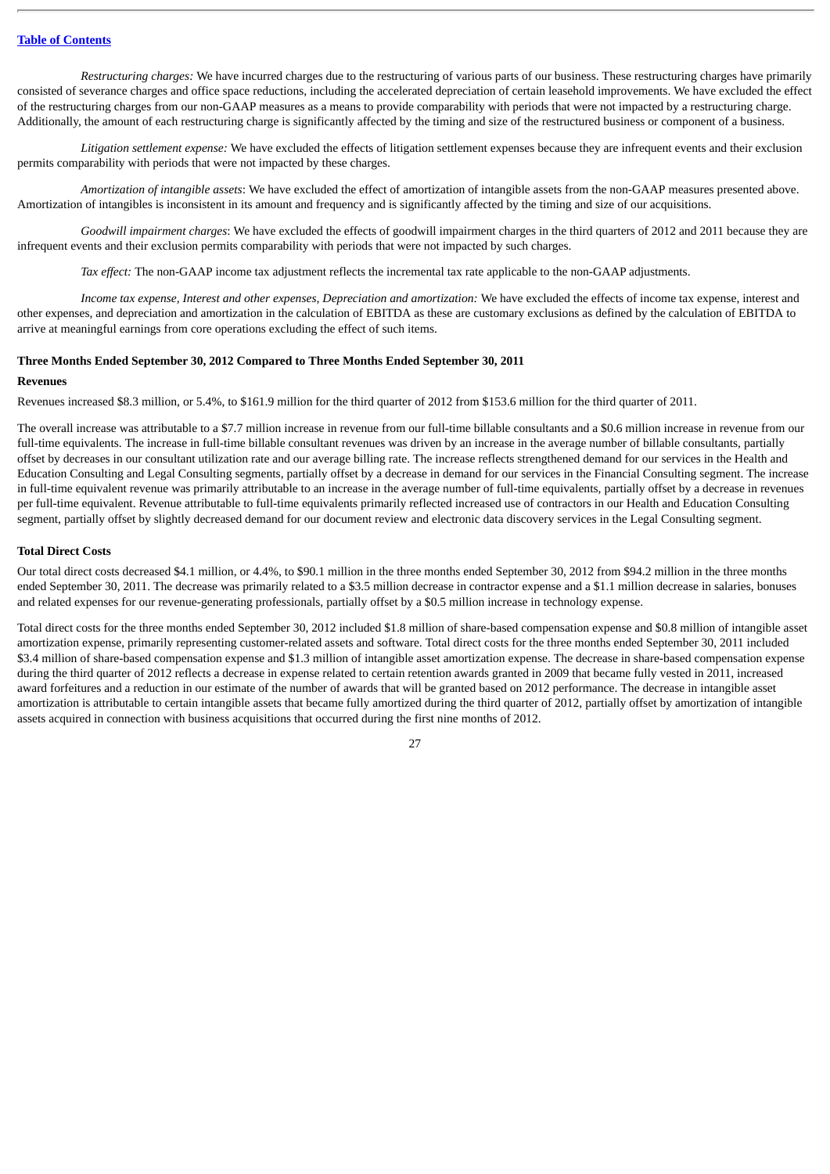*Restructuring charges:* We have incurred charges due to the restructuring of various parts of our business. These restructuring charges have primarily consisted of severance charges and office space reductions, including the accelerated depreciation of certain leasehold improvements. We have excluded the effect of the restructuring charges from our non-GAAP measures as a means to provide comparability with periods that were not impacted by a restructuring charge. Additionally, the amount of each restructuring charge is significantly affected by the timing and size of the restructured business or component of a business.

*Litigation settlement expense:* We have excluded the effects of litigation settlement expenses because they are infrequent events and their exclusion permits comparability with periods that were not impacted by these charges.

*Amortization of intangible assets*: We have excluded the effect of amortization of intangible assets from the non-GAAP measures presented above. Amortization of intangibles is inconsistent in its amount and frequency and is significantly affected by the timing and size of our acquisitions.

*Goodwill impairment charges*: We have excluded the effects of goodwill impairment charges in the third quarters of 2012 and 2011 because they are infrequent events and their exclusion permits comparability with periods that were not impacted by such charges.

*Tax effect:* The non-GAAP income tax adjustment reflects the incremental tax rate applicable to the non-GAAP adjustments.

*Income tax expense, Interest and other expenses, Depreciation and amortization:* We have excluded the effects of income tax expense, interest and other expenses, and depreciation and amortization in the calculation of EBITDA as these are customary exclusions as defined by the calculation of EBITDA to arrive at meaningful earnings from core operations excluding the effect of such items.

## **Three Months Ended September 30, 2012 Compared to Three Months Ended September 30, 2011**

#### **Revenues**

Revenues increased \$8.3 million, or 5.4%, to \$161.9 million for the third quarter of 2012 from \$153.6 million for the third quarter of 2011.

The overall increase was attributable to a \$7.7 million increase in revenue from our full-time billable consultants and a \$0.6 million increase in revenue from our full-time equivalents. The increase in full-time billable consultant revenues was driven by an increase in the average number of billable consultants, partially offset by decreases in our consultant utilization rate and our average billing rate. The increase reflects strengthened demand for our services in the Health and Education Consulting and Legal Consulting segments, partially offset by a decrease in demand for our services in the Financial Consulting segment. The increase in full-time equivalent revenue was primarily attributable to an increase in the average number of full-time equivalents, partially offset by a decrease in revenues per full-time equivalent. Revenue attributable to full-time equivalents primarily reflected increased use of contractors in our Health and Education Consulting segment, partially offset by slightly decreased demand for our document review and electronic data discovery services in the Legal Consulting segment.

#### **Total Direct Costs**

Our total direct costs decreased \$4.1 million, or 4.4%, to \$90.1 million in the three months ended September 30, 2012 from \$94.2 million in the three months ended September 30, 2011. The decrease was primarily related to a \$3.5 million decrease in contractor expense and a \$1.1 million decrease in salaries, bonuses and related expenses for our revenue-generating professionals, partially offset by a \$0.5 million increase in technology expense.

Total direct costs for the three months ended September 30, 2012 included \$1.8 million of share-based compensation expense and \$0.8 million of intangible asset amortization expense, primarily representing customer-related assets and software. Total direct costs for the three months ended September 30, 2011 included \$3.4 million of share-based compensation expense and \$1.3 million of intangible asset amortization expense. The decrease in share-based compensation expense during the third quarter of 2012 reflects a decrease in expense related to certain retention awards granted in 2009 that became fully vested in 2011, increased award forfeitures and a reduction in our estimate of the number of awards that will be granted based on 2012 performance. The decrease in intangible asset amortization is attributable to certain intangible assets that became fully amortized during the third quarter of 2012, partially offset by amortization of intangible assets acquired in connection with business acquisitions that occurred during the first nine months of 2012.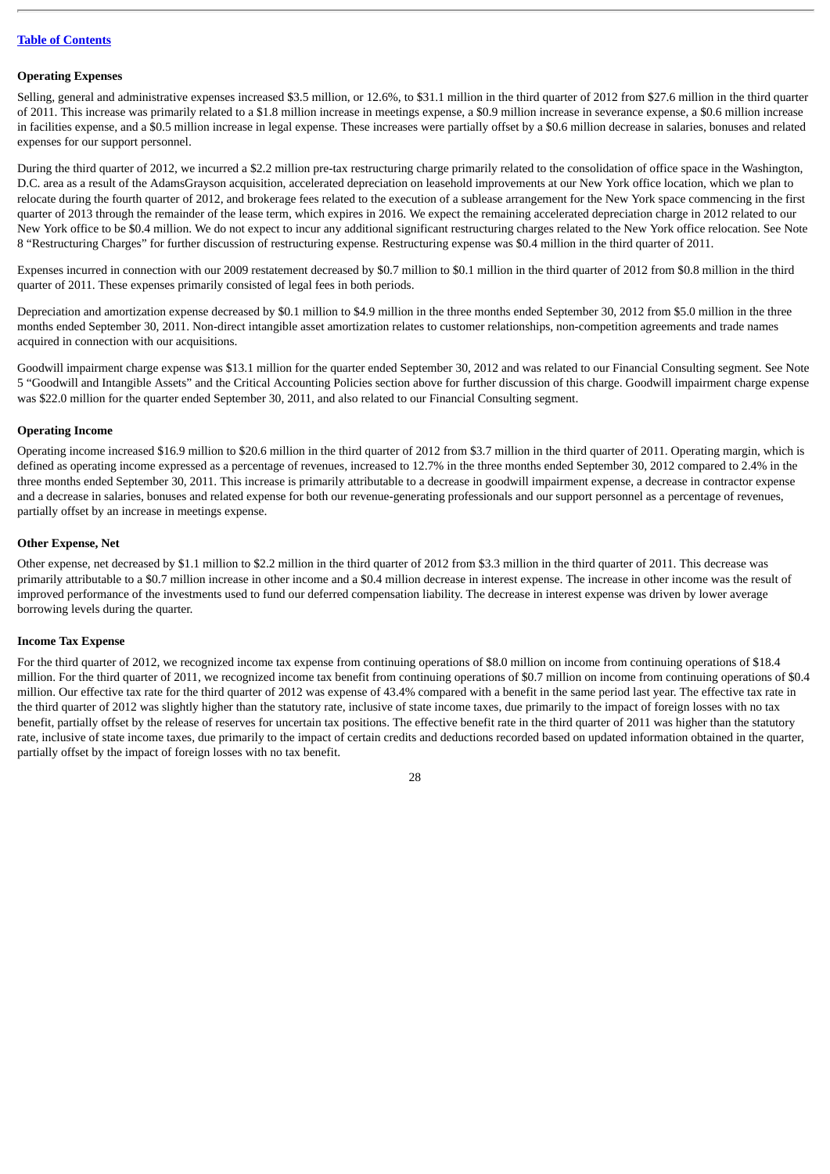#### **Operating Expenses**

Selling, general and administrative expenses increased \$3.5 million, or 12.6%, to \$31.1 million in the third quarter of 2012 from \$27.6 million in the third quarter of 2011. This increase was primarily related to a \$1.8 million increase in meetings expense, a \$0.9 million increase in severance expense, a \$0.6 million increase in facilities expense, and a \$0.5 million increase in legal expense. These increases were partially offset by a \$0.6 million decrease in salaries, bonuses and related expenses for our support personnel.

During the third quarter of 2012, we incurred a \$2.2 million pre-tax restructuring charge primarily related to the consolidation of office space in the Washington, D.C. area as a result of the AdamsGrayson acquisition, accelerated depreciation on leasehold improvements at our New York office location, which we plan to relocate during the fourth quarter of 2012, and brokerage fees related to the execution of a sublease arrangement for the New York space commencing in the first quarter of 2013 through the remainder of the lease term, which expires in 2016. We expect the remaining accelerated depreciation charge in 2012 related to our New York office to be \$0.4 million. We do not expect to incur any additional significant restructuring charges related to the New York office relocation. See Note 8 "Restructuring Charges" for further discussion of restructuring expense. Restructuring expense was \$0.4 million in the third quarter of 2011.

Expenses incurred in connection with our 2009 restatement decreased by \$0.7 million to \$0.1 million in the third quarter of 2012 from \$0.8 million in the third quarter of 2011. These expenses primarily consisted of legal fees in both periods.

Depreciation and amortization expense decreased by \$0.1 million to \$4.9 million in the three months ended September 30, 2012 from \$5.0 million in the three months ended September 30, 2011. Non-direct intangible asset amortization relates to customer relationships, non-competition agreements and trade names acquired in connection with our acquisitions.

Goodwill impairment charge expense was \$13.1 million for the quarter ended September 30, 2012 and was related to our Financial Consulting segment. See Note 5 "Goodwill and Intangible Assets" and the Critical Accounting Policies section above for further discussion of this charge. Goodwill impairment charge expense was \$22.0 million for the quarter ended September 30, 2011, and also related to our Financial Consulting segment.

#### **Operating Income**

Operating income increased \$16.9 million to \$20.6 million in the third quarter of 2012 from \$3.7 million in the third quarter of 2011. Operating margin, which is defined as operating income expressed as a percentage of revenues, increased to 12.7% in the three months ended September 30, 2012 compared to 2.4% in the three months ended September 30, 2011. This increase is primarily attributable to a decrease in goodwill impairment expense, a decrease in contractor expense and a decrease in salaries, bonuses and related expense for both our revenue-generating professionals and our support personnel as a percentage of revenues, partially offset by an increase in meetings expense.

## **Other Expense, Net**

Other expense, net decreased by \$1.1 million to \$2.2 million in the third quarter of 2012 from \$3.3 million in the third quarter of 2011. This decrease was primarily attributable to a \$0.7 million increase in other income and a \$0.4 million decrease in interest expense. The increase in other income was the result of improved performance of the investments used to fund our deferred compensation liability. The decrease in interest expense was driven by lower average borrowing levels during the quarter.

#### **Income Tax Expense**

For the third quarter of 2012, we recognized income tax expense from continuing operations of \$8.0 million on income from continuing operations of \$18.4 million. For the third quarter of 2011, we recognized income tax benefit from continuing operations of \$0.7 million on income from continuing operations of \$0.4 million. Our effective tax rate for the third quarter of 2012 was expense of 43.4% compared with a benefit in the same period last year. The effective tax rate in the third quarter of 2012 was slightly higher than the statutory rate, inclusive of state income taxes, due primarily to the impact of foreign losses with no tax benefit, partially offset by the release of reserves for uncertain tax positions. The effective benefit rate in the third quarter of 2011 was higher than the statutory rate, inclusive of state income taxes, due primarily to the impact of certain credits and deductions recorded based on updated information obtained in the quarter, partially offset by the impact of foreign losses with no tax benefit.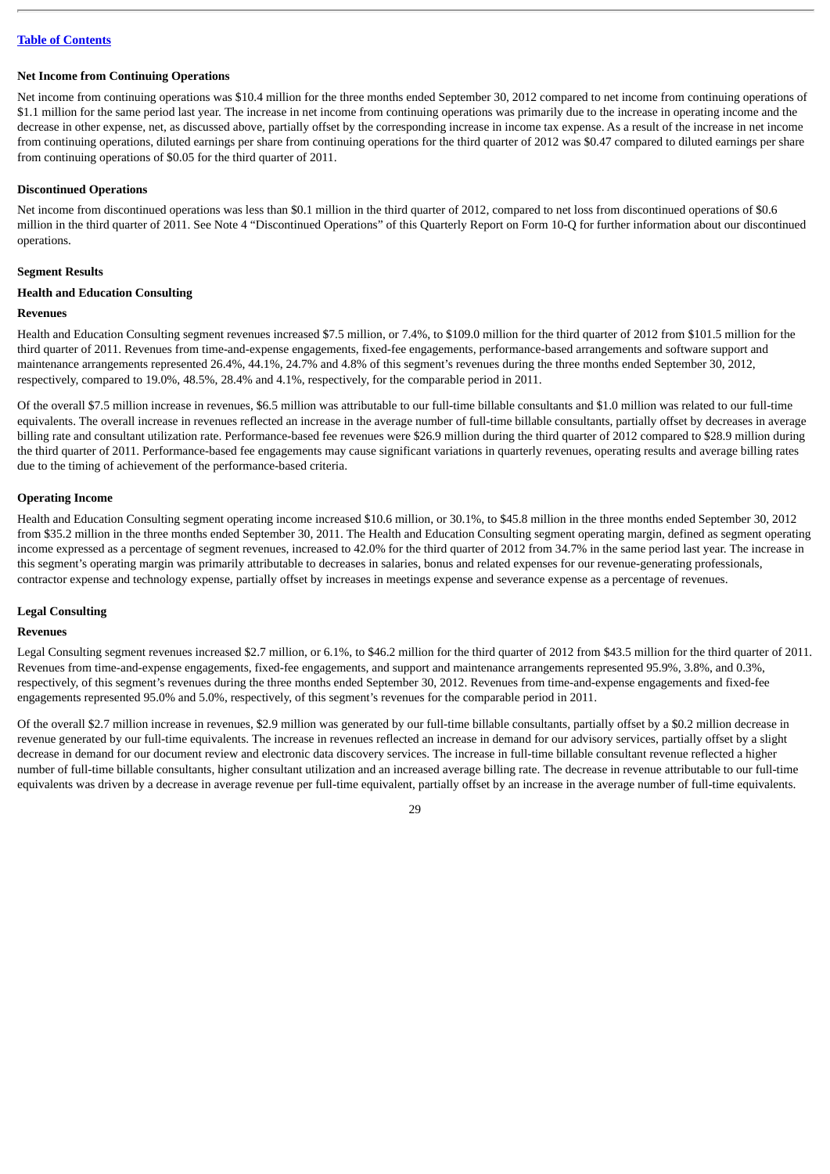#### **Net Income from Continuing Operations**

Net income from continuing operations was \$10.4 million for the three months ended September 30, 2012 compared to net income from continuing operations of \$1.1 million for the same period last year. The increase in net income from continuing operations was primarily due to the increase in operating income and the decrease in other expense, net, as discussed above, partially offset by the corresponding increase in income tax expense. As a result of the increase in net income from continuing operations, diluted earnings per share from continuing operations for the third quarter of 2012 was \$0.47 compared to diluted earnings per share from continuing operations of \$0.05 for the third quarter of 2011.

#### **Discontinued Operations**

Net income from discontinued operations was less than \$0.1 million in the third quarter of 2012, compared to net loss from discontinued operations of \$0.6 million in the third quarter of 2011. See Note 4 "Discontinued Operations" of this Quarterly Report on Form 10-Q for further information about our discontinued operations.

#### **Segment Results**

#### **Health and Education Consulting**

#### **Revenues**

Health and Education Consulting segment revenues increased \$7.5 million, or 7.4%, to \$109.0 million for the third quarter of 2012 from \$101.5 million for the third quarter of 2011. Revenues from time-and-expense engagements, fixed-fee engagements, performance-based arrangements and software support and maintenance arrangements represented 26.4%, 44.1%, 24.7% and 4.8% of this segment's revenues during the three months ended September 30, 2012, respectively, compared to 19.0%, 48.5%, 28.4% and 4.1%, respectively, for the comparable period in 2011.

Of the overall \$7.5 million increase in revenues, \$6.5 million was attributable to our full-time billable consultants and \$1.0 million was related to our full-time equivalents. The overall increase in revenues reflected an increase in the average number of full-time billable consultants, partially offset by decreases in average billing rate and consultant utilization rate. Performance-based fee revenues were \$26.9 million during the third quarter of 2012 compared to \$28.9 million during the third quarter of 2011. Performance-based fee engagements may cause significant variations in quarterly revenues, operating results and average billing rates due to the timing of achievement of the performance-based criteria.

#### **Operating Income**

Health and Education Consulting segment operating income increased \$10.6 million, or 30.1%, to \$45.8 million in the three months ended September 30, 2012 from \$35.2 million in the three months ended September 30, 2011. The Health and Education Consulting segment operating margin, defined as segment operating income expressed as a percentage of segment revenues, increased to 42.0% for the third quarter of 2012 from 34.7% in the same period last year. The increase in this segment's operating margin was primarily attributable to decreases in salaries, bonus and related expenses for our revenue-generating professionals, contractor expense and technology expense, partially offset by increases in meetings expense and severance expense as a percentage of revenues.

#### **Legal Consulting**

#### **Revenues**

Legal Consulting segment revenues increased \$2.7 million, or 6.1%, to \$46.2 million for the third quarter of 2012 from \$43.5 million for the third quarter of 2011. Revenues from time-and-expense engagements, fixed-fee engagements, and support and maintenance arrangements represented 95.9%, 3.8%, and 0.3%, respectively, of this segment's revenues during the three months ended September 30, 2012. Revenues from time-and-expense engagements and fixed-fee engagements represented 95.0% and 5.0%, respectively, of this segment's revenues for the comparable period in 2011.

Of the overall \$2.7 million increase in revenues, \$2.9 million was generated by our full-time billable consultants, partially offset by a \$0.2 million decrease in revenue generated by our full-time equivalents. The increase in revenues reflected an increase in demand for our advisory services, partially offset by a slight decrease in demand for our document review and electronic data discovery services. The increase in full-time billable consultant revenue reflected a higher number of full-time billable consultants, higher consultant utilization and an increased average billing rate. The decrease in revenue attributable to our full-time equivalents was driven by a decrease in average revenue per full-time equivalent, partially offset by an increase in the average number of full-time equivalents.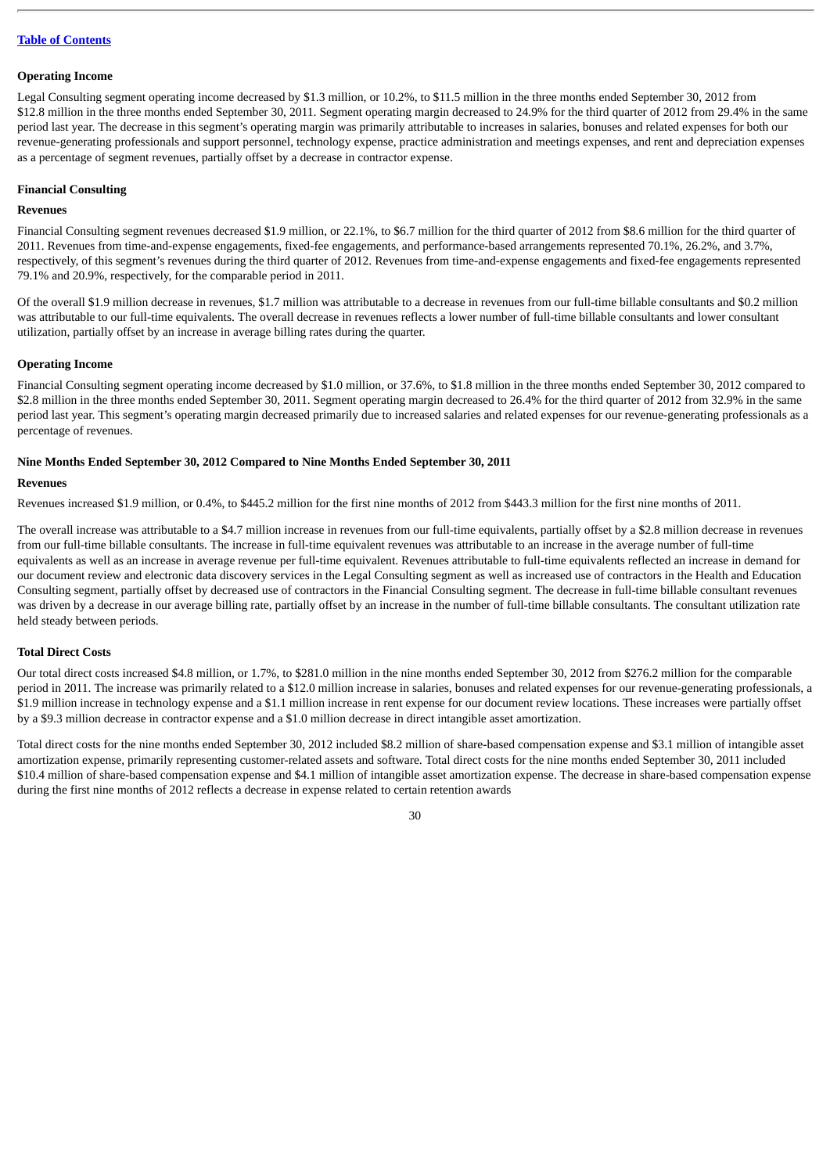#### **Operating Income**

Legal Consulting segment operating income decreased by \$1.3 million, or 10.2%, to \$11.5 million in the three months ended September 30, 2012 from \$12.8 million in the three months ended September 30, 2011. Segment operating margin decreased to 24.9% for the third quarter of 2012 from 29.4% in the same period last year. The decrease in this segment's operating margin was primarily attributable to increases in salaries, bonuses and related expenses for both our revenue-generating professionals and support personnel, technology expense, practice administration and meetings expenses, and rent and depreciation expenses as a percentage of segment revenues, partially offset by a decrease in contractor expense.

#### **Financial Consulting**

#### **Revenues**

Financial Consulting segment revenues decreased \$1.9 million, or 22.1%, to \$6.7 million for the third quarter of 2012 from \$8.6 million for the third quarter of 2011. Revenues from time-and-expense engagements, fixed-fee engagements, and performance-based arrangements represented 70.1%, 26.2%, and 3.7%, respectively, of this segment's revenues during the third quarter of 2012. Revenues from time-and-expense engagements and fixed-fee engagements represented 79.1% and 20.9%, respectively, for the comparable period in 2011.

Of the overall \$1.9 million decrease in revenues, \$1.7 million was attributable to a decrease in revenues from our full-time billable consultants and \$0.2 million was attributable to our full-time equivalents. The overall decrease in revenues reflects a lower number of full-time billable consultants and lower consultant utilization, partially offset by an increase in average billing rates during the quarter.

#### **Operating Income**

Financial Consulting segment operating income decreased by \$1.0 million, or 37.6%, to \$1.8 million in the three months ended September 30, 2012 compared to \$2.8 million in the three months ended September 30, 2011. Segment operating margin decreased to 26.4% for the third quarter of 2012 from 32.9% in the same period last year. This segment's operating margin decreased primarily due to increased salaries and related expenses for our revenue-generating professionals as a percentage of revenues.

#### **Nine Months Ended September 30, 2012 Compared to Nine Months Ended September 30, 2011**

#### **Revenues**

Revenues increased \$1.9 million, or 0.4%, to \$445.2 million for the first nine months of 2012 from \$443.3 million for the first nine months of 2011.

The overall increase was attributable to a \$4.7 million increase in revenues from our full-time equivalents, partially offset by a \$2.8 million decrease in revenues from our full-time billable consultants. The increase in full-time equivalent revenues was attributable to an increase in the average number of full-time equivalents as well as an increase in average revenue per full-time equivalent. Revenues attributable to full-time equivalents reflected an increase in demand for our document review and electronic data discovery services in the Legal Consulting segment as well as increased use of contractors in the Health and Education Consulting segment, partially offset by decreased use of contractors in the Financial Consulting segment. The decrease in full-time billable consultant revenues was driven by a decrease in our average billing rate, partially offset by an increase in the number of full-time billable consultants. The consultant utilization rate held steady between periods.

#### **Total Direct Costs**

Our total direct costs increased \$4.8 million, or 1.7%, to \$281.0 million in the nine months ended September 30, 2012 from \$276.2 million for the comparable period in 2011. The increase was primarily related to a \$12.0 million increase in salaries, bonuses and related expenses for our revenue-generating professionals, a \$1.9 million increase in technology expense and a \$1.1 million increase in rent expense for our document review locations. These increases were partially offset by a \$9.3 million decrease in contractor expense and a \$1.0 million decrease in direct intangible asset amortization.

Total direct costs for the nine months ended September 30, 2012 included \$8.2 million of share-based compensation expense and \$3.1 million of intangible asset amortization expense, primarily representing customer-related assets and software. Total direct costs for the nine months ended September 30, 2011 included \$10.4 million of share-based compensation expense and \$4.1 million of intangible asset amortization expense. The decrease in share-based compensation expense during the first nine months of 2012 reflects a decrease in expense related to certain retention awards

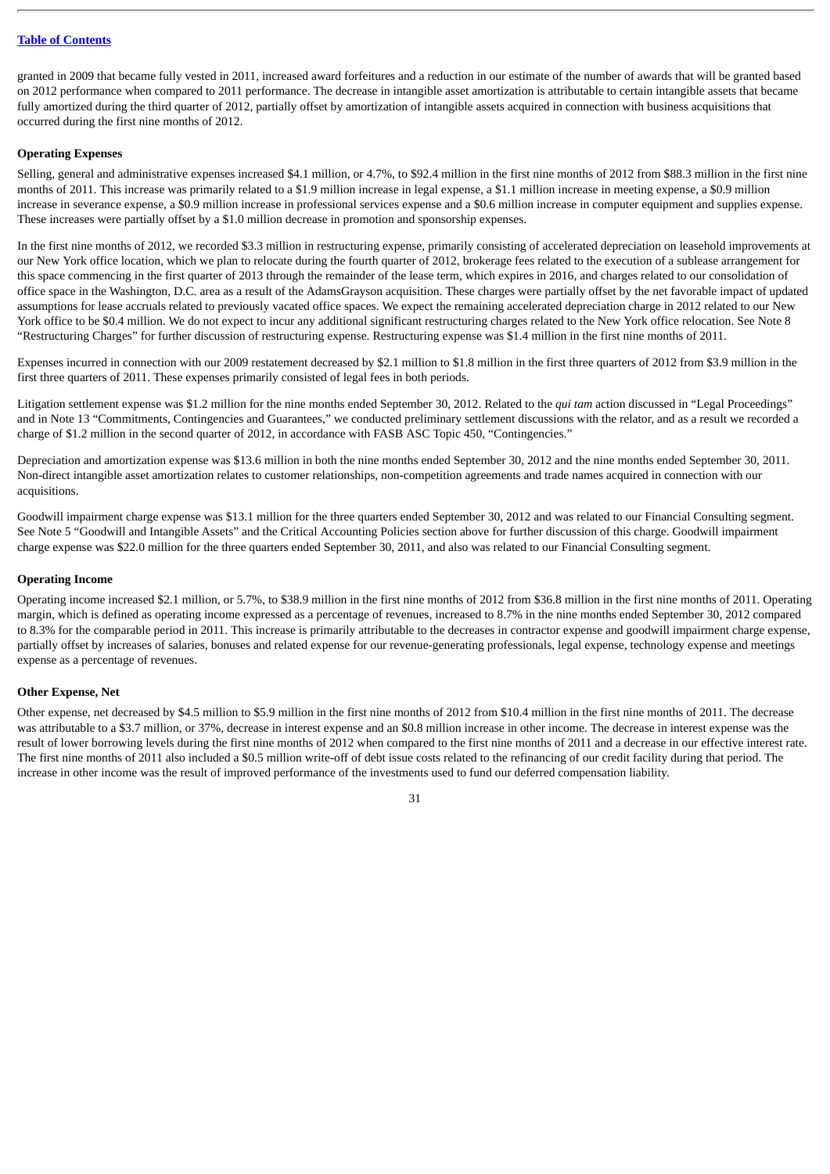granted in 2009 that became fully vested in 2011, increased award forfeitures and a reduction in our estimate of the number of awards that will be granted based on 2012 performance when compared to 2011 performance. The decrease in intangible asset amortization is attributable to certain intangible assets that became fully amortized during the third quarter of 2012, partially offset by amortization of intangible assets acquired in connection with business acquisitions that occurred during the first nine months of 2012.

#### **Operating Expenses**

Selling, general and administrative expenses increased \$4.1 million, or 4.7%, to \$92.4 million in the first nine months of 2012 from \$88.3 million in the first nine months of 2011. This increase was primarily related to a \$1.9 million increase in legal expense, a \$1.1 million increase in meeting expense, a \$0.9 million increase in severance expense, a \$0.9 million increase in professional services expense and a \$0.6 million increase in computer equipment and supplies expense. These increases were partially offset by a \$1.0 million decrease in promotion and sponsorship expenses.

In the first nine months of 2012, we recorded \$3.3 million in restructuring expense, primarily consisting of accelerated depreciation on leasehold improvements at our New York office location, which we plan to relocate during the fourth quarter of 2012, brokerage fees related to the execution of a sublease arrangement for this space commencing in the first quarter of 2013 through the remainder of the lease term, which expires in 2016, and charges related to our consolidation of office space in the Washington, D.C. area as a result of the AdamsGrayson acquisition. These charges were partially offset by the net favorable impact of updated assumptions for lease accruals related to previously vacated office spaces. We expect the remaining accelerated depreciation charge in 2012 related to our New York office to be \$0.4 million. We do not expect to incur any additional significant restructuring charges related to the New York office relocation. See Note 8 "Restructuring Charges" for further discussion of restructuring expense. Restructuring expense was \$1.4 million in the first nine months of 2011.

Expenses incurred in connection with our 2009 restatement decreased by \$2.1 million to \$1.8 million in the first three quarters of 2012 from \$3.9 million in the first three quarters of 2011. These expenses primarily consisted of legal fees in both periods.

Litigation settlement expense was \$1.2 million for the nine months ended September 30, 2012. Related to the *qui tam* action discussed in "Legal Proceedings" and in Note 13 "Commitments, Contingencies and Guarantees," we conducted preliminary settlement discussions with the relator, and as a result we recorded a charge of \$1.2 million in the second quarter of 2012, in accordance with FASB ASC Topic 450, "Contingencies."

Depreciation and amortization expense was \$13.6 million in both the nine months ended September 30, 2012 and the nine months ended September 30, 2011. Non-direct intangible asset amortization relates to customer relationships, non-competition agreements and trade names acquired in connection with our acquisitions.

Goodwill impairment charge expense was \$13.1 million for the three quarters ended September 30, 2012 and was related to our Financial Consulting segment. See Note 5 "Goodwill and Intangible Assets" and the Critical Accounting Policies section above for further discussion of this charge. Goodwill impairment charge expense was \$22.0 million for the three quarters ended September 30, 2011, and also was related to our Financial Consulting segment.

#### **Operating Income**

Operating income increased \$2.1 million, or 5.7%, to \$38.9 million in the first nine months of 2012 from \$36.8 million in the first nine months of 2011. Operating margin, which is defined as operating income expressed as a percentage of revenues, increased to 8.7% in the nine months ended September 30, 2012 compared to 8.3% for the comparable period in 2011. This increase is primarily attributable to the decreases in contractor expense and goodwill impairment charge expense, partially offset by increases of salaries, bonuses and related expense for our revenue-generating professionals, legal expense, technology expense and meetings expense as a percentage of revenues.

## **Other Expense, Net**

Other expense, net decreased by \$4.5 million to \$5.9 million in the first nine months of 2012 from \$10.4 million in the first nine months of 2011. The decrease was attributable to a \$3.7 million, or 37%, decrease in interest expense and an \$0.8 million increase in other income. The decrease in interest expense was the result of lower borrowing levels during the first nine months of 2012 when compared to the first nine months of 2011 and a decrease in our effective interest rate. The first nine months of 2011 also included a \$0.5 million write-off of debt issue costs related to the refinancing of our credit facility during that period. The increase in other income was the result of improved performance of the investments used to fund our deferred compensation liability.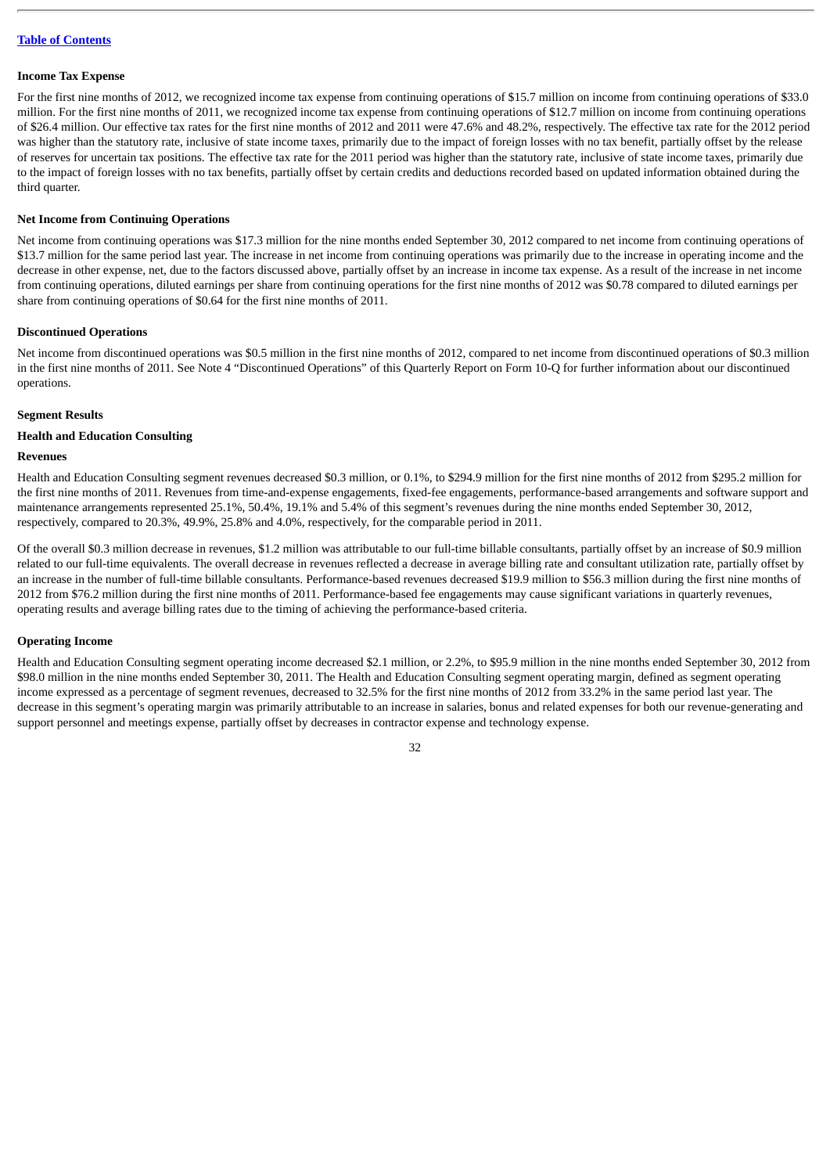#### **Income Tax Expense**

For the first nine months of 2012, we recognized income tax expense from continuing operations of \$15.7 million on income from continuing operations of \$33.0 million. For the first nine months of 2011, we recognized income tax expense from continuing operations of \$12.7 million on income from continuing operations of \$26.4 million. Our effective tax rates for the first nine months of 2012 and 2011 were 47.6% and 48.2%, respectively. The effective tax rate for the 2012 period was higher than the statutory rate, inclusive of state income taxes, primarily due to the impact of foreign losses with no tax benefit, partially offset by the release of reserves for uncertain tax positions. The effective tax rate for the 2011 period was higher than the statutory rate, inclusive of state income taxes, primarily due to the impact of foreign losses with no tax benefits, partially offset by certain credits and deductions recorded based on updated information obtained during the third quarter.

#### **Net Income from Continuing Operations**

Net income from continuing operations was \$17.3 million for the nine months ended September 30, 2012 compared to net income from continuing operations of \$13.7 million for the same period last year. The increase in net income from continuing operations was primarily due to the increase in operating income and the decrease in other expense, net, due to the factors discussed above, partially offset by an increase in income tax expense. As a result of the increase in net income from continuing operations, diluted earnings per share from continuing operations for the first nine months of 2012 was \$0.78 compared to diluted earnings per share from continuing operations of \$0.64 for the first nine months of 2011.

#### **Discontinued Operations**

Net income from discontinued operations was \$0.5 million in the first nine months of 2012, compared to net income from discontinued operations of \$0.3 million in the first nine months of 2011. See Note 4 "Discontinued Operations" of this Quarterly Report on Form 10-Q for further information about our discontinued operations.

#### **Segment Results**

#### **Health and Education Consulting**

#### **Revenues**

Health and Education Consulting segment revenues decreased \$0.3 million, or 0.1%, to \$294.9 million for the first nine months of 2012 from \$295.2 million for the first nine months of 2011. Revenues from time-and-expense engagements, fixed-fee engagements, performance-based arrangements and software support and maintenance arrangements represented 25.1%, 50.4%, 19.1% and 5.4% of this segment's revenues during the nine months ended September 30, 2012, respectively, compared to 20.3%, 49.9%, 25.8% and 4.0%, respectively, for the comparable period in 2011.

Of the overall \$0.3 million decrease in revenues, \$1.2 million was attributable to our full-time billable consultants, partially offset by an increase of \$0.9 million related to our full-time equivalents. The overall decrease in revenues reflected a decrease in average billing rate and consultant utilization rate, partially offset by an increase in the number of full-time billable consultants. Performance-based revenues decreased \$19.9 million to \$56.3 million during the first nine months of 2012 from \$76.2 million during the first nine months of 2011. Performance-based fee engagements may cause significant variations in quarterly revenues, operating results and average billing rates due to the timing of achieving the performance-based criteria.

#### **Operating Income**

Health and Education Consulting segment operating income decreased \$2.1 million, or 2.2%, to \$95.9 million in the nine months ended September 30, 2012 from \$98.0 million in the nine months ended September 30, 2011. The Health and Education Consulting segment operating margin, defined as segment operating income expressed as a percentage of segment revenues, decreased to 32.5% for the first nine months of 2012 from 33.2% in the same period last year. The decrease in this segment's operating margin was primarily attributable to an increase in salaries, bonus and related expenses for both our revenue-generating and support personnel and meetings expense, partially offset by decreases in contractor expense and technology expense.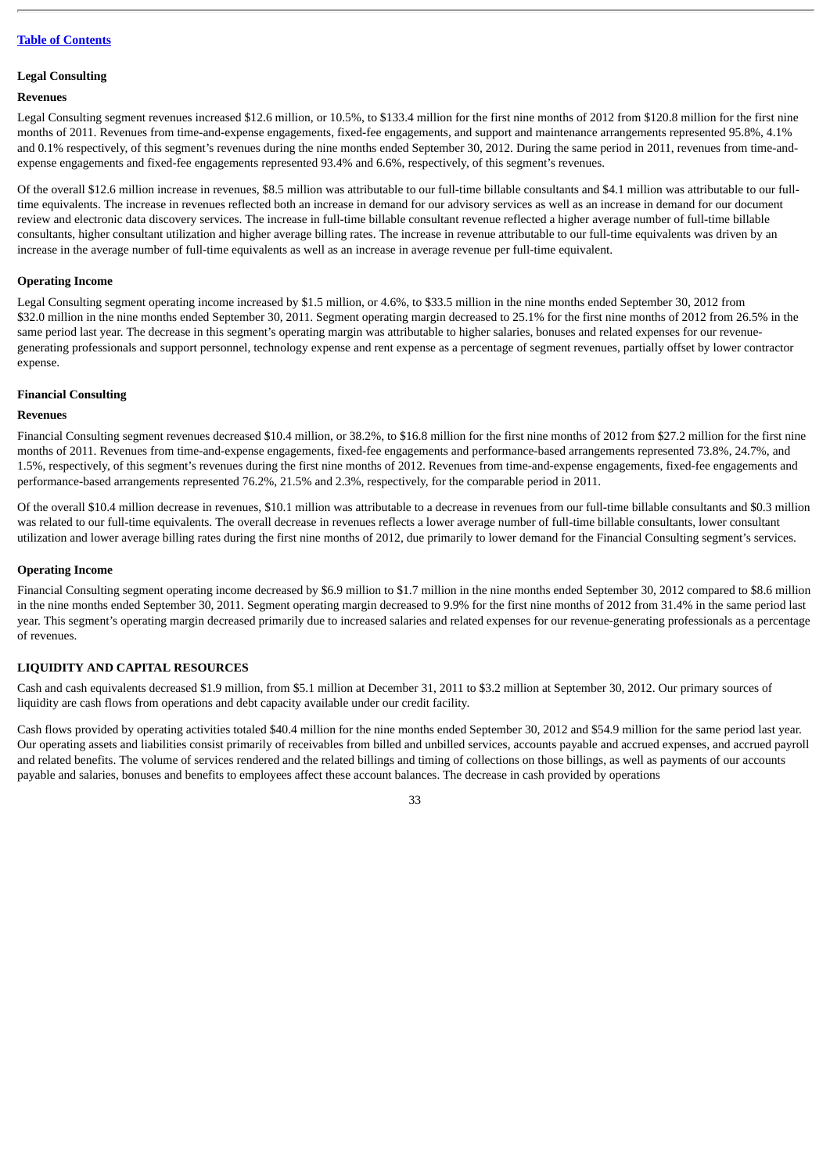#### **Legal Consulting**

#### **Revenues**

Legal Consulting segment revenues increased \$12.6 million, or 10.5%, to \$133.4 million for the first nine months of 2012 from \$120.8 million for the first nine months of 2011. Revenues from time-and-expense engagements, fixed-fee engagements, and support and maintenance arrangements represented 95.8%, 4.1% and 0.1% respectively, of this segment's revenues during the nine months ended September 30, 2012. During the same period in 2011, revenues from time-andexpense engagements and fixed-fee engagements represented 93.4% and 6.6%, respectively, of this segment's revenues.

Of the overall \$12.6 million increase in revenues, \$8.5 million was attributable to our full-time billable consultants and \$4.1 million was attributable to our fulltime equivalents. The increase in revenues reflected both an increase in demand for our advisory services as well as an increase in demand for our document review and electronic data discovery services. The increase in full-time billable consultant revenue reflected a higher average number of full-time billable consultants, higher consultant utilization and higher average billing rates. The increase in revenue attributable to our full-time equivalents was driven by an increase in the average number of full-time equivalents as well as an increase in average revenue per full-time equivalent.

## **Operating Income**

Legal Consulting segment operating income increased by \$1.5 million, or 4.6%, to \$33.5 million in the nine months ended September 30, 2012 from \$32.0 million in the nine months ended September 30, 2011. Segment operating margin decreased to 25.1% for the first nine months of 2012 from 26.5% in the same period last year. The decrease in this segment's operating margin was attributable to higher salaries, bonuses and related expenses for our revenuegenerating professionals and support personnel, technology expense and rent expense as a percentage of segment revenues, partially offset by lower contractor expense.

#### **Financial Consulting**

#### **Revenues**

Financial Consulting segment revenues decreased \$10.4 million, or 38.2%, to \$16.8 million for the first nine months of 2012 from \$27.2 million for the first nine months of 2011. Revenues from time-and-expense engagements, fixed-fee engagements and performance-based arrangements represented 73.8%, 24.7%, and 1.5%, respectively, of this segment's revenues during the first nine months of 2012. Revenues from time-and-expense engagements, fixed-fee engagements and performance-based arrangements represented 76.2%, 21.5% and 2.3%, respectively, for the comparable period in 2011.

Of the overall \$10.4 million decrease in revenues, \$10.1 million was attributable to a decrease in revenues from our full-time billable consultants and \$0.3 million was related to our full-time equivalents. The overall decrease in revenues reflects a lower average number of full-time billable consultants, lower consultant utilization and lower average billing rates during the first nine months of 2012, due primarily to lower demand for the Financial Consulting segment's services.

## **Operating Income**

Financial Consulting segment operating income decreased by \$6.9 million to \$1.7 million in the nine months ended September 30, 2012 compared to \$8.6 million in the nine months ended September 30, 2011. Segment operating margin decreased to 9.9% for the first nine months of 2012 from 31.4% in the same period last year. This segment's operating margin decreased primarily due to increased salaries and related expenses for our revenue-generating professionals as a percentage of revenues.

## **LIQUIDITY AND CAPITAL RESOURCES**

Cash and cash equivalents decreased \$1.9 million, from \$5.1 million at December 31, 2011 to \$3.2 million at September 30, 2012. Our primary sources of liquidity are cash flows from operations and debt capacity available under our credit facility.

Cash flows provided by operating activities totaled \$40.4 million for the nine months ended September 30, 2012 and \$54.9 million for the same period last year. Our operating assets and liabilities consist primarily of receivables from billed and unbilled services, accounts payable and accrued expenses, and accrued payroll and related benefits. The volume of services rendered and the related billings and timing of collections on those billings, as well as payments of our accounts payable and salaries, bonuses and benefits to employees affect these account balances. The decrease in cash provided by operations

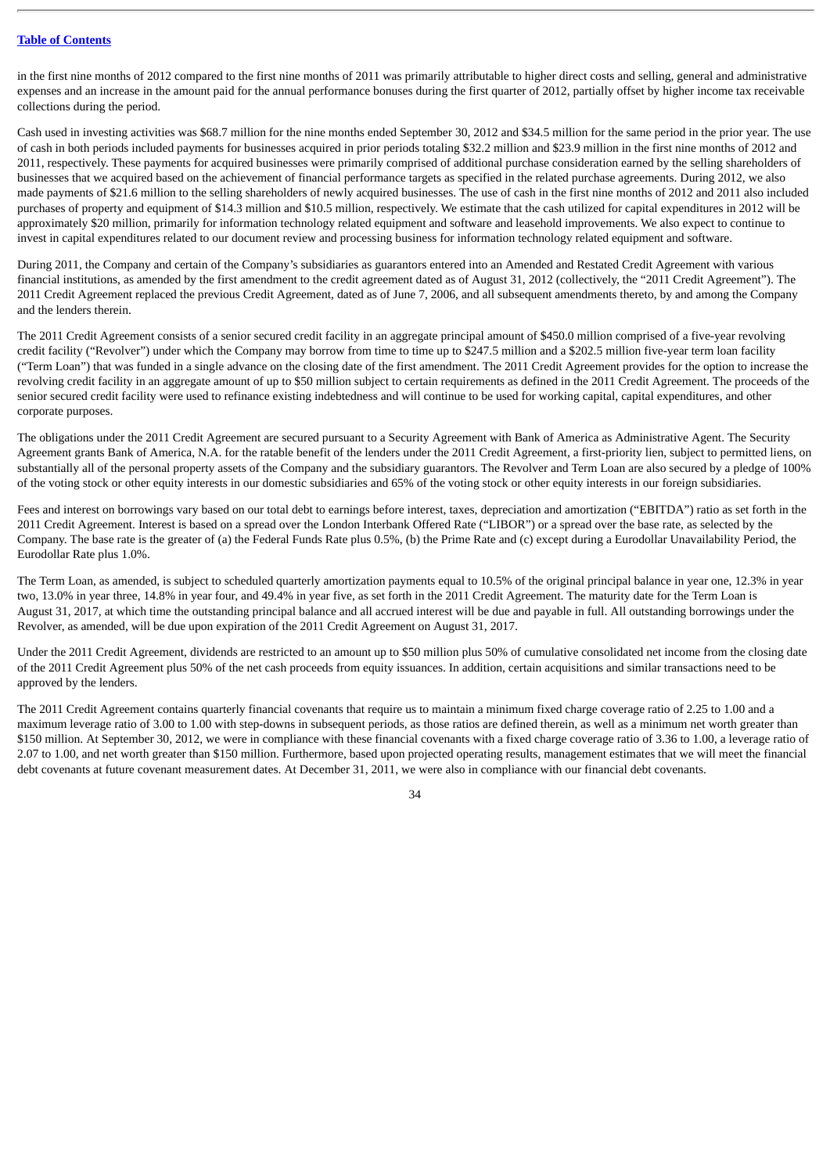in the first nine months of 2012 compared to the first nine months of 2011 was primarily attributable to higher direct costs and selling, general and administrative expenses and an increase in the amount paid for the annual performance bonuses during the first quarter of 2012, partially offset by higher income tax receivable collections during the period.

Cash used in investing activities was \$68.7 million for the nine months ended September 30, 2012 and \$34.5 million for the same period in the prior year. The use of cash in both periods included payments for businesses acquired in prior periods totaling \$32.2 million and \$23.9 million in the first nine months of 2012 and 2011, respectively. These payments for acquired businesses were primarily comprised of additional purchase consideration earned by the selling shareholders of businesses that we acquired based on the achievement of financial performance targets as specified in the related purchase agreements. During 2012, we also made payments of \$21.6 million to the selling shareholders of newly acquired businesses. The use of cash in the first nine months of 2012 and 2011 also included purchases of property and equipment of \$14.3 million and \$10.5 million, respectively. We estimate that the cash utilized for capital expenditures in 2012 will be approximately \$20 million, primarily for information technology related equipment and software and leasehold improvements. We also expect to continue to invest in capital expenditures related to our document review and processing business for information technology related equipment and software.

During 2011, the Company and certain of the Company's subsidiaries as guarantors entered into an Amended and Restated Credit Agreement with various financial institutions, as amended by the first amendment to the credit agreement dated as of August 31, 2012 (collectively, the "2011 Credit Agreement"). The 2011 Credit Agreement replaced the previous Credit Agreement, dated as of June 7, 2006, and all subsequent amendments thereto, by and among the Company and the lenders therein.

The 2011 Credit Agreement consists of a senior secured credit facility in an aggregate principal amount of \$450.0 million comprised of a five-year revolving credit facility ("Revolver") under which the Company may borrow from time to time up to \$247.5 million and a \$202.5 million five-year term loan facility ("Term Loan") that was funded in a single advance on the closing date of the first amendment. The 2011 Credit Agreement provides for the option to increase the revolving credit facility in an aggregate amount of up to \$50 million subject to certain requirements as defined in the 2011 Credit Agreement. The proceeds of the senior secured credit facility were used to refinance existing indebtedness and will continue to be used for working capital, capital expenditures, and other corporate purposes.

The obligations under the 2011 Credit Agreement are secured pursuant to a Security Agreement with Bank of America as Administrative Agent. The Security Agreement grants Bank of America, N.A. for the ratable benefit of the lenders under the 2011 Credit Agreement, a first-priority lien, subject to permitted liens, on substantially all of the personal property assets of the Company and the subsidiary guarantors. The Revolver and Term Loan are also secured by a pledge of 100% of the voting stock or other equity interests in our domestic subsidiaries and 65% of the voting stock or other equity interests in our foreign subsidiaries.

Fees and interest on borrowings vary based on our total debt to earnings before interest, taxes, depreciation and amortization ("EBITDA") ratio as set forth in the 2011 Credit Agreement. Interest is based on a spread over the London Interbank Offered Rate ("LIBOR") or a spread over the base rate, as selected by the Company. The base rate is the greater of (a) the Federal Funds Rate plus 0.5%, (b) the Prime Rate and (c) except during a Eurodollar Unavailability Period, the Eurodollar Rate plus 1.0%.

The Term Loan, as amended, is subject to scheduled quarterly amortization payments equal to 10.5% of the original principal balance in year one, 12.3% in year two, 13.0% in year three, 14.8% in year four, and 49.4% in year five, as set forth in the 2011 Credit Agreement. The maturity date for the Term Loan is August 31, 2017, at which time the outstanding principal balance and all accrued interest will be due and payable in full. All outstanding borrowings under the Revolver, as amended, will be due upon expiration of the 2011 Credit Agreement on August 31, 2017.

Under the 2011 Credit Agreement, dividends are restricted to an amount up to \$50 million plus 50% of cumulative consolidated net income from the closing date of the 2011 Credit Agreement plus 50% of the net cash proceeds from equity issuances. In addition, certain acquisitions and similar transactions need to be approved by the lenders.

The 2011 Credit Agreement contains quarterly financial covenants that require us to maintain a minimum fixed charge coverage ratio of 2.25 to 1.00 and a maximum leverage ratio of 3.00 to 1.00 with step-downs in subsequent periods, as those ratios are defined therein, as well as a minimum net worth greater than \$150 million. At September 30, 2012, we were in compliance with these financial covenants with a fixed charge coverage ratio of 3.36 to 1.00, a leverage ratio of 2.07 to 1.00, and net worth greater than \$150 million. Furthermore, based upon projected operating results, management estimates that we will meet the financial debt covenants at future covenant measurement dates. At December 31, 2011, we were also in compliance with our financial debt covenants.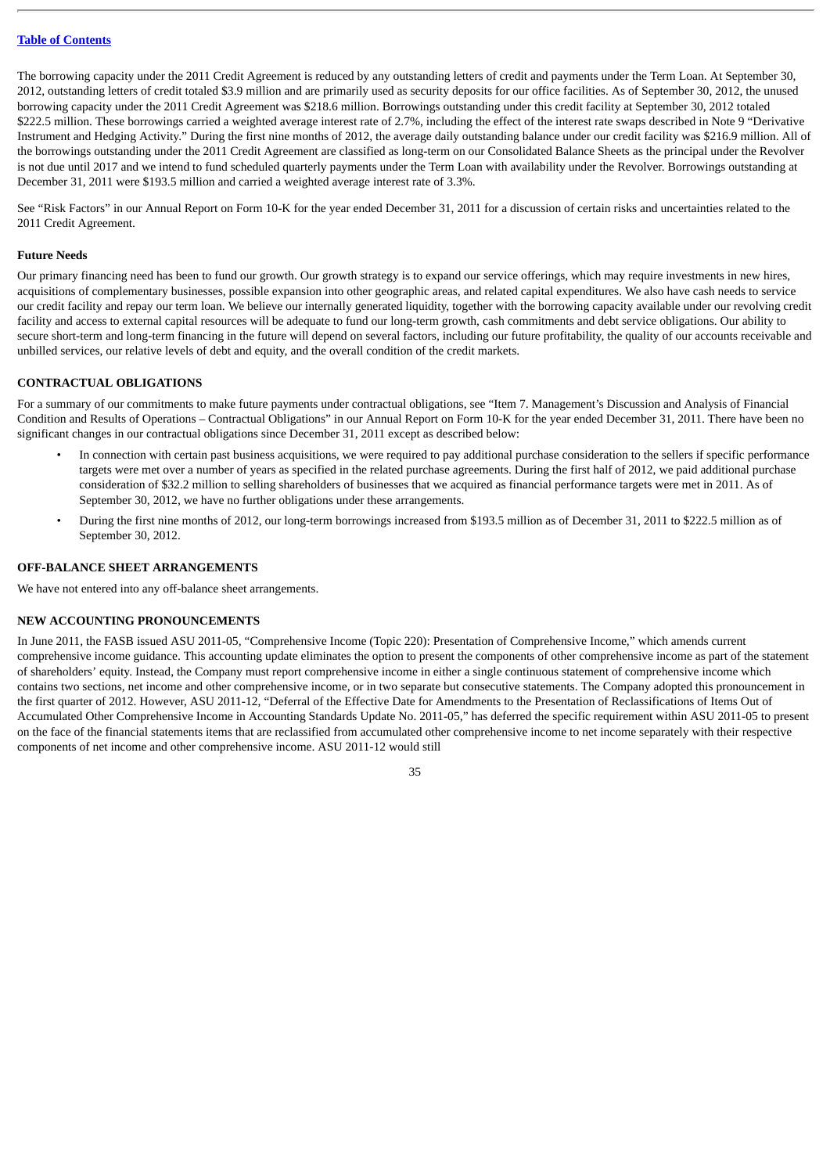The borrowing capacity under the 2011 Credit Agreement is reduced by any outstanding letters of credit and payments under the Term Loan. At September 30, 2012, outstanding letters of credit totaled \$3.9 million and are primarily used as security deposits for our office facilities. As of September 30, 2012, the unused borrowing capacity under the 2011 Credit Agreement was \$218.6 million. Borrowings outstanding under this credit facility at September 30, 2012 totaled \$222.5 million. These borrowings carried a weighted average interest rate of 2.7%, including the effect of the interest rate swaps described in Note 9 "Derivative Instrument and Hedging Activity." During the first nine months of 2012, the average daily outstanding balance under our credit facility was \$216.9 million. All of the borrowings outstanding under the 2011 Credit Agreement are classified as long-term on our Consolidated Balance Sheets as the principal under the Revolver is not due until 2017 and we intend to fund scheduled quarterly payments under the Term Loan with availability under the Revolver. Borrowings outstanding at December 31, 2011 were \$193.5 million and carried a weighted average interest rate of 3.3%.

See "Risk Factors" in our Annual Report on Form 10-K for the year ended December 31, 2011 for a discussion of certain risks and uncertainties related to the 2011 Credit Agreement.

#### **Future Needs**

Our primary financing need has been to fund our growth. Our growth strategy is to expand our service offerings, which may require investments in new hires, acquisitions of complementary businesses, possible expansion into other geographic areas, and related capital expenditures. We also have cash needs to service our credit facility and repay our term loan. We believe our internally generated liquidity, together with the borrowing capacity available under our revolving credit facility and access to external capital resources will be adequate to fund our long-term growth, cash commitments and debt service obligations. Our ability to secure short-term and long-term financing in the future will depend on several factors, including our future profitability, the quality of our accounts receivable and unbilled services, our relative levels of debt and equity, and the overall condition of the credit markets.

#### **CONTRACTUAL OBLIGATIONS**

For a summary of our commitments to make future payments under contractual obligations, see "Item 7. Management's Discussion and Analysis of Financial Condition and Results of Operations – Contractual Obligations" in our Annual Report on Form 10-K for the year ended December 31, 2011. There have been no significant changes in our contractual obligations since December 31, 2011 except as described below:

- In connection with certain past business acquisitions, we were required to pay additional purchase consideration to the sellers if specific performance targets were met over a number of years as specified in the related purchase agreements. During the first half of 2012, we paid additional purchase consideration of \$32.2 million to selling shareholders of businesses that we acquired as financial performance targets were met in 2011. As of September 30, 2012, we have no further obligations under these arrangements.
- During the first nine months of 2012, our long-term borrowings increased from \$193.5 million as of December 31, 2011 to \$222.5 million as of September 30, 2012.

#### **OFF-BALANCE SHEET ARRANGEMENTS**

We have not entered into any off-balance sheet arrangements.

#### **NEW ACCOUNTING PRONOUNCEMENTS**

In June 2011, the FASB issued ASU 2011-05, "Comprehensive Income (Topic 220): Presentation of Comprehensive Income," which amends current comprehensive income guidance. This accounting update eliminates the option to present the components of other comprehensive income as part of the statement of shareholders' equity. Instead, the Company must report comprehensive income in either a single continuous statement of comprehensive income which contains two sections, net income and other comprehensive income, or in two separate but consecutive statements. The Company adopted this pronouncement in the first quarter of 2012. However, ASU 2011-12, "Deferral of the Effective Date for Amendments to the Presentation of Reclassifications of Items Out of Accumulated Other Comprehensive Income in Accounting Standards Update No. 2011-05," has deferred the specific requirement within ASU 2011-05 to present on the face of the financial statements items that are reclassified from accumulated other comprehensive income to net income separately with their respective components of net income and other comprehensive income. ASU 2011-12 would still

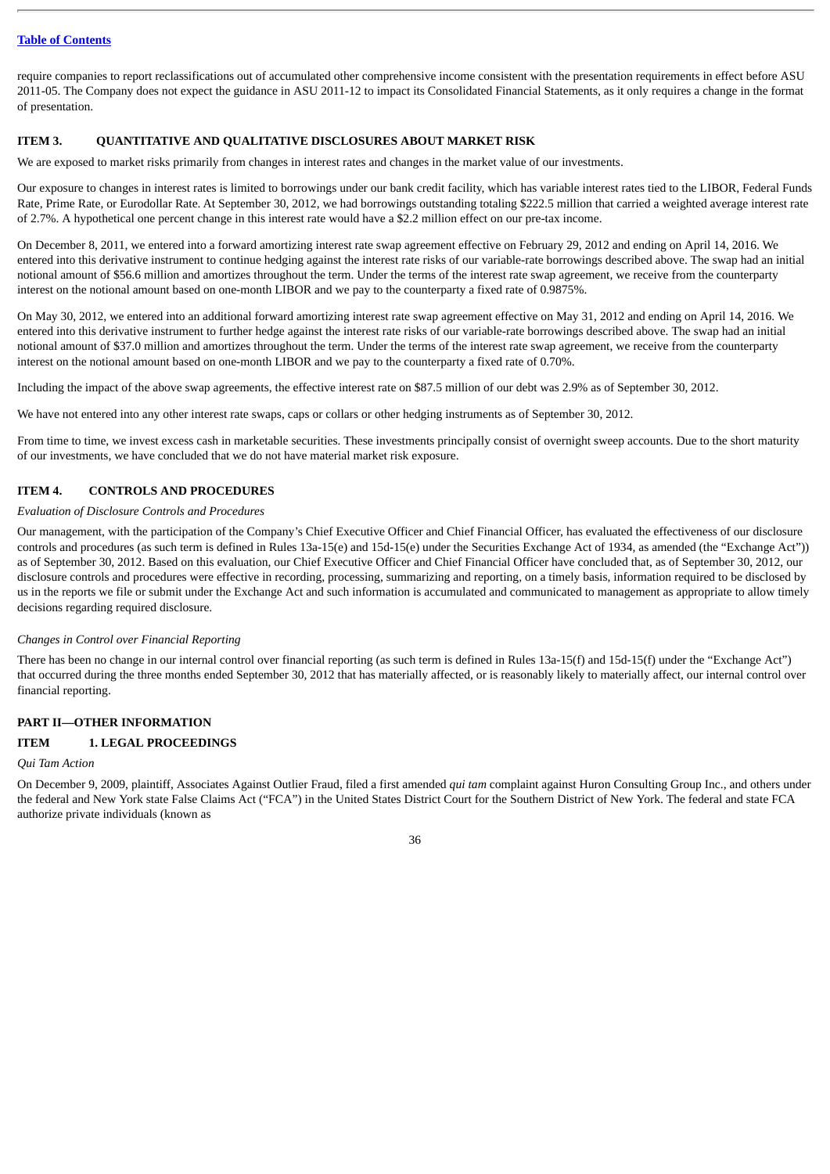require companies to report reclassifications out of accumulated other comprehensive income consistent with the presentation requirements in effect before ASU 2011-05. The Company does not expect the guidance in ASU 2011-12 to impact its Consolidated Financial Statements, as it only requires a change in the format of presentation.

## <span id="page-37-0"></span>**ITEM 3. QUANTITATIVE AND QUALITATIVE DISCLOSURES ABOUT MARKET RISK**

We are exposed to market risks primarily from changes in interest rates and changes in the market value of our investments.

Our exposure to changes in interest rates is limited to borrowings under our bank credit facility, which has variable interest rates tied to the LIBOR, Federal Funds Rate, Prime Rate, or Eurodollar Rate. At September 30, 2012, we had borrowings outstanding totaling \$222.5 million that carried a weighted average interest rate of 2.7%. A hypothetical one percent change in this interest rate would have a \$2.2 million effect on our pre-tax income.

On December 8, 2011, we entered into a forward amortizing interest rate swap agreement effective on February 29, 2012 and ending on April 14, 2016. We entered into this derivative instrument to continue hedging against the interest rate risks of our variable-rate borrowings described above. The swap had an initial notional amount of \$56.6 million and amortizes throughout the term. Under the terms of the interest rate swap agreement, we receive from the counterparty interest on the notional amount based on one-month LIBOR and we pay to the counterparty a fixed rate of 0.9875%.

On May 30, 2012, we entered into an additional forward amortizing interest rate swap agreement effective on May 31, 2012 and ending on April 14, 2016. We entered into this derivative instrument to further hedge against the interest rate risks of our variable-rate borrowings described above. The swap had an initial notional amount of \$37.0 million and amortizes throughout the term. Under the terms of the interest rate swap agreement, we receive from the counterparty interest on the notional amount based on one-month LIBOR and we pay to the counterparty a fixed rate of 0.70%.

Including the impact of the above swap agreements, the effective interest rate on \$87.5 million of our debt was 2.9% as of September 30, 2012.

We have not entered into any other interest rate swaps, caps or collars or other hedging instruments as of September 30, 2012.

From time to time, we invest excess cash in marketable securities. These investments principally consist of overnight sweep accounts. Due to the short maturity of our investments, we have concluded that we do not have material market risk exposure.

## <span id="page-37-1"></span>**ITEM 4. CONTROLS AND PROCEDURES**

#### *Evaluation of Disclosure Controls and Procedures*

Our management, with the participation of the Company's Chief Executive Officer and Chief Financial Officer, has evaluated the effectiveness of our disclosure controls and procedures (as such term is defined in Rules 13a-15(e) and 15d-15(e) under the Securities Exchange Act of 1934, as amended (the "Exchange Act")) as of September 30, 2012. Based on this evaluation, our Chief Executive Officer and Chief Financial Officer have concluded that, as of September 30, 2012, our disclosure controls and procedures were effective in recording, processing, summarizing and reporting, on a timely basis, information required to be disclosed by us in the reports we file or submit under the Exchange Act and such information is accumulated and communicated to management as appropriate to allow timely decisions regarding required disclosure.

#### *Changes in Control over Financial Reporting*

There has been no change in our internal control over financial reporting (as such term is defined in Rules 13a-15(f) and 15d-15(f) under the "Exchange Act") that occurred during the three months ended September 30, 2012 that has materially affected, or is reasonably likely to materially affect, our internal control over financial reporting.

## <span id="page-37-2"></span>**PART II—OTHER INFORMATION**

#### <span id="page-37-3"></span>**ITEM 1. LEGAL PROCEEDINGS**

#### *Qui Tam Action*

On December 9, 2009, plaintiff, Associates Against Outlier Fraud, filed a first amended *qui tam* complaint against Huron Consulting Group Inc., and others under the federal and New York state False Claims Act ("FCA") in the United States District Court for the Southern District of New York. The federal and state FCA authorize private individuals (known as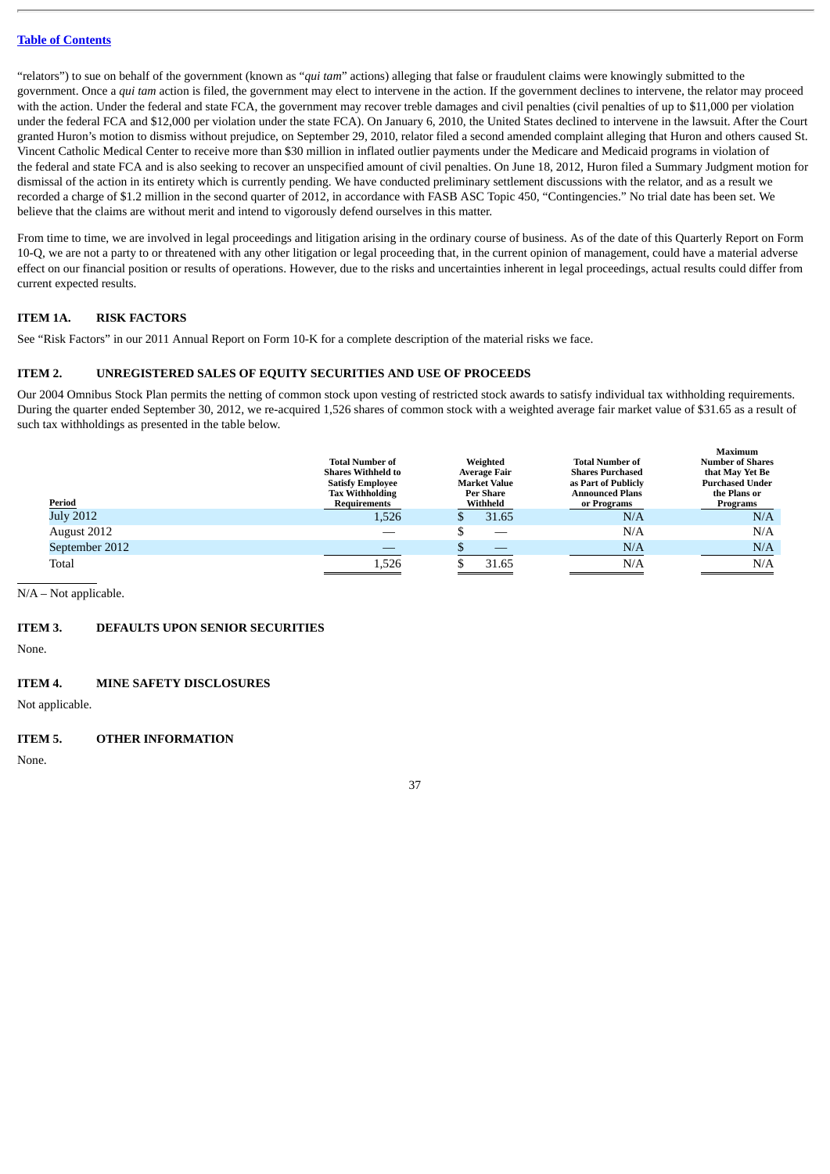"relators") to sue on behalf of the government (known as "*qui tam*" actions) alleging that false or fraudulent claims were knowingly submitted to the government. Once a *qui tam* action is filed, the government may elect to intervene in the action. If the government declines to intervene, the relator may proceed with the action. Under the federal and state FCA, the government may recover treble damages and civil penalties (civil penalties of up to \$11,000 per violation under the federal FCA and \$12,000 per violation under the state FCA). On January 6, 2010, the United States declined to intervene in the lawsuit. After the Court granted Huron's motion to dismiss without prejudice, on September 29, 2010, relator filed a second amended complaint alleging that Huron and others caused St. Vincent Catholic Medical Center to receive more than \$30 million in inflated outlier payments under the Medicare and Medicaid programs in violation of the federal and state FCA and is also seeking to recover an unspecified amount of civil penalties. On June 18, 2012, Huron filed a Summary Judgment motion for dismissal of the action in its entirety which is currently pending. We have conducted preliminary settlement discussions with the relator, and as a result we recorded a charge of \$1.2 million in the second quarter of 2012, in accordance with FASB ASC Topic 450, "Contingencies." No trial date has been set. We believe that the claims are without merit and intend to vigorously defend ourselves in this matter.

From time to time, we are involved in legal proceedings and litigation arising in the ordinary course of business. As of the date of this Quarterly Report on Form 10-Q, we are not a party to or threatened with any other litigation or legal proceeding that, in the current opinion of management, could have a material adverse effect on our financial position or results of operations. However, due to the risks and uncertainties inherent in legal proceedings, actual results could differ from current expected results.

## <span id="page-38-0"></span>**ITEM 1A. RISK FACTORS**

See "Risk Factors" in our 2011 Annual Report on Form 10-K for a complete description of the material risks we face.

## <span id="page-38-1"></span>**ITEM 2. UNREGISTERED SALES OF EQUITY SECURITIES AND USE OF PROCEEDS**

Our 2004 Omnibus Stock Plan permits the netting of common stock upon vesting of restricted stock awards to satisfy individual tax withholding requirements. During the quarter ended September 30, 2012, we re-acquired 1,526 shares of common stock with a weighted average fair market value of \$31.65 as a result of such tax withholdings as presented in the table below.

**Maximum**

| <b>Period</b>    | <b>Total Number of</b><br><b>Shares Withheld to</b><br><b>Satisfy Employee</b><br><b>Tax Withholding</b><br>Requirements | Weighted<br>Average Fair<br><b>Market Value</b><br>Per Share<br>Withheld | <b>Total Number of</b><br><b>Shares Purchased</b><br>as Part of Publicly<br><b>Announced Plans</b><br>or Programs | Maximum<br><b>Number of Shares</b><br>that May Yet Be<br><b>Purchased Under</b><br>the Plans or<br>Programs |
|------------------|--------------------------------------------------------------------------------------------------------------------------|--------------------------------------------------------------------------|-------------------------------------------------------------------------------------------------------------------|-------------------------------------------------------------------------------------------------------------|
| <b>July 2012</b> | 1,526                                                                                                                    | 31.65<br>۲U                                                              | N/A                                                                                                               | N/A                                                                                                         |
| August 2012      |                                                                                                                          |                                                                          | N/A                                                                                                               | N/A                                                                                                         |
| September 2012   |                                                                                                                          |                                                                          | N/A                                                                                                               | N/A                                                                                                         |
| Total            | 1,526                                                                                                                    | 31.65                                                                    | N/A                                                                                                               | N/A                                                                                                         |

 $N/A - Not$  applicable.

## <span id="page-38-2"></span>**ITEM 3. DEFAULTS UPON SENIOR SECURITIES**

None.

## <span id="page-38-3"></span>**ITEM 4. MINE SAFETY DISCLOSURES**

Not applicable.

## <span id="page-38-4"></span>**ITEM 5. OTHER INFORMATION**

None.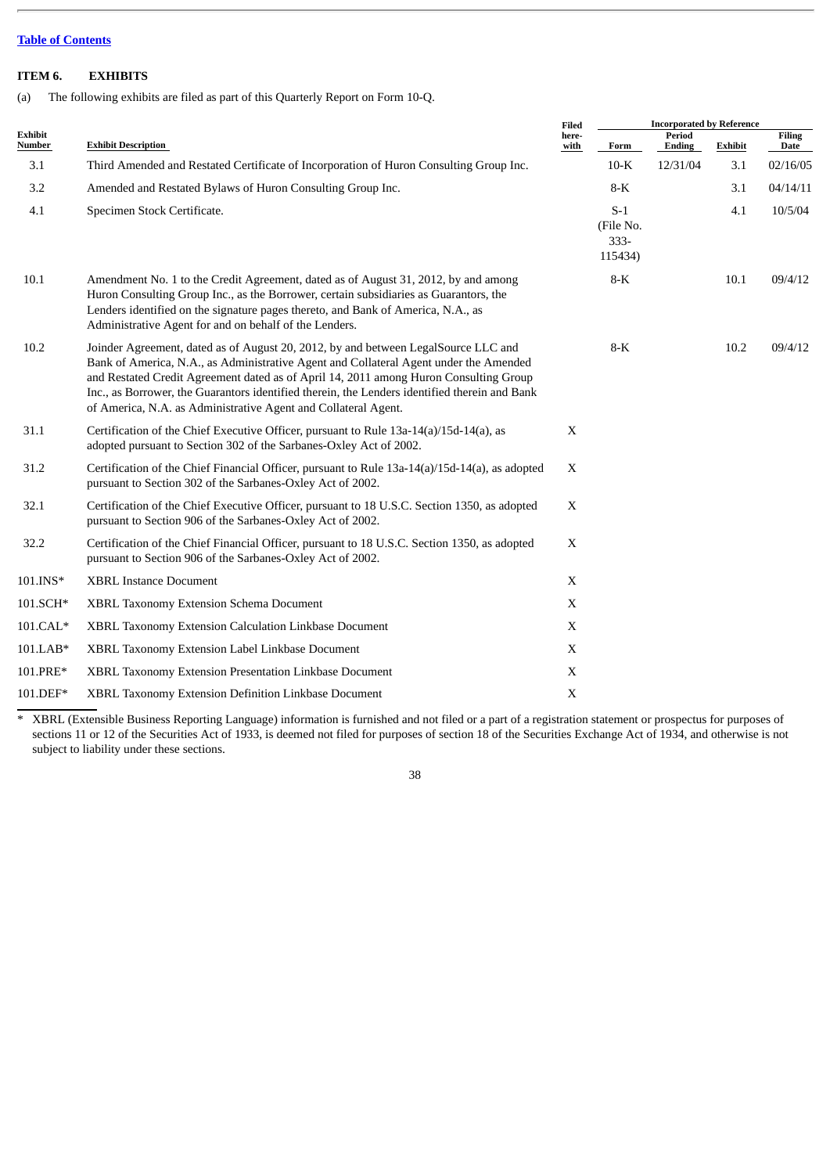## <span id="page-39-0"></span>**ITEM 6. EXHIBITS**

(a) The following exhibits are filed as part of this Quarterly Report on Form 10-Q.

|                   | <b>Exhibit Description</b>                                                                                                                                                                                                                                                                                                                                                                                                              |             | <b>Incorporated by Reference</b>      |                  |         |                |
|-------------------|-----------------------------------------------------------------------------------------------------------------------------------------------------------------------------------------------------------------------------------------------------------------------------------------------------------------------------------------------------------------------------------------------------------------------------------------|-------------|---------------------------------------|------------------|---------|----------------|
| Exhibit<br>Number |                                                                                                                                                                                                                                                                                                                                                                                                                                         |             | Form                                  | Period<br>Ending | Exhibit | Filing<br>Date |
| 3.1               | Third Amended and Restated Certificate of Incorporation of Huron Consulting Group Inc.                                                                                                                                                                                                                                                                                                                                                  |             | $10-K$                                | 12/31/04         | 3.1     | 02/16/05       |
| 3.2               | Amended and Restated Bylaws of Huron Consulting Group Inc.                                                                                                                                                                                                                                                                                                                                                                              |             | $8-K$                                 |                  | 3.1     | 04/14/11       |
| 4.1               | Specimen Stock Certificate.                                                                                                                                                                                                                                                                                                                                                                                                             |             | $S-1$<br>(File No.<br>333-<br>115434) |                  | 4.1     | 10/5/04        |
| 10.1              | Amendment No. 1 to the Credit Agreement, dated as of August 31, 2012, by and among<br>Huron Consulting Group Inc., as the Borrower, certain subsidiaries as Guarantors, the<br>Lenders identified on the signature pages thereto, and Bank of America, N.A., as<br>Administrative Agent for and on behalf of the Lenders.                                                                                                               |             | $8-K$                                 |                  | 10.1    | 09/4/12        |
| 10.2              | Joinder Agreement, dated as of August 20, 2012, by and between LegalSource LLC and<br>Bank of America, N.A., as Administrative Agent and Collateral Agent under the Amended<br>and Restated Credit Agreement dated as of April 14, 2011 among Huron Consulting Group<br>Inc., as Borrower, the Guarantors identified therein, the Lenders identified therein and Bank<br>of America, N.A. as Administrative Agent and Collateral Agent. |             | $8-K$                                 |                  | 10.2    | 09/4/12        |
| 31.1              | Certification of the Chief Executive Officer, pursuant to Rule 13a-14(a)/15d-14(a), as<br>adopted pursuant to Section 302 of the Sarbanes-Oxley Act of 2002.                                                                                                                                                                                                                                                                            | $\mathbf X$ |                                       |                  |         |                |
| 31.2              | Certification of the Chief Financial Officer, pursuant to Rule 13a-14(a)/15d-14(a), as adopted<br>pursuant to Section 302 of the Sarbanes-Oxley Act of 2002.                                                                                                                                                                                                                                                                            | X           |                                       |                  |         |                |
| 32.1              | Certification of the Chief Executive Officer, pursuant to 18 U.S.C. Section 1350, as adopted<br>pursuant to Section 906 of the Sarbanes-Oxley Act of 2002.                                                                                                                                                                                                                                                                              | X           |                                       |                  |         |                |
| 32.2              | Certification of the Chief Financial Officer, pursuant to 18 U.S.C. Section 1350, as adopted<br>pursuant to Section 906 of the Sarbanes-Oxley Act of 2002.                                                                                                                                                                                                                                                                              | X           |                                       |                  |         |                |
| 101.INS*          | <b>XBRL Instance Document</b>                                                                                                                                                                                                                                                                                                                                                                                                           | X           |                                       |                  |         |                |
| 101.SCH*          | XBRL Taxonomy Extension Schema Document                                                                                                                                                                                                                                                                                                                                                                                                 | X           |                                       |                  |         |                |
| $101.CAL*$        | XBRL Taxonomy Extension Calculation Linkbase Document                                                                                                                                                                                                                                                                                                                                                                                   | X           |                                       |                  |         |                |
| 101.LAB*          | XBRL Taxonomy Extension Label Linkbase Document                                                                                                                                                                                                                                                                                                                                                                                         | X           |                                       |                  |         |                |
| 101.PRE*          | XBRL Taxonomy Extension Presentation Linkbase Document                                                                                                                                                                                                                                                                                                                                                                                  | X           |                                       |                  |         |                |
| 101.DEF*          | XBRL Taxonomy Extension Definition Linkbase Document                                                                                                                                                                                                                                                                                                                                                                                    | X           |                                       |                  |         |                |
|                   |                                                                                                                                                                                                                                                                                                                                                                                                                                         |             |                                       |                  |         |                |

\* XBRL (Extensible Business Reporting Language) information is furnished and not filed or a part of a registration statement or prospectus for purposes of sections 11 or 12 of the Securities Act of 1933, is deemed not filed for purposes of section 18 of the Securities Exchange Act of 1934, and otherwise is not subject to liability under these sections.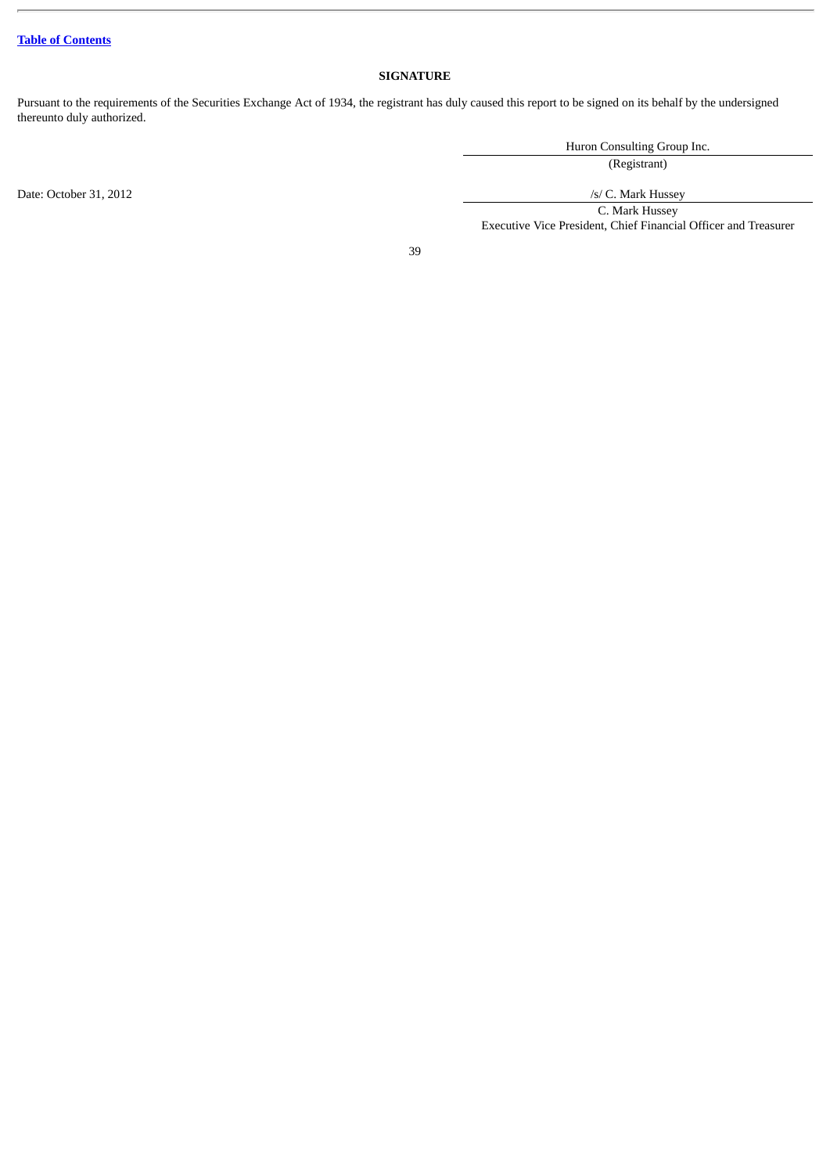## **SIGNATURE**

<span id="page-40-0"></span>Pursuant to the requirements of the Securities Exchange Act of 1934, the registrant has duly caused this report to be signed on its behalf by the undersigned thereunto duly authorized.

Huron Consulting Group Inc.

(Registrant)

Date: October 31, 2012 /s/ C. Mark Hussey

C. Mark Hussey Executive Vice President, Chief Financial Officer and Treasurer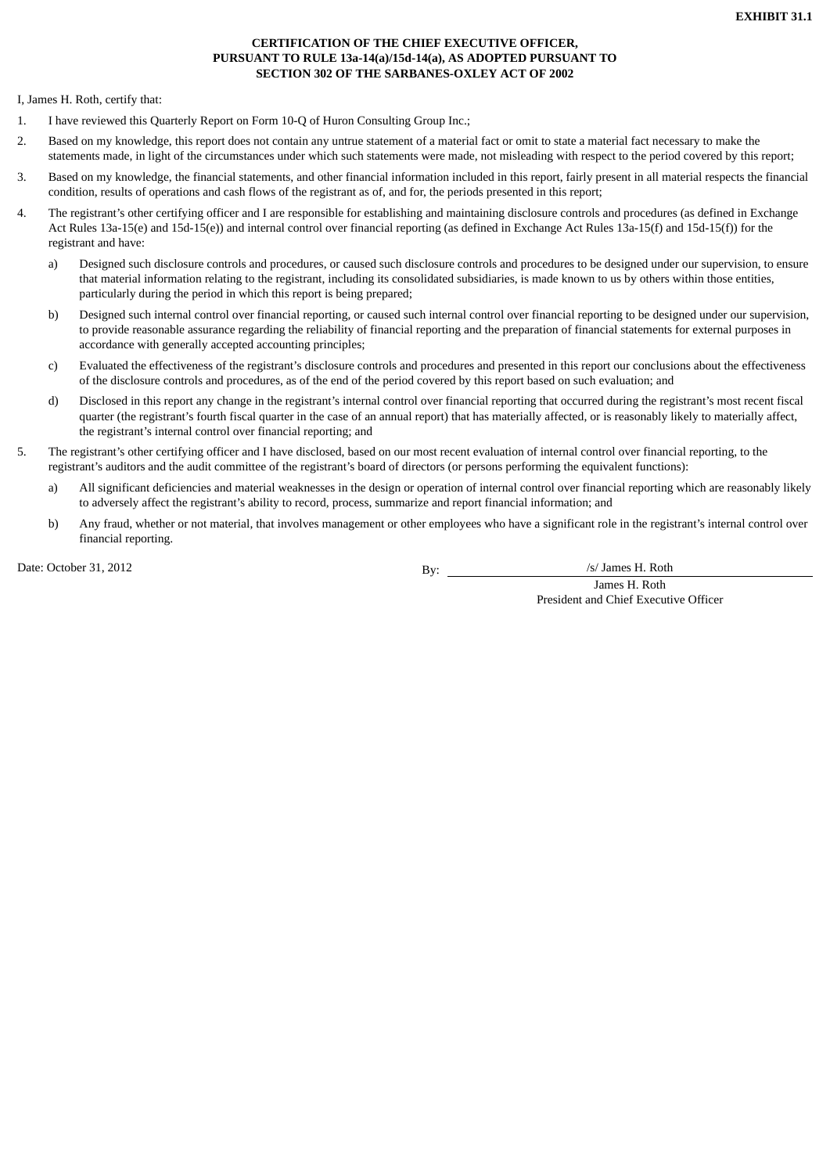## **CERTIFICATION OF THE CHIEF EXECUTIVE OFFICER, PURSUANT TO RULE 13a-14(a)/15d-14(a), AS ADOPTED PURSUANT TO SECTION 302 OF THE SARBANES-OXLEY ACT OF 2002**

I, James H. Roth, certify that:

- 1. I have reviewed this Quarterly Report on Form 10-Q of Huron Consulting Group Inc.;
- 2. Based on my knowledge, this report does not contain any untrue statement of a material fact or omit to state a material fact necessary to make the statements made, in light of the circumstances under which such statements were made, not misleading with respect to the period covered by this report;
- 3. Based on my knowledge, the financial statements, and other financial information included in this report, fairly present in all material respects the financial condition, results of operations and cash flows of the registrant as of, and for, the periods presented in this report;
- 4. The registrant's other certifying officer and I are responsible for establishing and maintaining disclosure controls and procedures (as defined in Exchange Act Rules 13a-15(e) and 15d-15(e)) and internal control over financial reporting (as defined in Exchange Act Rules 13a-15(f) and 15d-15(f)) for the registrant and have:
	- a) Designed such disclosure controls and procedures, or caused such disclosure controls and procedures to be designed under our supervision, to ensure that material information relating to the registrant, including its consolidated subsidiaries, is made known to us by others within those entities, particularly during the period in which this report is being prepared;
	- b) Designed such internal control over financial reporting, or caused such internal control over financial reporting to be designed under our supervision, to provide reasonable assurance regarding the reliability of financial reporting and the preparation of financial statements for external purposes in accordance with generally accepted accounting principles;
	- c) Evaluated the effectiveness of the registrant's disclosure controls and procedures and presented in this report our conclusions about the effectiveness of the disclosure controls and procedures, as of the end of the period covered by this report based on such evaluation; and
	- d) Disclosed in this report any change in the registrant's internal control over financial reporting that occurred during the registrant's most recent fiscal quarter (the registrant's fourth fiscal quarter in the case of an annual report) that has materially affected, or is reasonably likely to materially affect, the registrant's internal control over financial reporting; and
- 5. The registrant's other certifying officer and I have disclosed, based on our most recent evaluation of internal control over financial reporting, to the registrant's auditors and the audit committee of the registrant's board of directors (or persons performing the equivalent functions):
	- a) All significant deficiencies and material weaknesses in the design or operation of internal control over financial reporting which are reasonably likely to adversely affect the registrant's ability to record, process, summarize and report financial information; and
	- b) Any fraud, whether or not material, that involves management or other employees who have a significant role in the registrant's internal control over financial reporting.

Date: October 31, 2012 <br>By: /s/ James H. Roth

James H. Roth President and Chief Executive Officer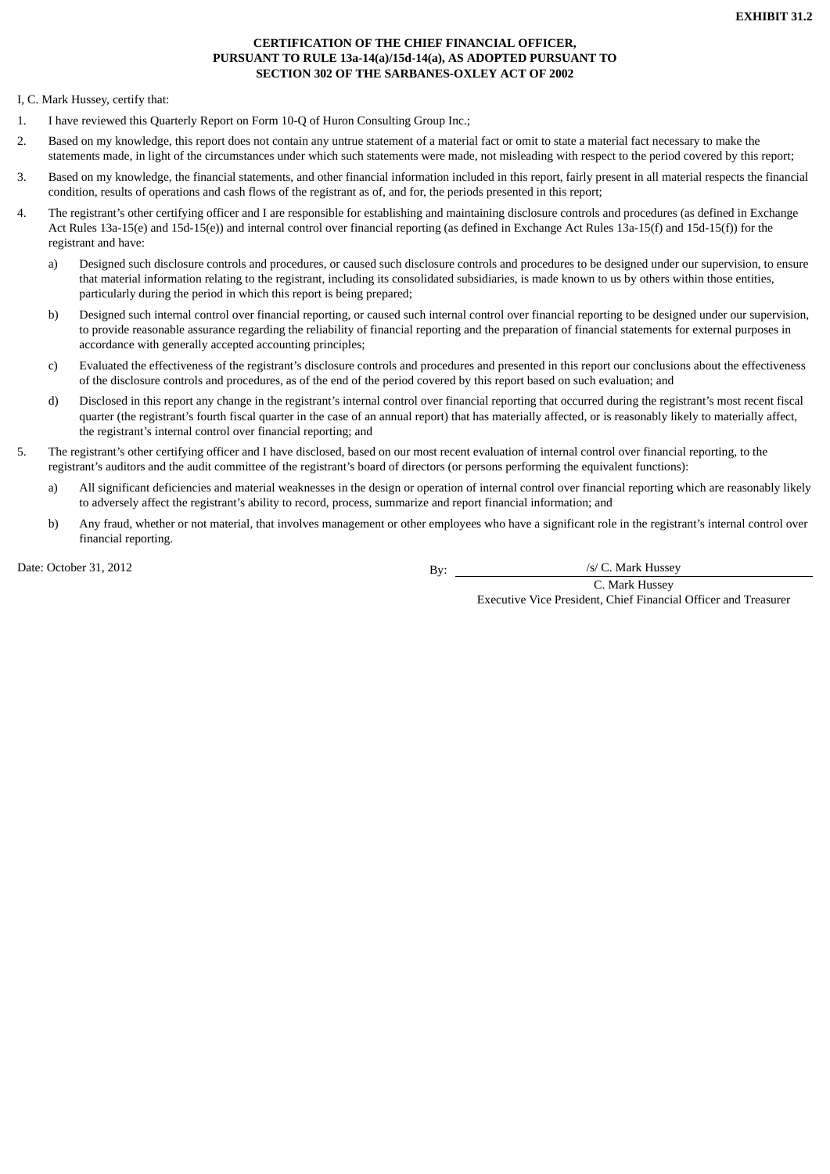## **CERTIFICATION OF THE CHIEF FINANCIAL OFFICER, PURSUANT TO RULE 13a-14(a)/15d-14(a), AS ADOPTED PURSUANT TO SECTION 302 OF THE SARBANES-OXLEY ACT OF 2002**

I, C. Mark Hussey, certify that:

- 1. I have reviewed this Quarterly Report on Form 10-Q of Huron Consulting Group Inc.;
- 2. Based on my knowledge, this report does not contain any untrue statement of a material fact or omit to state a material fact necessary to make the statements made, in light of the circumstances under which such statements were made, not misleading with respect to the period covered by this report;
- 3. Based on my knowledge, the financial statements, and other financial information included in this report, fairly present in all material respects the financial condition, results of operations and cash flows of the registrant as of, and for, the periods presented in this report;
- 4. The registrant's other certifying officer and I are responsible for establishing and maintaining disclosure controls and procedures (as defined in Exchange Act Rules 13a-15(e) and 15d-15(e)) and internal control over financial reporting (as defined in Exchange Act Rules 13a-15(f) and 15d-15(f)) for the registrant and have:
	- a) Designed such disclosure controls and procedures, or caused such disclosure controls and procedures to be designed under our supervision, to ensure that material information relating to the registrant, including its consolidated subsidiaries, is made known to us by others within those entities, particularly during the period in which this report is being prepared;
	- b) Designed such internal control over financial reporting, or caused such internal control over financial reporting to be designed under our supervision, to provide reasonable assurance regarding the reliability of financial reporting and the preparation of financial statements for external purposes in accordance with generally accepted accounting principles;
	- c) Evaluated the effectiveness of the registrant's disclosure controls and procedures and presented in this report our conclusions about the effectiveness of the disclosure controls and procedures, as of the end of the period covered by this report based on such evaluation; and
	- d) Disclosed in this report any change in the registrant's internal control over financial reporting that occurred during the registrant's most recent fiscal quarter (the registrant's fourth fiscal quarter in the case of an annual report) that has materially affected, or is reasonably likely to materially affect, the registrant's internal control over financial reporting; and
- 5. The registrant's other certifying officer and I have disclosed, based on our most recent evaluation of internal control over financial reporting, to the registrant's auditors and the audit committee of the registrant's board of directors (or persons performing the equivalent functions):
	- a) All significant deficiencies and material weaknesses in the design or operation of internal control over financial reporting which are reasonably likely to adversely affect the registrant's ability to record, process, summarize and report financial information; and
	- b) Any fraud, whether or not material, that involves management or other employees who have a significant role in the registrant's internal control over financial reporting.

Date: October 31, 2012 <br>By: /s/ C. Mark Hussey

C. Mark Hussey Executive Vice President, Chief Financial Officer and Treasurer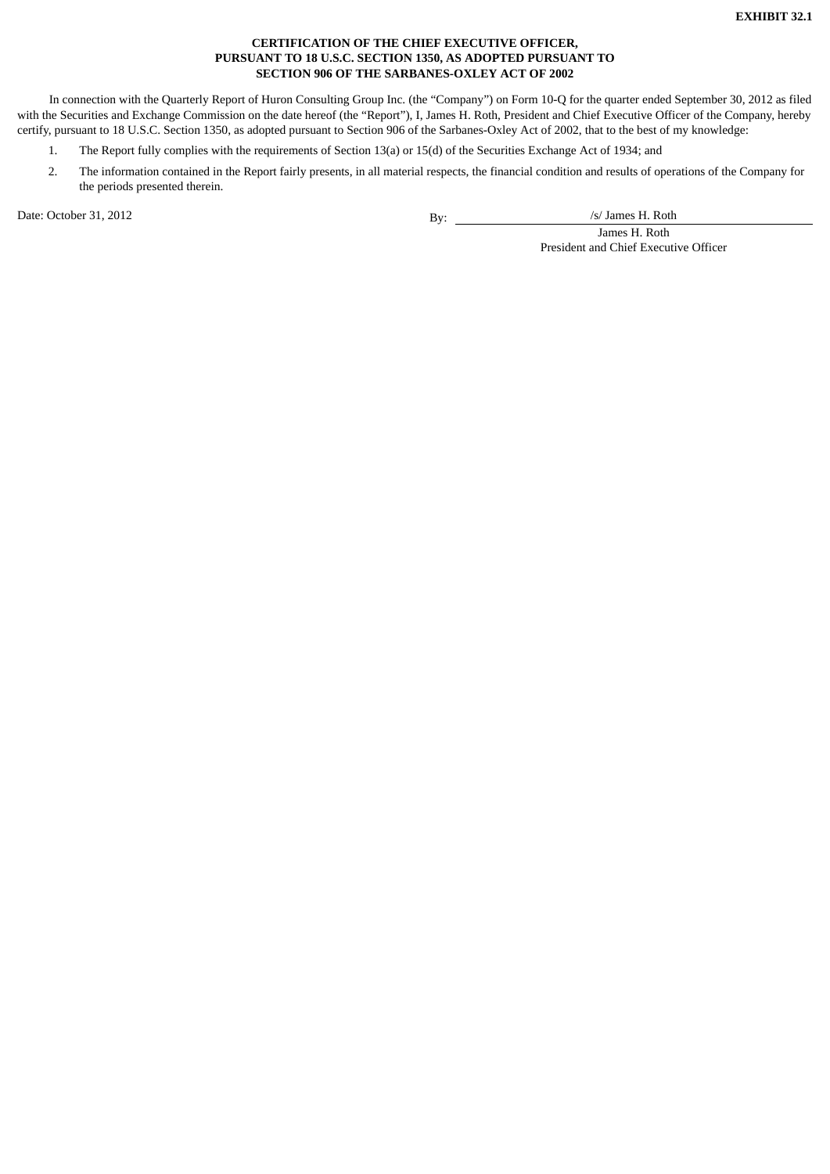## **CERTIFICATION OF THE CHIEF EXECUTIVE OFFICER, PURSUANT TO 18 U.S.C. SECTION 1350, AS ADOPTED PURSUANT TO SECTION 906 OF THE SARBANES-OXLEY ACT OF 2002**

In connection with the Quarterly Report of Huron Consulting Group Inc. (the "Company") on Form 10-Q for the quarter ended September 30, 2012 as filed with the Securities and Exchange Commission on the date hereof (the "Report"), I, James H. Roth, President and Chief Executive Officer of the Company, hereby certify, pursuant to 18 U.S.C. Section 1350, as adopted pursuant to Section 906 of the Sarbanes-Oxley Act of 2002, that to the best of my knowledge:

- 1. The Report fully complies with the requirements of Section 13(a) or 15(d) of the Securities Exchange Act of 1934; and
- 2. The information contained in the Report fairly presents, in all material respects, the financial condition and results of operations of the Company for the periods presented therein.

Date: October 31, 2012 <br>By: /s/ James H. Roth

James H. Roth President and Chief Executive Officer